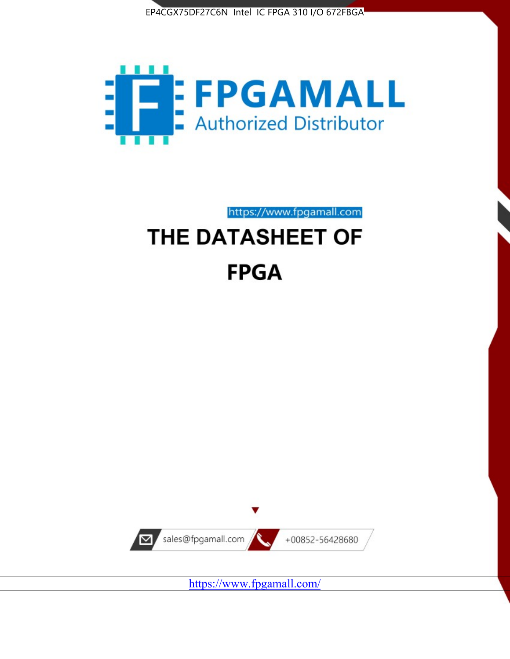



https://www.fpgamall.com

# THE DATASHEET OF **FPGA**



<https://www.fpgamall.com/>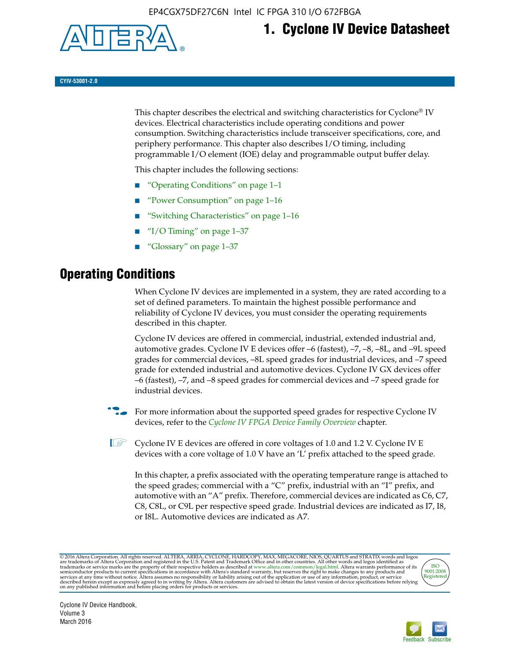

## **1. Cyclone IV Device Datasheet**

**CYIV-53001-2.0**

This chapter describes the electrical and switching characteristics for Cyclone<sup>®</sup> IV devices. Electrical characteristics include operating conditions and power consumption. Switching characteristics include transceiver specifications, core, and periphery performance. This chapter also describes I/O timing, including programmable I/O element (IOE) delay and programmable output buffer delay.

This chapter includes the following sections:

- "Operating Conditions" on page 1–1
- "Power Consumption" on page 1–16
- "Switching Characteristics" on page 1–16
- " $I/O$  Timing" on page  $1-37$
- "Glossary" on page 1–37

## **Operating Conditions**

When Cyclone IV devices are implemented in a system, they are rated according to a set of defined parameters. To maintain the highest possible performance and reliability of Cyclone IV devices, you must consider the operating requirements described in this chapter.

Cyclone IV devices are offered in commercial, industrial, extended industrial and, automotive grades. Cyclone IV E devices offer –6 (fastest), –7, –8, –8L, and –9L speed grades for commercial devices, –8L speed grades for industrial devices, and –7 speed grade for extended industrial and automotive devices. Cyclone IV GX devices offer –6 (fastest), –7, and –8 speed grades for commercial devices and –7 speed grade for industrial devices.

**For more information about the supported speed grades for respective Cyclone IV** devices, refer to the *[Cyclone IV FPGA Device Family Overview](http://www.altera.com/literature/hb/cyclone-iv/cyiv-51001.pdf)* chapter.

**1** Cyclone IV E devices are offered in core voltages of 1.0 and 1.2 V. Cyclone IV E devices with a core voltage of 1.0 V have an 'L' prefix attached to the speed grade.

In this chapter, a prefix associated with the operating temperature range is attached to the speed grades; commercial with a "C" prefix, industrial with an "I" prefix, and automotive with an "A" prefix. Therefore, commercial devices are indicated as C6, C7, C8, C8L, or C9L per respective speed grade. Industrial devices are indicated as I7, I8, or I8L. Automotive devices are indicated as A7.

@2016 Altera Corporation. All rights reserved. ALTERA, ARRIA, CYCLONE, HARDCOPY, MAX, MEGACORE, NIOS, QUARTUS and STRATIX words and logos are trademarks of Altera Corporation and registered in the U.S. Patent and Trademark



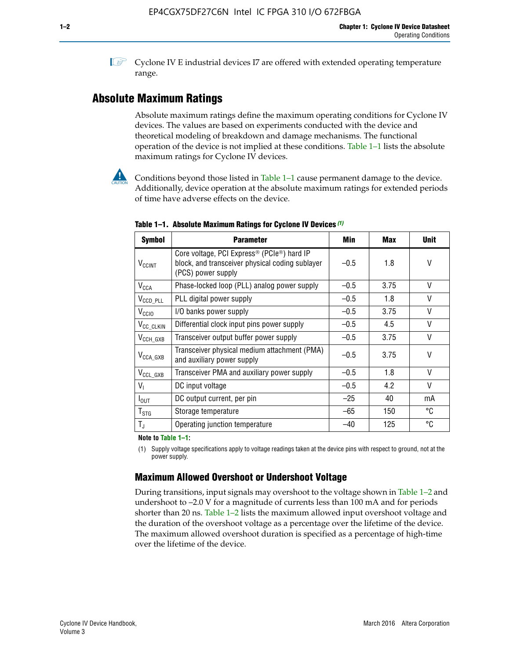**1 Cyclone IV E industrial devices I7 are offered with extended operating temperature** range.

## **Absolute Maximum Ratings**

Absolute maximum ratings define the maximum operating conditions for Cyclone IV devices. The values are based on experiments conducted with the device and theoretical modeling of breakdown and damage mechanisms. The functional operation of the device is not implied at these conditions. Table 1–1 lists the absolute maximum ratings for Cyclone IV devices.



**Conditions beyond those listed in Table 1–1 cause permanent damage to the device.** Additionally, device operation at the absolute maximum ratings for extended periods of time have adverse effects on the device.

| <b>Symbol</b>            | <b>Parameter</b>                                                                                                                | Min    | Max  | <b>Unit</b> |
|--------------------------|---------------------------------------------------------------------------------------------------------------------------------|--------|------|-------------|
| <b>V<sub>CCINT</sub></b> | Core voltage, PCI Express <sup>®</sup> (PCIe®) hard IP<br>block, and transceiver physical coding sublayer<br>(PCS) power supply | $-0.5$ | 1.8  | V           |
| $V_{CCA}$                | Phase-locked loop (PLL) analog power supply                                                                                     | $-0.5$ | 3.75 | V           |
| $V_{\text{CCD\_PLL}}$    | PLL digital power supply                                                                                                        | $-0.5$ | 1.8  | $\vee$      |
| V <sub>CCIO</sub>        | I/O banks power supply                                                                                                          | $-0.5$ | 3.75 | $\vee$      |
| V <sub>CC_CLKIN</sub>    | Differential clock input pins power supply                                                                                      | $-0.5$ | 4.5  | $\vee$      |
| $V_{\text{CCH_GXB}}$     | Transceiver output buffer power supply                                                                                          | $-0.5$ | 3.75 | V           |
| $V_{\text{CCA\_GXB}}$    | Transceiver physical medium attachment (PMA)<br>and auxiliary power supply                                                      | $-0.5$ | 3.75 | $\vee$      |
| $V_{CCL_GXB}$            | Transceiver PMA and auxiliary power supply                                                                                      | $-0.5$ | 1.8  | $\vee$      |
| $V_{1}$                  | DC input voltage                                                                                                                | $-0.5$ | 4.2  | $\vee$      |
| $I_{\text{OUT}}$         | DC output current, per pin                                                                                                      | $-25$  | 40   | mA          |
| $T_{\mathtt{STG}}$       | Storage temperature                                                                                                             | $-65$  | 150  | °C          |
| $T_{\rm J}$              | Operating junction temperature                                                                                                  | $-40$  | 125  | °C          |

**Table 1–1. Absolute Maximum Ratings for Cyclone IV Devices** *(1)*

**Note to Table 1–1:**

(1) Supply voltage specifications apply to voltage readings taken at the device pins with respect to ground, not at the power supply.

## **Maximum Allowed Overshoot or Undershoot Voltage**

During transitions, input signals may overshoot to the voltage shown in Table 1–2 and undershoot to –2.0 V for a magnitude of currents less than 100 mA and for periods shorter than 20 ns. Table 1–2 lists the maximum allowed input overshoot voltage and the duration of the overshoot voltage as a percentage over the lifetime of the device. The maximum allowed overshoot duration is specified as a percentage of high-time over the lifetime of the device.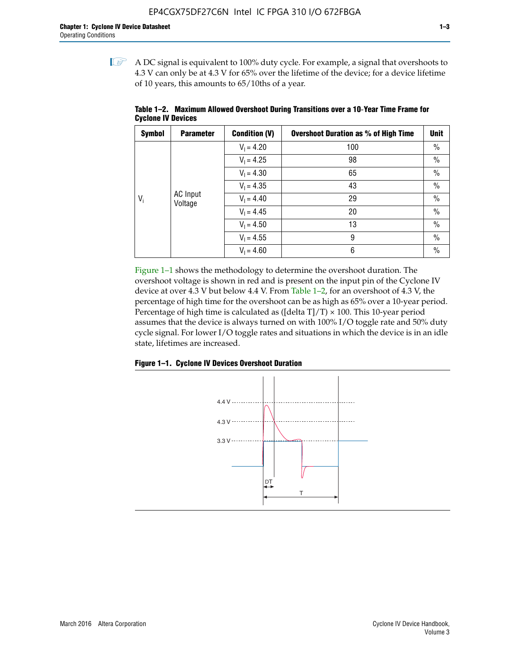$\mathbb{I}$  A DC signal is equivalent to 100% duty cycle. For example, a signal that overshoots to 4.3 V can only be at 4.3 V for 65% over the lifetime of the device; for a device lifetime of 10 years, this amounts to 65/10ths of a year.

| <b>Symbol</b> | <b>Parameter</b>           | <b>Condition (V)</b> | <b>Overshoot Duration as % of High Time</b> | <b>Unit</b>   |               |
|---------------|----------------------------|----------------------|---------------------------------------------|---------------|---------------|
|               |                            | $V_1 = 4.20$         | 100                                         | $\%$          |               |
|               |                            | $V_1 = 4.25$         | 98                                          | $\frac{0}{0}$ |               |
|               | <b>AC</b> Input<br>Voltage | $V_1 = 4.30$         | 65                                          | $\%$          |               |
|               |                            | $V_1 = 4.35$         | 43                                          | $\%$          |               |
| $V_i$         |                            |                      | $V_1 = 4.40$                                | 29            | $\frac{0}{0}$ |
|               |                            | $V_1 = 4.45$         | 20                                          | $\%$          |               |
|               |                            | $V_1 = 4.50$         | 13                                          | $\%$          |               |
|               |                            | $V_1 = 4.55$         | 9                                           | $\frac{0}{0}$ |               |
|               |                            | $V_1 = 4.60$         | 6                                           | $\frac{0}{0}$ |               |

**Table 1–2. Maximum Allowed Overshoot During Transitions over a 10**-**Year Time Frame for Cyclone IV Devices**

Figure 1–1 shows the methodology to determine the overshoot duration. The overshoot voltage is shown in red and is present on the input pin of the Cyclone IV device at over 4.3 V but below 4.4 V. From Table 1–2, for an overshoot of 4.3 V, the percentage of high time for the overshoot can be as high as 65% over a 10-year period. Percentage of high time is calculated as ([delta  $T$ ]/T)  $\times$  100. This 10-year period assumes that the device is always turned on with 100% I/O toggle rate and 50% duty cycle signal. For lower I/O toggle rates and situations in which the device is in an idle state, lifetimes are increased.



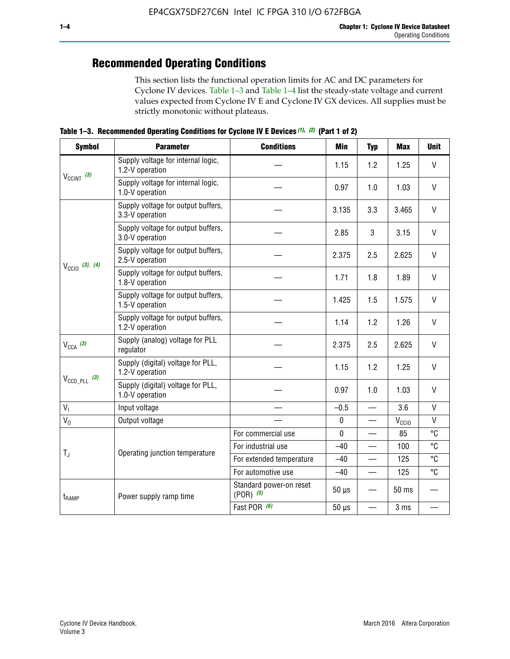## **Recommended Operating Conditions**

This section lists the functional operation limits for AC and DC parameters for Cyclone IV devices. Table 1–3 and Table 1–4 list the steady-state voltage and current values expected from Cyclone IV E and Cyclone IV GX devices. All supplies must be strictly monotonic without plateaus.

**Table 1–3. Recommended Operating Conditions for Cyclone IV E Devices** *(1)***,** *(2)* **(Part 1 of 2)**

| <b>Symbol</b>                                                                                                                         | <b>Parameter</b>                                      | <b>Conditions</b>                        | <b>Min</b>                                                                                                                                                                                                                                                                                                                                                                                                                                                                      | <b>Typ</b> | <b>Max</b> | <b>Unit</b>    |
|---------------------------------------------------------------------------------------------------------------------------------------|-------------------------------------------------------|------------------------------------------|---------------------------------------------------------------------------------------------------------------------------------------------------------------------------------------------------------------------------------------------------------------------------------------------------------------------------------------------------------------------------------------------------------------------------------------------------------------------------------|------------|------------|----------------|
|                                                                                                                                       | Supply voltage for internal logic,<br>1.2-V operation |                                          | 1.2<br>1.25<br>1.15<br>0.97<br>1.0<br>1.03<br>3.135<br>3.3<br>3.465<br>2.85<br>3<br>3.15<br>2.375<br>2.5<br>2.625<br>1.71<br>1.8<br>1.89<br>1.425<br>1.5<br>1.575<br>1.14<br>1.2<br>1.26<br>2.375<br>2.5<br>2.625<br>1.15<br>1.2<br>1.25<br>0.97<br>1.0<br>1.03<br>3.6<br>$-0.5$<br>$\equiv$<br>$\pmb{0}$<br>$V_{CCIO}$<br>85<br>$\mathbf{0}$<br>$-40$<br>100<br>125<br>$-40$<br>$-40$<br>125<br>—<br>$50 \mu s$<br>$50$ ms<br>$50 \ \mu s$<br>3 ms<br>$\overline{\phantom{0}}$ |            | $\vee$     |                |
|                                                                                                                                       | Supply voltage for internal logic,<br>1.0-V operation |                                          |                                                                                                                                                                                                                                                                                                                                                                                                                                                                                 |            |            | $\mathsf{V}$   |
|                                                                                                                                       | Supply voltage for output buffers,<br>3.3-V operation |                                          |                                                                                                                                                                                                                                                                                                                                                                                                                                                                                 |            |            | $\vee$         |
| $V_{CClNT}$ (3)<br>$V_{\text{CCIO}}$ (3), (4)<br>$V_{CCA}$ (3)<br>$V_{\text{CCD\_PLL}}$ (3)<br>V <sub>1</sub><br>$V_0$<br>$T_{\rm J}$ | Supply voltage for output buffers,<br>3.0-V operation |                                          |                                                                                                                                                                                                                                                                                                                                                                                                                                                                                 |            |            | V              |
|                                                                                                                                       | Supply voltage for output buffers,<br>2.5-V operation |                                          |                                                                                                                                                                                                                                                                                                                                                                                                                                                                                 |            |            | $\vee$         |
|                                                                                                                                       | Supply voltage for output buffers,<br>1.8-V operation |                                          |                                                                                                                                                                                                                                                                                                                                                                                                                                                                                 |            |            | $\mathsf{V}$   |
|                                                                                                                                       | Supply voltage for output buffers,<br>1.5-V operation |                                          |                                                                                                                                                                                                                                                                                                                                                                                                                                                                                 |            |            | $\mathsf{V}$   |
|                                                                                                                                       | Supply voltage for output buffers,<br>1.2-V operation |                                          |                                                                                                                                                                                                                                                                                                                                                                                                                                                                                 |            |            | V              |
|                                                                                                                                       | Supply (analog) voltage for PLL<br>regulator          |                                          |                                                                                                                                                                                                                                                                                                                                                                                                                                                                                 |            |            | $\vee$         |
|                                                                                                                                       | Supply (digital) voltage for PLL,<br>1.2-V operation  |                                          |                                                                                                                                                                                                                                                                                                                                                                                                                                                                                 |            |            | $\mathsf{V}$   |
|                                                                                                                                       | Supply (digital) voltage for PLL,<br>1.0-V operation  |                                          |                                                                                                                                                                                                                                                                                                                                                                                                                                                                                 |            |            | $\vee$         |
|                                                                                                                                       | Input voltage                                         |                                          |                                                                                                                                                                                                                                                                                                                                                                                                                                                                                 |            |            | $\mathsf{V}$   |
|                                                                                                                                       | Output voltage                                        |                                          |                                                                                                                                                                                                                                                                                                                                                                                                                                                                                 |            |            | $\mathsf{V}$   |
|                                                                                                                                       |                                                       | For commercial use                       |                                                                                                                                                                                                                                                                                                                                                                                                                                                                                 |            |            | $\overline{c}$ |
|                                                                                                                                       | Operating junction temperature                        | For industrial use                       |                                                                                                                                                                                                                                                                                                                                                                                                                                                                                 |            |            | °C             |
|                                                                                                                                       |                                                       | For extended temperature                 |                                                                                                                                                                                                                                                                                                                                                                                                                                                                                 |            |            | °C             |
|                                                                                                                                       |                                                       | For automotive use                       |                                                                                                                                                                                                                                                                                                                                                                                                                                                                                 |            |            | °C             |
| $t_{\rm{RAMP}}$                                                                                                                       | Power supply ramp time                                | Standard power-on reset<br>$(POR)$ $(5)$ |                                                                                                                                                                                                                                                                                                                                                                                                                                                                                 |            |            |                |
|                                                                                                                                       |                                                       | Fast POR (6)                             |                                                                                                                                                                                                                                                                                                                                                                                                                                                                                 |            |            |                |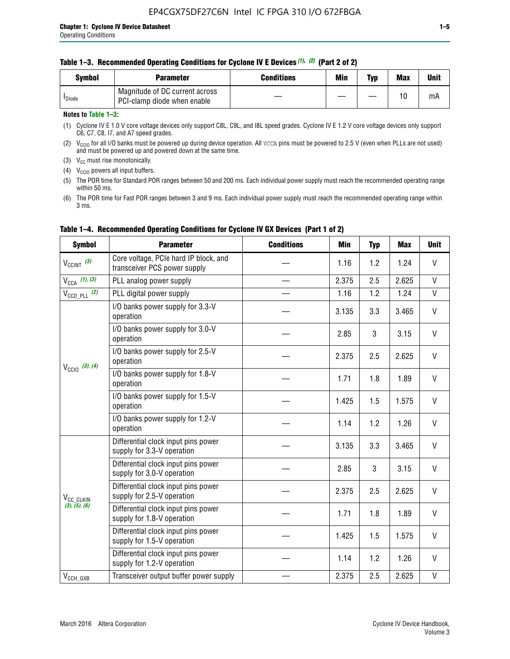| Svmbol             | <b>Parameter</b>                                              | <b>Conditions</b> | Min | Typ | <b>Max</b> | Unit |
|--------------------|---------------------------------------------------------------|-------------------|-----|-----|------------|------|
| <sup>I</sup> Diode | Magnitude of DC current across<br>PCI-clamp diode when enable |                   |     |     | 10         | mA   |

### **Notes to Table 1–3:**

(1) Cyclone IV E 1.0 V core voltage devices only support C8L, C9L, and I8L speed grades. Cyclone IV E 1.2 V core voltage devices only support C6, C7, C8, I7, and A7 speed grades.

(2)  $V_{CCIO}$  for all I/O banks must be powered up during device operation. All vcca pins must be powered to 2.5 V (even when PLLs are not used) and must be powered up and powered down at the same time.

(3)  $V_{CC}$  must rise monotonically.

(4)  $V_{\text{CCIO}}$  powers all input buffers.

(5) The POR time for Standard POR ranges between 50 and 200 ms. Each individual power supply must reach the recommended operating range within 50 ms.

(6) The POR time for Fast POR ranges between 3 and 9 ms. Each individual power supply must reach the recommended operating range within 3 ms.

| <b>Symbol</b>                                            | <b>Parameter</b>                                                      | <b>Conditions</b> | Min   | <b>Typ</b> | <b>Max</b> | <b>Unit</b>  |
|----------------------------------------------------------|-----------------------------------------------------------------------|-------------------|-------|------------|------------|--------------|
| $V_{CClNT}$ (3)                                          | Core voltage, PCIe hard IP block, and<br>transceiver PCS power supply |                   | 1.16  | 1.2        | 1.24       | V            |
| $V_{CCA}$ (1), (3)                                       | PLL analog power supply                                               |                   | 2.375 | 2.5        | 2.625      | $\mathsf{V}$ |
| $V_{\text{CCD\_PLL}}$ (2)                                | PLL digital power supply                                              |                   | 1.16  | 1.2        | 1.24       | $\mathsf{V}$ |
|                                                          | I/O banks power supply for 3.3-V<br>operation                         |                   | 3.135 | 3.3        | 3.465      | $\mathsf{V}$ |
|                                                          | I/O banks power supply for 3.0-V<br>operation                         |                   | 2.85  | 3          | 3.15       | V            |
| $V_{\text{CC10}}$ (3), (4)                               | I/O banks power supply for 2.5-V<br>operation                         |                   | 2.375 | 2.5        | 2.625      | V            |
|                                                          | I/O banks power supply for 1.8-V<br>operation                         |                   | 1.71  | 1.8        | 1.89       | V            |
|                                                          | I/O banks power supply for 1.5-V<br>operation                         |                   | 1.425 | 1.5        | 1.575      | V            |
|                                                          | I/O banks power supply for 1.2-V<br>operation                         |                   | 1.14  | 1.2        | 1.26       | $\vee$       |
| V <sub>CC_CLKIN</sub><br>(3), (5), (6)<br>$V_{CCH\_GXB}$ | Differential clock input pins power<br>supply for 3.3-V operation     |                   | 3.135 | 3.3        | 3.465      | V            |
|                                                          | Differential clock input pins power<br>supply for 3.0-V operation     |                   | 2.85  | 3          | 3.15       | $\mathsf{V}$ |
|                                                          | Differential clock input pins power<br>supply for 2.5-V operation     |                   | 2.375 | 2.5        | 2.625      | V            |
|                                                          | Differential clock input pins power<br>supply for 1.8-V operation     |                   | 1.71  | 1.8        | 1.89       | V            |
|                                                          | Differential clock input pins power<br>supply for 1.5-V operation     |                   | 1.425 | 1.5        | 1.575      | V            |
|                                                          | Differential clock input pins power<br>supply for 1.2-V operation     |                   | 1.14  | 1.2        | 1.26       | V            |
|                                                          | Transceiver output buffer power supply                                |                   | 2.375 | 2.5        | 2.625      | $\mathsf{V}$ |

## **Table 1–4. Recommended Operating Conditions for Cyclone IV GX Devices (Part 1 of 2)**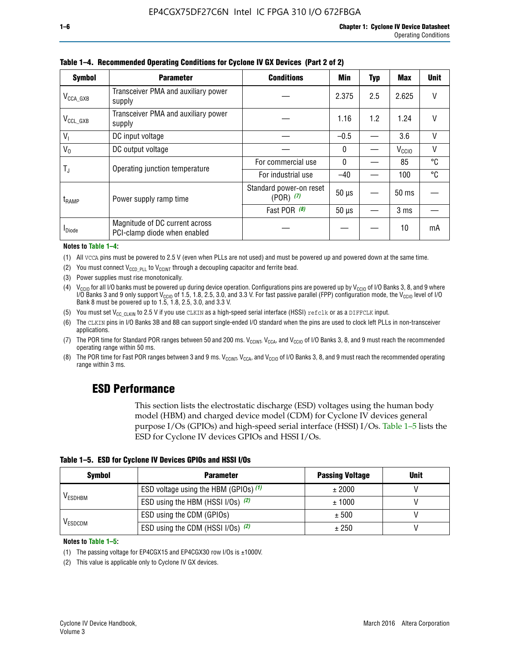| <b>Symbol</b>         | <b>Parameter</b>                                               | <b>Conditions</b>                        | <b>Min</b>                                                                                                                                     | <b>Typ</b> | <b>Max</b>      | <b>Unit</b>  |
|-----------------------|----------------------------------------------------------------|------------------------------------------|------------------------------------------------------------------------------------------------------------------------------------------------|------------|-----------------|--------------|
| $V_{\text{CCA\_GXB}}$ | Transceiver PMA and auxiliary power<br>supply                  |                                          | 2.375                                                                                                                                          | 2.5        | 2.625           |              |
| $V_{CCL_GXB}$         | Transceiver PMA and auxiliary power<br>supply                  |                                          | 1.2<br>1.16<br>1.24<br>3.6<br>$-0.5$<br>0<br>V <sub>CCIO</sub><br>85<br>0<br>$-40$<br>100<br>$50 \mu s$<br>$50 \mu s$<br>3 <sub>ms</sub><br>10 |            |                 |              |
| $V_{1}$               | DC input voltage                                               |                                          |                                                                                                                                                |            |                 | V            |
| $V_0$                 | DC output voltage                                              |                                          |                                                                                                                                                |            |                 | $\mathsf{V}$ |
|                       | Operating junction temperature                                 | For commercial use                       |                                                                                                                                                |            |                 | °C           |
| T,                    |                                                                | For industrial use                       |                                                                                                                                                |            |                 | °C           |
| $t_{\sf{RAMP}}$       | Power supply ramp time                                         | Standard power-on reset<br>$(POR)$ $(7)$ |                                                                                                                                                |            | $50 \text{ ms}$ |              |
|                       |                                                                | Fast POR (8)                             |                                                                                                                                                |            |                 |              |
| <b>I</b> Diode        | Magnitude of DC current across<br>PCI-clamp diode when enabled |                                          |                                                                                                                                                |            |                 | mA           |

**Table 1–4. Recommended Operating Conditions for Cyclone IV GX Devices (Part 2 of 2)**

**Notes to Table 1–4:**

- (1) All VCCA pins must be powered to 2.5 V (even when PLLs are not used) and must be powered up and powered down at the same time.
- (2) You must connect  $V_{CCD-PLL}$  to  $V_{CCINT}$  through a decoupling capacitor and ferrite bead.
- (3) Power supplies must rise monotonically.
- (4)  $V_{\text{CCIO}}$  for all I/O banks must be powered up during device operation. Configurations pins are powered up by V<sub>CCIO</sub> of I/O Banks 3, 8, and 9 where I/O Banks 3 and 9 only support V<sub>CCIO</sub> of 1.5, 1.8, 2.5, 3.0, and 3.3 V. For fast passive parallel (FPP) configuration mode, the V<sub>CCIO</sub> level of I/O<br>Bank 8 must be powered up to 1.5, 1.8, 2.5, 3.0, and 3.3 V.
- (5) You must set  $V_{CC_CCLKIN}$  to 2.5 V if you use CLKIN as a high-speed serial interface (HSSI) refclk or as a DIFFCLK input.
- (6) The CLKIN pins in I/O Banks 3B and 8B can support single-ended I/O standard when the pins are used to clock left PLLs in non-transceiver applications.
- (7) The POR time for Standard POR ranges between 50 and 200 ms.  $V_{\text{CCIA}}$ ,  $V_{\text{CCIA}}$ , and  $V_{\text{CCIO}}$  of I/O Banks 3, 8, and 9 must reach the recommended operating range within 50 ms.
- (8) The POR time for Fast POR ranges between 3 and 9 ms.  $V_{\text{CCH},T}$ ,  $V_{\text{CCA}}$ , and  $V_{\text{CCI}}$  of I/O Banks 3, 8, and 9 must reach the recommended operating range within 3 ms.

## **ESD Performance**

This section lists the electrostatic discharge (ESD) voltages using the human body model (HBM) and charged device model (CDM) for Cyclone IV devices general purpose I/Os (GPIOs) and high-speed serial interface (HSSI) I/Os. Table 1–5 lists the ESD for Cyclone IV devices GPIOs and HSSI I/Os.

| Table 1–5. ESD for Cyclone IV Devices GPIOs and HSSI I/Os |
|-----------------------------------------------------------|
|-----------------------------------------------------------|

| <b>Symbol</b>  | <b>Parameter</b>                      | <b>Passing Voltage</b> | <b>Unit</b> |
|----------------|---------------------------------------|------------------------|-------------|
|                | ESD voltage using the HBM (GPIOs) (1) | ± 2000                 |             |
| <b>VESDHBM</b> | ESD using the HBM (HSSI I/Os) (2)     | ± 1000                 |             |
|                | ESD using the CDM (GPIOs)             | ± 500                  |             |
| <b>VESDCDM</b> | ESD using the CDM (HSSI I/Os) (2)     | ± 250                  |             |

#### **Notes to Table 1–5:**

(1) The passing voltage for EP4CGX15 and EP4CGX30 row I/Os is ±1000V.

(2) This value is applicable only to Cyclone IV GX devices.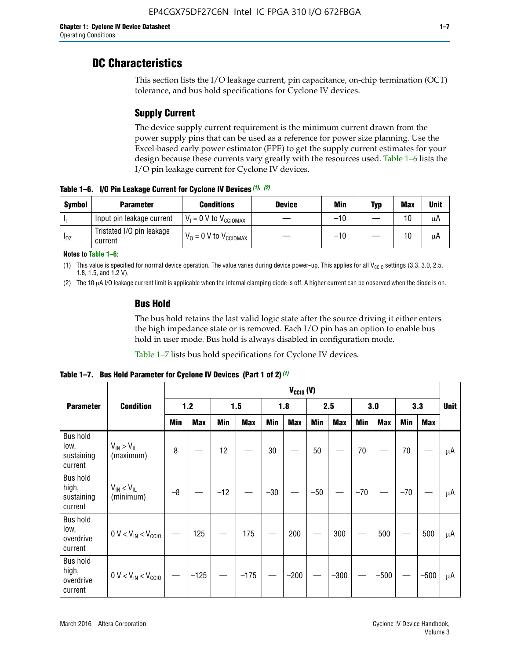## **DC Characteristics**

This section lists the I/O leakage current, pin capacitance, on-chip termination (OCT) tolerance, and bus hold specifications for Cyclone IV devices.

## **Supply Current**

The device supply current requirement is the minimum current drawn from the power supply pins that can be used as a reference for power size planning. Use the Excel-based early power estimator (EPE) to get the supply current estimates for your design because these currents vary greatly with the resources used. Table 1–6 lists the I/O pin leakage current for Cyclone IV devices.

**Table 1–6. I/O Pin Leakage Current for Cyclone IV Devices** *(1)***,** *(2)*

| <b>Symbol</b> | <b>Parameter</b>                     | <b>Conditions</b>                     | <b>Device</b> | Min   | Typ | <b>Max</b> | <b>Unit</b> |
|---------------|--------------------------------------|---------------------------------------|---------------|-------|-----|------------|-------------|
| -lı           | Input pin leakage current            | $V_1 = 0$ V to $V_{\text{CCIOMAX}}$   |               | $-10$ |     | 10         | μA          |
| $I_{0Z}$      | Tristated I/O pin leakage<br>current | $V_0 = 0 V$ to $V_{\text{CCIOMAX}}$ I |               | $-10$ |     | 10         | μA          |

**Notes to Table 1–6:**

(1) This value is specified for normal device operation. The value varies during device power-up. This applies for all V<sub>CCIO</sub> settings (3.3, 3.0, 2.5, 1.8, 1.5, and 1.2 V).

(2) The 10 µA I/O leakage current limit is applicable when the internal clamping diode is off. A higher current can be observed when the diode is on.

## **Bus Hold**

The bus hold retains the last valid logic state after the source driving it either enters the high impedance state or is removed. Each I/O pin has an option to enable bus hold in user mode. Bus hold is always disabled in configuration mode.

Table 1–7 lists bus hold specifications for Cyclone IV devices.

|                                                   |                                  | $V_{CClO}$ (V) |            |       |            |            |            |            |            |       |            |       |            |             |
|---------------------------------------------------|----------------------------------|----------------|------------|-------|------------|------------|------------|------------|------------|-------|------------|-------|------------|-------------|
| <b>Parameter</b>                                  | <b>Condition</b>                 |                | 1.2        |       | 1.5        |            | 1.8        |            | 2.5        |       | 3.0        |       | 3.3        | <b>Unit</b> |
|                                                   |                                  | <b>Min</b>     | <b>Max</b> | Min   | <b>Max</b> | <b>Min</b> | <b>Max</b> | <b>Min</b> | <b>Max</b> | Min   | <b>Max</b> | Min   | <b>Max</b> |             |
| <b>Bus hold</b><br>low,<br>sustaining<br>current  | $V_{IN}$ > $V_{IL}$<br>(maximum) | 8              |            | 12    |            | $30\,$     |            | 50         |            | 70    |            | 70    |            | μA          |
| <b>Bus hold</b><br>high,<br>sustaining<br>current | $V_{IN}$ < $V_{IL}$<br>(minimum) | $-8$           |            | $-12$ |            | $-30$      |            | $-50$      |            | $-70$ |            | $-70$ |            | μA          |
| <b>Bus hold</b><br>low,<br>overdrive<br>current   | $0 V < V_{IN} < V_{CG10}$        |                | 125        |       | 175        |            | 200        |            | 300        |       | 500        |       | 500        | μA          |
| <b>Bus hold</b><br>high,<br>overdrive<br>current  | $0 V < V_{IN} < V_{CG10}$        |                | $-125$     |       | $-175$     |            | $-200$     |            | $-300$     |       | $-500$     |       | $-500$     | μA          |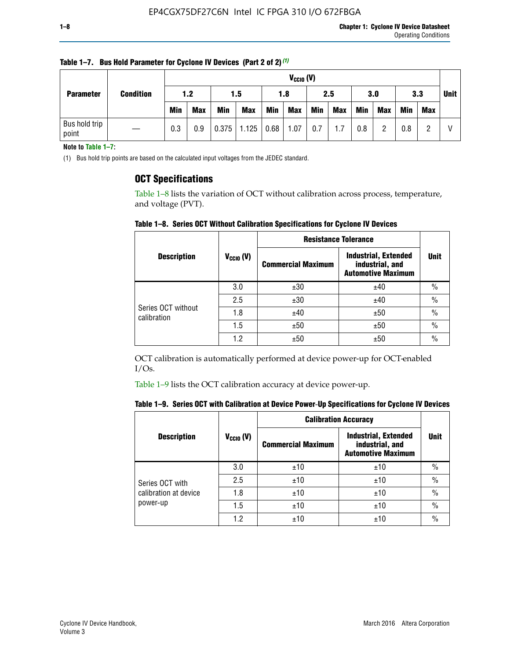| <b>Parameter</b>       |                  |            | $V_{CClO}$ (V) |            |            |      |            |     |     |     |            |            |     |             |
|------------------------|------------------|------------|----------------|------------|------------|------|------------|-----|-----|-----|------------|------------|-----|-------------|
|                        | <b>Condition</b> | 1.2        |                |            | 1.5<br>1.8 |      |            | 2.5 |     | 3.0 |            | 3.3        |     | <b>Unit</b> |
|                        |                  | <b>Min</b> | <b>Max</b>     | <b>Min</b> | <b>Max</b> | Min  | <b>Max</b> | Min | Max | Min | <b>Max</b> | <b>Min</b> | Max |             |
| Bus hold trip<br>point |                  | 0.3        | 0.9            | 0.375      | 1.125      | 0.68 | 1.07       | 0.7 | 1.7 | 0.8 | റ          | 0.8        |     |             |

**Table 1–7. Bus Hold Parameter for Cyclone IV Devices (Part 2 of 2)** *(1)*

**Note to Table 1–7:**

(1) Bus hold trip points are based on the calculated input voltages from the JEDEC standard.

## **OCT Specifications**

Table 1–8 lists the variation of OCT without calibration across process, temperature, and voltage (PVT).

**Table 1–8. Series OCT Without Calibration Specifications for Cyclone IV Devices**

|                                   |                      | <b>Resistance Tolerance</b> |                                                                             |               |
|-----------------------------------|----------------------|-----------------------------|-----------------------------------------------------------------------------|---------------|
| <b>Description</b>                | $V_{\text{CCIO}}(V)$ | <b>Commercial Maximum</b>   | <b>Industrial, Extended</b><br>industrial, and<br><b>Automotive Maximum</b> | <b>Unit</b>   |
|                                   | 3.0                  | ±30                         | ±40                                                                         | $\frac{0}{0}$ |
|                                   | 2.5                  | ±30                         | ±40                                                                         | $\frac{0}{0}$ |
| Series OCT without<br>calibration | 1.8                  | ±40                         | ±50                                                                         | $\frac{0}{0}$ |
|                                   | 1.5                  | ±50                         | ±50                                                                         | $\frac{0}{0}$ |
|                                   | 1.2                  | ±50                         | ±50                                                                         | $\frac{0}{0}$ |

OCT calibration is automatically performed at device power-up for OCT-enabled I/Os.

Table 1–9 lists the OCT calibration accuracy at device power-up.

|  | Table 1–9.  Series OCT with Calibration at Device Power-Up Specifications for Cyclone IV Devices |  |  |  |
|--|--------------------------------------------------------------------------------------------------|--|--|--|
|--|--------------------------------------------------------------------------------------------------|--|--|--|

|                                   |                | <b>Calibration Accuracy</b> |                                                                             |               |
|-----------------------------------|----------------|-----------------------------|-----------------------------------------------------------------------------|---------------|
| <b>Description</b>                | $V_{CGI0} (V)$ | <b>Commercial Maximum</b>   | <b>Industrial, Extended</b><br>industrial, and<br><b>Automotive Maximum</b> | Unit          |
|                                   | 3.0            | ±10                         | ±10                                                                         | $\%$          |
| Series OCT with                   | 2.5            | ±10                         | ±10                                                                         | $\%$          |
| calibration at device<br>power-up | 1.8            | ±10                         | ±10                                                                         | $\frac{0}{0}$ |
|                                   | 1.5            | ±10                         | ±10                                                                         | $\frac{0}{0}$ |
|                                   | 1.2            | ±10                         | ±10                                                                         | $\frac{0}{0}$ |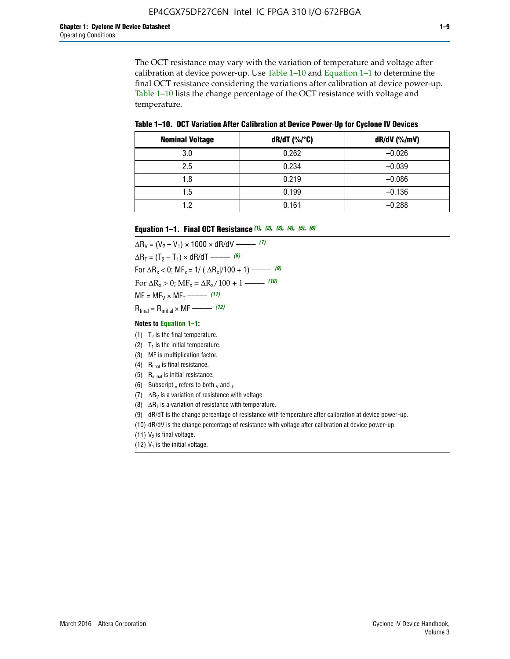The OCT resistance may vary with the variation of temperature and voltage after calibration at device power-up. Use Table 1–10 and Equation 1–1 to determine the final OCT resistance considering the variations after calibration at device power-up. Table 1–10 lists the change percentage of the OCT resistance with voltage and temperature.

**Table 1–10. OCT Variation After Calibration at Device Power**-**Up for Cyclone IV Devices**

| <b>Nominal Voltage</b> | dR/dT (%/°C) | $dR/dV$ (%/mV) |
|------------------------|--------------|----------------|
| 3.0                    | 0.262        | $-0.026$       |
| 2.5                    | 0.234        | $-0.039$       |
| 1.8                    | 0.219        | $-0.086$       |
| 1.5                    | 0.199        | $-0.136$       |
| 1.2                    | 0.161        | $-0.288$       |

#### **Equation 1–1. Final OCT Resistance** *(1)***,** *(2)***,** *(3)***,** *(4)***,** *(5)***,** *(6)*

 $\Delta R_V = (V_2 - V_1) \times 1000 \times dR/dV$  ––––––––––––(7)  $\Delta R_T = (T_2 - T_1) \times dR/dT$  ––––––– (8) For  $\Delta R_x < 0$ ; MF<sub>x</sub> = 1/ ( $|\Delta R_x|/100 + 1$ ) –––––– (9) For  $\Delta R_x > 0$ ;  $\text{MF}_x = \Delta R_x / 100 + 1$  ——– (10)  $MF = MF_V \times MF_T$  –––––––––––(11) Rfinal = Rinitial × MF ––––– *(12)*

#### **Notes to Equation 1–1:**

- (1)  $T_2$  is the final temperature.
- (2)  $T_1$  is the initial temperature.
- (3) MF is multiplication factor.
- (4)  $R<sub>final</sub>$  is final resistance.
- (5) Rinitial is initial resistance.
- (6) Subscript x refers to both  $\sqrt{v}$  and  $\sqrt{v}$ .
- (7)  $\Delta R_V$  is a variation of resistance with voltage.
- (8)  $\Delta R_T$  is a variation of resistance with temperature.
- (9) dR/dT is the change percentage of resistance with temperature after calibration at device power-up.
- (10) dR/dV is the change percentage of resistance with voltage after calibration at device power-up.
- (11)  $V_2$  is final voltage.
- (12)  $V_1$  is the initial voltage.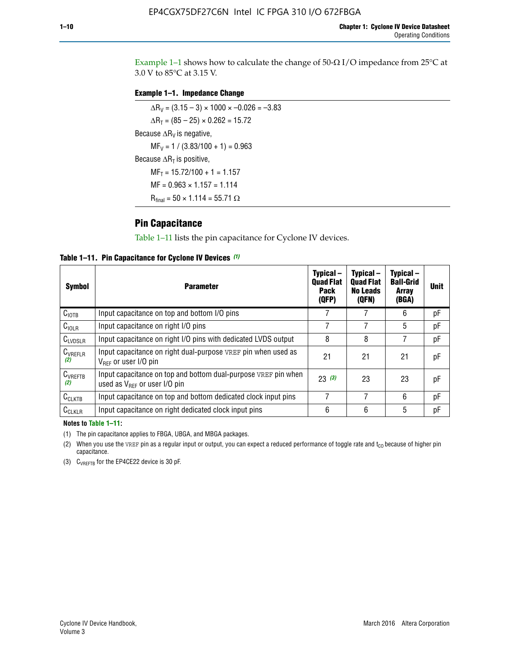Example 1-1 shows how to calculate the change of  $50$ - $\Omega$  I/O impedance from 25°C at 3.0 V to 85°C at 3.15 V.

## **Example 1–1. Impedance Change**

 $\Delta R_V = (3.15 - 3) \times 1000 \times -0.026 = -3.83$  $\Delta R_T = (85 - 25) \times 0.262 = 15.72$ Because  $\Delta R_V$  is negative,  $MF_V = 1 / (3.83/100 + 1) = 0.963$ Because  $\Delta R_T$  is positive,  $MF_T = 15.72/100 + 1 = 1.157$  $MF = 0.963 \times 1.157 = 1.114$  $R_{final} = 50 \times 1.114 = 55.71 \Omega$ 

## **Pin Capacitance**

Table 1–11 lists the pin capacitance for Cyclone IV devices.

**Table 1–11. Pin Capacitance for Cyclone IV Devices** *(1)*

| <b>Symbol</b>       | <b>Parameter</b>                                                                                    | Typical-<br><b>Quad Flat</b><br><b>Pack</b><br>(QFP) | Typical-<br><b>Quad Flat</b><br><b>No Leads</b><br>(QFN) | Typical-<br><b>Ball-Grid</b><br><b>Array</b><br>(BGA) | <b>Unit</b> |
|---------------------|-----------------------------------------------------------------------------------------------------|------------------------------------------------------|----------------------------------------------------------|-------------------------------------------------------|-------------|
| C <sub>IOTB</sub>   | Input capacitance on top and bottom I/O pins                                                        |                                                      |                                                          | 6                                                     | рF          |
| $C_{IOLR}$          | Input capacitance on right I/O pins                                                                 |                                                      |                                                          | 5                                                     | pF          |
| $C_{LVDSLR}$        | Input capacitance on right I/O pins with dedicated LVDS output                                      | 8                                                    | 8                                                        | 7                                                     | рF          |
| $C_{VREFLR}$<br>(2) | Input capacitance on right dual-purpose VREF pin when used as<br>$V_{BFF}$ or user I/O pin          | 21                                                   | 21                                                       | 21                                                    | pF          |
| $C_{VREFTB}$<br>(2) | Input capacitance on top and bottom dual-purpose VREF pin when<br>used as $V_{BFF}$ or user I/O pin | 23(3)                                                | 23                                                       | 23                                                    | рF          |
| $C_{CLKTB}$         | Input capacitance on top and bottom dedicated clock input pins                                      |                                                      | 7                                                        | 6                                                     | рF          |
| $C_{CLKLR}$         | Input capacitance on right dedicated clock input pins                                               | 6                                                    | 6                                                        | 5                                                     | рF          |

#### **Notes to Table 1–11:**

(1) The pin capacitance applies to FBGA, UBGA, and MBGA packages.

(2) When you use the VREF pin as a regular input or output, you can expect a reduced performance of toggle rate and  $t_{\rm CO}$  because of higher pin capacitance.

(3) CVREFTB for the EP4CE22 device is 30 pF.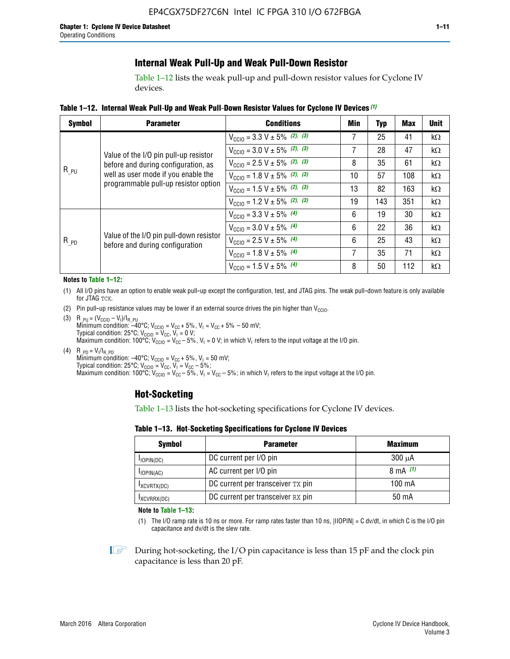## **Internal Weak Pull-Up and Weak Pull-Down Resistor**

Table 1–12 lists the weak pull-up and pull-down resistor values for Cyclone IV devices.

**Table 1–12. Internal Weak Pull**-**Up and Weak Pull**-**Down Resistor Values for Cyclone IV Devices** *(1)*

| <b>Symbol</b> | <b>Parameter</b>                                                            | <b>Conditions</b>                                  | Min | Typ | <b>Max</b> | <b>Unit</b> |
|---------------|-----------------------------------------------------------------------------|----------------------------------------------------|-----|-----|------------|-------------|
|               |                                                                             | $V_{\text{CC10}} = 3.3 \text{ V} \pm 5\%$ (2), (3) |     | 25  | 41         | kΩ          |
|               | Value of the I/O pin pull-up resistor                                       | $V_{\text{CC10}} = 3.0 \text{ V} \pm 5\%$ (2), (3) | 7   | 28  | 47         | kΩ          |
|               | before and during configuration, as                                         | $V_{\text{CC10}} = 2.5 V \pm 5\%$ (2), (3)         | 8   | 35  | 61         | kΩ          |
| $R_{PU}$      | well as user mode if you enable the<br>programmable pull-up resistor option | $V_{\text{CC10}} = 1.8 V \pm 5\%$ (2), (3)         | 10  | 57  | 108        | kΩ          |
|               |                                                                             | $V_{\text{CC10}} = 1.5 \text{ V} \pm 5\%$ (2), (3) | 13  | 82  | 163        | $k\Omega$   |
|               |                                                                             | $V_{\text{CGI0}} = 1.2 V \pm 5\%$ (2), (3)         | 19  | 143 | 351        | kΩ          |
|               |                                                                             | $V_{\text{CC10}} = 3.3 V \pm 5\%$ (4)              | 6   | 19  | 30         | kΩ          |
|               |                                                                             | $V_{\text{CC10}} = 3.0 V \pm 5\%$ (4)              | 6   | 22  | 36         | kΩ          |
| $R_{PD}$      | Value of the I/O pin pull-down resistor<br>before and during configuration  | $V_{\text{CC10}} = 2.5 V \pm 5\%$ (4)              | 6   | 25  | 43         | kΩ          |
|               |                                                                             | $V_{\text{CC10}} = 1.8 \text{ V} \pm 5\%$ (4)      | 7   | 35  | 71         | kΩ          |
|               |                                                                             | $V_{\text{CC10}} = 1.5 V \pm 5\%$ (4)              | 8   | 50  | 112        | kΩ          |

#### **Notes to Table 1–12:**

- (1) All I/O pins have an option to enable weak pull-up except the configuration, test, and JTAG pins. The weak pull-down feature is only available for JTAG TCK.
- (2) Pin pull-up resistance values may be lower if an external source drives the pin higher than  $V_{\text{CCIO}}$ .
- (3)  $R_{PU} = (V_{CC10} V_1)/I_{R_PU}$ Minimum condition: –40°C; V<sub>CCIO</sub> = V<sub>CC</sub> + 5%, V<sub>I</sub> = V<sub>CC</sub> + 5% – 50 mV; Typical condition: 25°C; V<sub>CCIO</sub> = V<sub>CC</sub>, V<sub>I</sub> = 0 V; Maximum condition: 100°C;  $V_{\text{CCIO}} = V_{\text{CC}} - 5\%$ ,  $V_1 = 0$  V; in which V<sub>I</sub> refers to the input voltage at the I/O pin.
- (4)  $R_{PD} = V_I/I_{R_PD}$ Minimum condition:  $-40^{\circ}$ C; V<sub>CCIO</sub> = V<sub>CC</sub> + 5%, V<sub>I</sub> = 50 mV; Typical condition: 25°C;  $V_{\text{CCIO}} = V_{\text{CC}}$ ,  $V_{\text{I}} = V_{\text{CC}} - 5\%$ ; Maximum condition: 100°C; V<sub>CClO</sub> = V<sub>CC</sub> – 5%, V<sub>I</sub> = V<sub>CC</sub> – 5%; in which V<sub>I</sub> refers to the input voltage at the I/O pin.

## **Hot-Socketing**

Table 1–13 lists the hot-socketing specifications for Cyclone IV devices.

**Table 1–13. Hot**-**Socketing Specifications for Cyclone IV Devices**

| <b>Symbol</b> | <b>Maximum</b>                    |             |
|---------------|-----------------------------------|-------------|
| $I$ IOPIN(DC) | DC current per I/O pin            | $300 \mu A$ |
| $I$ IOPIN(AC) | AC current per I/O pin            | 8 mA $(1)$  |
| IXCVRTX(DC)   | DC current per transceiver TX pin | 100 mA      |
| IXCVRRX(DC)   | DC current per transceiver RX pin | 50 mA       |

**Note to Table 1–13:**

(1) The I/O ramp rate is 10 ns or more. For ramp rates faster than 10 ns, |IIOPIN| = C dv/dt, in which C is the I/O pin capacitance and dv/dt is the slew rate.

 $\mathbb{I} \rightarrow \mathbb{I}$  During hot-socketing, the I/O pin capacitance is less than 15 pF and the clock pin capacitance is less than 20 pF.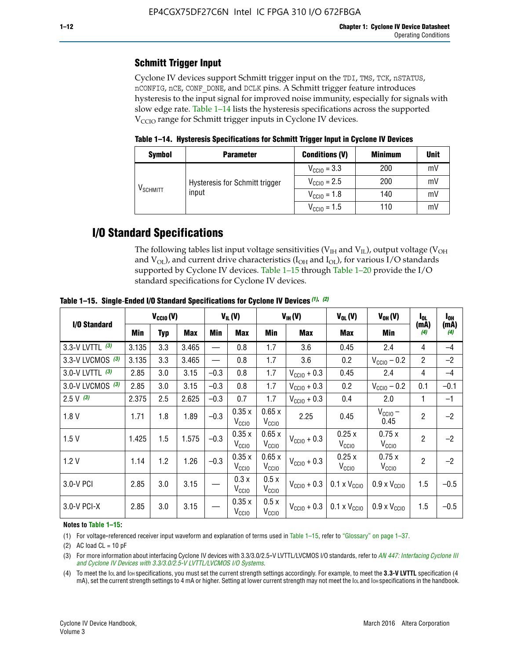## **Schmitt Trigger Input**

Cyclone IV devices support Schmitt trigger input on the TDI, TMS, TCK, nSTATUS, nCONFIG, nCE, CONF\_DONE, and DCLK pins. A Schmitt trigger feature introduces hysteresis to the input signal for improved noise immunity, especially for signals with slow edge rate. Table 1–14 lists the hysteresis specifications across the supported  $V<sub>CCIO</sub>$  range for Schmitt trigger inputs in Cyclone IV devices.

**Table 1–14. Hysteresis Specifications for Schmitt Trigger Input in Cyclone IV Devices**

| <b>Symbol</b>                  | <b>Parameter</b>               | <b>Conditions (V)</b>   | <b>Minimum</b> | <b>Unit</b> |
|--------------------------------|--------------------------------|-------------------------|----------------|-------------|
|                                |                                | $V_{\text{CGI0}} = 3.3$ | 200            | mV          |
|                                | Hysteresis for Schmitt trigger | $V_{\text{CCIO}} = 2.5$ | 200            | mV          |
| $\mathsf{V}_{\mathsf{SCHMIT}}$ | input                          | $V_{\text{CCIO}} = 1.8$ | 140            | mV          |
|                                |                                | $V_{\text{CCIO}} = 1.5$ | 110            | mV          |

## **I/O Standard Specifications**

The following tables list input voltage sensitivities ( $V<sub>IH</sub>$  and  $V<sub>II</sub>$ ), output voltage ( $V<sub>OH</sub>$ and  $V_{OL}$ ), and current drive characteristics ( $I_{OH}$  and  $I_{OL}$ ), for various I/O standards supported by Cyclone IV devices. Table 1–15 through Table 1–20 provide the I/O standard specifications for Cyclone IV devices.

|                   | $V_{CClO}(V)$ |     | $V_{IL}(V)$ |        | $V_{IH} (V)$               |                            | $V_{OL}(V)$             | $V_{OH} (V)$                 | l <sub>OL</sub>              | l <sub>oh</sub> |             |
|-------------------|---------------|-----|-------------|--------|----------------------------|----------------------------|-------------------------|------------------------------|------------------------------|-----------------|-------------|
| I/O Standard      | Min           | Typ | <b>Max</b>  | Min    | <b>Max</b>                 | Min                        | <b>Max</b>              | Max                          | Min                          | (mA)<br>(4)     | (mA)<br>(4) |
| 3.3-V LVTTL (3)   | 3.135         | 3.3 | 3.465       |        | 0.8                        | 1.7                        | 3.6                     | 0.45                         | 2.4                          | 4               | $-4$        |
| 3.3-V LVCMOS (3)  | 3.135         | 3.3 | 3.465       |        | 0.8                        | 1.7                        | 3.6                     | 0.2                          | $V_{\text{CCIO}} - 0.2$      | $\overline{2}$  | $-2$        |
| 3.0-V LVTTL $(3)$ | 2.85          | 3.0 | 3.15        | $-0.3$ | 0.8                        | 1.7                        | $V_{\text{CC10}} + 0.3$ | 0.45                         | 2.4                          | 4               | $-4$        |
| 3.0-V LVCMOS (3)  | 2.85          | 3.0 | 3.15        | $-0.3$ | 0.8                        | 1.7                        | $V_{\text{CCI}0}$ + 0.3 | 0.2                          | $V_{\text{CC10}} - 0.2$      | 0.1             | $-0.1$      |
| $2.5 V$ (3)       | 2.375         | 2.5 | 2.625       | $-0.3$ | 0.7                        | 1.7                        | $V_{\text{CCI}0}$ + 0.3 | 0.4                          | 2.0                          | 1               | $-1$        |
| 1.8V              | 1.71          | 1.8 | 1.89        | $-0.3$ | 0.35x<br>V <sub>CCIO</sub> | 0.65x<br>V <sub>CCIO</sub> | 2.25                    | 0.45                         | $V_{CGIO}$ –<br>0.45         | $\overline{2}$  | $-2$        |
| 1.5V              | 1.425         | 1.5 | 1.575       | $-0.3$ | 0.35x<br>V <sub>CCIO</sub> | 0.65x<br>V <sub>CCIO</sub> | $V_{\text{CC10}} + 0.3$ | 0.25x<br>$V_{\rm CClO}$      | 0.75x<br>V <sub>CCIO</sub>   | $\overline{2}$  | $-2$        |
| 1.2V              | 1.14          | 1.2 | 1.26        | $-0.3$ | 0.35x<br>V <sub>CCIO</sub> | 0.65x<br>V <sub>CCIO</sub> | $V_{\text{CGI0}} + 0.3$ | 0.25x<br>$V_{\rm CClO}$      | 0.75x<br>V <sub>CCIO</sub>   | $\overline{2}$  | $-2$        |
| 3.0-V PCI         | 2.85          | 3.0 | 3.15        |        | 0.3x<br>V <sub>CCIO</sub>  | 0.5x<br>V <sub>CCIO</sub>  | $V_{\text{CC10}} + 0.3$ | $0.1 \times V_{CC10}$        | $0.9 \times V_{\text{CC10}}$ | 1.5             | $-0.5$      |
| 3.0-V PCI-X       | 2.85          | 3.0 | 3.15        |        | 0.35x<br>V <sub>CCIO</sub> | 0.5x<br>V <sub>CCIO</sub>  | $V_{\text{CC}10} + 0.3$ | $0.1 \times V_{\text{CC10}}$ | $0.9 \times V_{\text{CC10}}$ | 1.5             | $-0.5$      |

**Table 1–15. Single**-**Ended I/O Standard Specifications for Cyclone IV Devices** *(1)***,** *(2)*

#### **Notes to Table 1–15:**

(1) For voltage-referenced receiver input waveform and explanation of terms used in Table 1–15, refer to "Glossary" on page 1–37.

(2) AC load  $CL = 10$  pF

(3) For more information about interfacing Cyclone IV devices with 3.3/3.0/2.5-V LVTTL/LVCMOS I/O standards, refer to *[AN 447: Interfacing Cyclone III](http://www.altera.com/literature/an/an447.pdf)  [and Cyclone IV Devices with 3.3/3.0/2.5-V LVTTL/LVCMOS I/O Systems](http://www.altera.com/literature/an/an447.pdf)*.

(4) To meet the IOL and IOH specifications, you must set the current strength settings accordingly. For example, to meet the **3.3-V LVTTL** specification (4 mA), set the current strength settings to 4 mA or higher. Setting at lower current strength may not meet the lou and lon specifications in the handbook.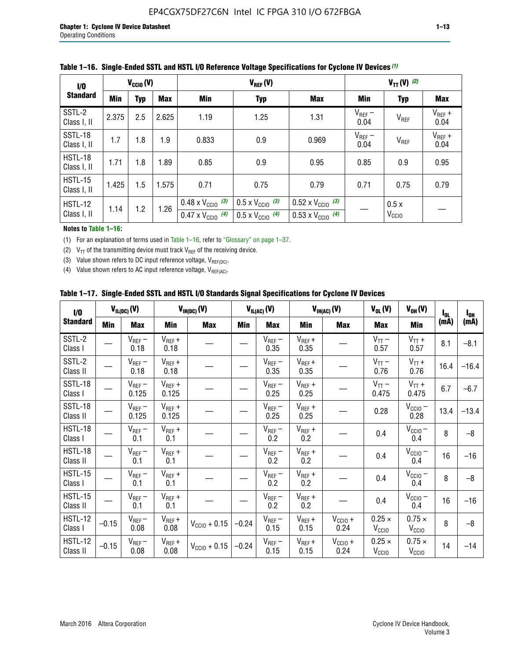| 1/0                    | $V_{CGI0}(V)$ |            |       | $V_{REF}(V)$                                                           |                                                                      |                                                                        | $V_{TT} (V)$ (2)    |                           |                     |  |
|------------------------|---------------|------------|-------|------------------------------------------------------------------------|----------------------------------------------------------------------|------------------------------------------------------------------------|---------------------|---------------------------|---------------------|--|
| <b>Standard</b>        | <b>Min</b>    | <b>Typ</b> | Max   | Min                                                                    | <b>Typ</b>                                                           | <b>Max</b>                                                             | Min                 | <b>Typ</b>                | <b>Max</b>          |  |
| SSTL-2<br>Class I, II  | 2.375         | 2.5        | 2.625 | 1.19                                                                   | 1.25                                                                 | 1.31                                                                   | $V_{REF}$ –<br>0.04 | V <sub>REF</sub>          | $V_{REF}$ +<br>0.04 |  |
| SSTL-18<br>Class I, II | 1.7           | 1.8        | 1.9   | 0.833                                                                  | 0.9                                                                  | 0.969                                                                  | $V_{REF}$ –<br>0.04 | V <sub>REF</sub>          | $V_{REF}$ +<br>0.04 |  |
| HSTL-18<br>Class I, II | 1.71          | 1.8        | . 89  | 0.85                                                                   | 0.9                                                                  | 0.95                                                                   | 0.85                | 0.9                       | 0.95                |  |
| HSTL-15<br>Class I, II | 1.425         | 1.5        | 1.575 | 0.71                                                                   | 0.75                                                                 | 0.79                                                                   | 0.71                | 0.75                      | 0.79                |  |
| HSTL-12<br>Class I, II | 1.14          | 1.2        | 1.26  | $0.48 \times V_{\text{CC10}}$ (3)<br>$0.47 \times V_{\text{CC10}}$ (4) | $0.5 \times V_{\text{CC10}}$ (3)<br>$0.5 \times V_{\text{CC10}}$ (4) | $0.52 \times V_{\text{CC10}}$ (3)<br>$0.53 \times V_{\text{CC10}}$ (4) |                     | 0.5x<br>V <sub>CCIO</sub> |                     |  |

|  |  |  |  | Table 1–16. Single-Ended SSTL and HSTL I/O Reference Voltage Specifications for Cyclone IV Devices (1) |
|--|--|--|--|--------------------------------------------------------------------------------------------------------|
|--|--|--|--|--------------------------------------------------------------------------------------------------------|

**Notes to Table 1–16:**

(1) For an explanation of terms used in Table 1–16, refer to "Glossary" on page 1–37.

(2)  $V_{TT}$  of the transmitting device must track  $V_{REF}$  of the receiving device.

(3) Value shown refers to DC input reference voltage,  $V_{REF(DC)}$ .

(4) Value shown refers to AC input reference voltage,  $V_{REF(AC)}$ .

|  | Table 1–17.  Single-Ended SSTL and HSTL I/O Standards Signal Specifications for Cyclone IV Devices |  |  |  |  |  |
|--|----------------------------------------------------------------------------------------------------|--|--|--|--|--|
|--|----------------------------------------------------------------------------------------------------|--|--|--|--|--|

| $\mathbf{I}/\mathbf{0}$    |            | $V_{IL(DC)}(V)$      |                      | $V_{IH(DC)}(V)$   |         | $V_{IL(AC)}(V)$     |                     | $V_{IH(AC)}(V)$      | $V_{OL}(V)$                        | $V_{OH} (V)$                       | $I_{0L}$ | $I_{0H}$ |
|----------------------------|------------|----------------------|----------------------|-------------------|---------|---------------------|---------------------|----------------------|------------------------------------|------------------------------------|----------|----------|
| <b>Standard</b>            | <b>Min</b> | <b>Max</b>           | <b>Min</b>           | <b>Max</b>        | Min     | <b>Max</b>          | <b>Min</b>          | <b>Max</b>           | <b>Max</b>                         | Min                                | (mA)     | (mA)     |
| SSTL-2<br>Class I          |            | $V_{REF}$ –<br>0.18  | $V_{REF} +$<br>0.18  |                   |         | $V_{REF}$ –<br>0.35 | $V_{REF} +$<br>0.35 |                      | $V_{TT}$ –<br>0.57                 | $V_{TT}$ +<br>0.57                 | 8.1      | $-8.1$   |
| SSTL-2<br>Class II         |            | $V_{REF}$ –<br>0.18  | $V_{REF} +$<br>0.18  |                   |         | $V_{REF}$ –<br>0.35 | $V_{REF} +$<br>0.35 |                      | $V_{TT}$ –<br>0.76                 | $V_{TT}$ +<br>0.76                 | 16.4     | $-16.4$  |
| SSTL-18<br>Class I         |            | $V_{REF}$ –<br>0.125 | $V_{REF} +$<br>0.125 |                   |         | $V_{REF}$ –<br>0.25 | $V_{REF}$ +<br>0.25 |                      | $V_{TT}$ –<br>0.475                | $V_{TT}$ +<br>0.475                | 6.7      | $-6.7$   |
| SSTL-18<br>Class II        |            | $V_{REF}$ –<br>0.125 | $V_{REF}$ +<br>0.125 |                   |         | $V_{REF}$ –<br>0.25 | $V_{REF}$ +<br>0.25 |                      | 0.28                               | $V_{CCIO}$ –<br>0.28               | 13.4     | $-13.4$  |
| <b>HSTL-18</b><br>Class I  |            | $V_{REF}$ –<br>0.1   | $V_{REF}$ +<br>0.1   |                   |         | $V_{REF}$ –<br>0.2  | $V_{REF}$ +<br>0.2  |                      | 0.4                                | $V_{CCIO}$ –<br>0.4                | 8        | $-8$     |
| HSTL-18<br>Class II        |            | $V_{REF}$ –<br>0.1   | $V_{REF}$ +<br>0.1   |                   |         | $V_{REF}$ –<br>0.2  | $V_{REF}$ +<br>0.2  |                      | 0.4                                | $V_{CCIO}$ -<br>0.4                | 16       | $-16$    |
| HSTL-15<br>Class I         |            | $V_{REF}$ –<br>0.1   | $V_{REF} +$<br>0.1   |                   |         | $V_{REF}$ –<br>0.2  | $V_{REF}$ +<br>0.2  |                      | 0.4                                | $V_{\text{CC10}} -$<br>0.4         | 8        | $-8$     |
| HSTL-15<br>Class II        |            | $V_{REF}$ –<br>0.1   | $V_{REF} +$<br>0.1   |                   |         | $V_{REF}$ –<br>0.2  | $V_{REF}$ +<br>0.2  |                      | 0.4                                | $V_{CC10}$ –<br>0.4                | 16       | $-16$    |
| <b>HSTL-12</b><br>Class I  | $-0.15$    | $V_{REF}$ –<br>0.08  | $V_{REF} +$<br>0.08  | $V_{CGI0} + 0.15$ | $-0.24$ | $V_{REF}$ –<br>0.15 | $V_{REF} +$<br>0.15 | $V_{CCIO} +$<br>0.24 | $0.25 \times$<br>V <sub>CCIO</sub> | $0.75 \times$<br>V <sub>CCIO</sub> | 8        | $-8$     |
| <b>HSTL-12</b><br>Class II | $-0.15$    | $V_{REF}-$<br>0.08   | $V_{REF} +$<br>0.08  | $V_{CGI0} + 0.15$ | $-0.24$ | $V_{REF}$ –<br>0.15 | $V_{REF} +$<br>0.15 | $V_{CCIO}$ +<br>0.24 | $0.25 \times$<br>V <sub>CCIO</sub> | $0.75 \times$<br>V <sub>CCIO</sub> | 14       | $-14$    |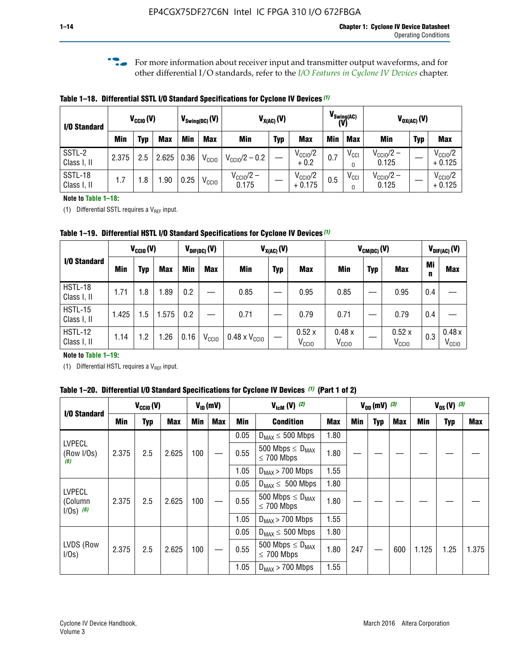**f For more information about receiver input and transmitter output waveforms, and for** other differential I/O standards, refer to the *[I/O Features in Cyclone IV Devices](http://www.altera.com/literature/hb/cyclone-iv/cyiv-51006.pdf)* chapter*.*

**Table 1–18. Differential SSTL I/O Standard Specifications for Cyclone IV Devices** *(1)*

| I/O Standard           |       | $V_{\text{CCIO}}(V)$ |            |      | $V_{\text{Swing(DC)}}(V)$ |                           | $V_{X(AC)}(V)$ |                                 | $V_{\text{Swing}(AC)}$<br>(V) |                       | $V_{OX(AC)}(V)$                |            |                                 |  |
|------------------------|-------|----------------------|------------|------|---------------------------|---------------------------|----------------|---------------------------------|-------------------------------|-----------------------|--------------------------------|------------|---------------------------------|--|
|                        | Min   | Typ                  | <b>Max</b> | Min  | <b>Max</b>                | <b>Min</b>                | <b>Typ</b>     | <b>Max</b>                      | <b>Min</b>                    | <b>Max</b>            | Min                            | <b>Typ</b> | <b>Max</b>                      |  |
| SSTL-2<br>Class I, II  | 2.375 | 2.5                  | 2.625      | 0.36 | V <sub>CCIO</sub>         | $V_{\text{CC10}}/2 - 0.2$ |                | $V_{\text{CC10}}/2$<br>$+0.2$   | 0.7                           | $V_{\text{CCI}}$      | $V_{CClO}/2 -$<br>0.125        |            | $V_{\text{CC10}}/2$<br>$+0.125$ |  |
| SSTL-18<br>Class I, II | 1.7   | .8                   | .90        | 0.25 | V <sub>CCIO</sub>         | $V_{CC10}/2 -$<br>0.175   |                | $V_{\text{CC10}}/2$<br>$+0.175$ | 0.5                           | $V_{\text{CCI}}$<br>0 | $V_{\text{CC10}}/2 -$<br>0.125 |            | $V_{\text{CC10}}/2$<br>$+0.125$ |  |

#### **Note to Table 1–18:**

(1) Differential SSTL requires a  $V_{REF}$  input.

**Table 1–19. Differential HSTL I/O Standard Specifications for Cyclone IV Devices** *(1)*

|                               | $V_{CClO}(V)$ |     |            | $V_{\text{DIF(DC)}}(V)$ |                   | $V_{X(AC)}(V)$                |            |                            | $V_{CM(DC)}(V)$            |            |                            |         | $V_{\text{DIF(AC)}}(V)$    |  |
|-------------------------------|---------------|-----|------------|-------------------------|-------------------|-------------------------------|------------|----------------------------|----------------------------|------------|----------------------------|---------|----------------------------|--|
| I/O Standard                  | Min           | Typ | <b>Max</b> | Min                     | <b>Max</b>        | Min                           | <b>Typ</b> | <b>Max</b>                 | Min                        | <b>Typ</b> | <b>Max</b>                 | Mi<br>n | <b>Max</b>                 |  |
| HSTL-18<br>Class I, II        | 1.71          | 1.8 | .89        | 0.2                     |                   | 0.85                          |            | 0.95                       | 0.85                       |            | 0.95                       | 0.4     |                            |  |
| <b>HSTL-15</b><br>Class I, II | 1.425         | 1.5 | .575       | $0.2\,$                 |                   | 0.71                          |            | 0.79                       | 0.71                       |            | 0.79                       | 0.4     |                            |  |
| <b>HSTL-12</b><br>Class I, II | 1.14          | 1.2 | 1.26       | 0.16                    | V <sub>CCIO</sub> | $0.48 \times V_{\text{CC10}}$ |            | 0.52x<br>V <sub>CCIO</sub> | 0.48x<br>V <sub>CCIO</sub> |            | 0.52x<br>V <sub>CCIO</sub> | 0.3     | 0.48x<br>V <sub>CCIO</sub> |  |

### **Note to Table 1–19:**

(1) Differential HSTL requires a  $V_{REF}$  input.

**Table 1–20. Differential I/O Standard Specifications for Cyclone IV Devices** *(1)* **(Part 1 of 2)**

| I/O Standard                            |       | $V_{CCl0} (V)$ |            | $V_{\text{lcm}}(V)^{(2)}$<br>$V_{ID}$ (mV) |            |      |                                                     |            | $V_{0D}$ (mV) $(3)$ |     |     | $V_{0S} (V)^{(3)}$ |            |       |
|-----------------------------------------|-------|----------------|------------|--------------------------------------------|------------|------|-----------------------------------------------------|------------|---------------------|-----|-----|--------------------|------------|-------|
|                                         | Min   | Typ            | <b>Max</b> | <b>Min</b>                                 | <b>Max</b> | Min  | <b>Condition</b>                                    | <b>Max</b> | Min                 | Typ | Max | Min                | <b>Typ</b> | Max   |
|                                         |       |                |            |                                            |            | 0.05 | $D_{MAX} \leq 500$ Mbps                             | 1.80       |                     |     |     |                    |            |       |
| <b>LVPECL</b><br>(Row I/Os)<br>(6)      | 2.375 | 2.5            | 2.625      | 100                                        |            | 0.55 | 500 Mbps $\leq$ D <sub>MAX</sub><br>$\leq$ 700 Mbps | 1.80       |                     |     |     |                    |            |       |
|                                         |       |                |            |                                            |            | 1.05 | $D_{MAX}$ > 700 Mbps                                | 1.55       |                     |     |     |                    |            |       |
|                                         |       |                |            |                                            |            | 0.05 | $D_{MAX} \leq 500$ Mbps                             | 1.80       |                     |     |     |                    |            |       |
| <b>LVPECL</b><br>(Column<br>$1/Os)$ (6) | 2.375 | 2.5            | 2.625      | 100                                        |            | 0.55 | 500 Mbps $\leq D_{MAX}$<br>$\leq$ 700 Mbps          | 1.80       |                     |     |     |                    |            |       |
|                                         |       |                |            |                                            |            | 1.05 | $D_{MAX}$ > 700 Mbps                                | 1.55       |                     |     |     |                    |            |       |
|                                         |       |                |            |                                            |            | 0.05 | $D_{MAX} \leq 500$ Mbps                             | 1.80       |                     |     |     |                    |            |       |
| LVDS (Row<br>I/Os)                      | 2.375 | 2.5            | 2.625      | 100                                        |            | 0.55 | 500 Mbps $\leq D_{MAX}$<br>$\leq 700$ Mbps          | 1.80       | 247                 |     | 600 | 1.125              | 1.25       | 1.375 |
|                                         |       |                |            |                                            |            | 1.05 | $D_{MAX}$ > 700 Mbps                                | 1.55       |                     |     |     |                    |            |       |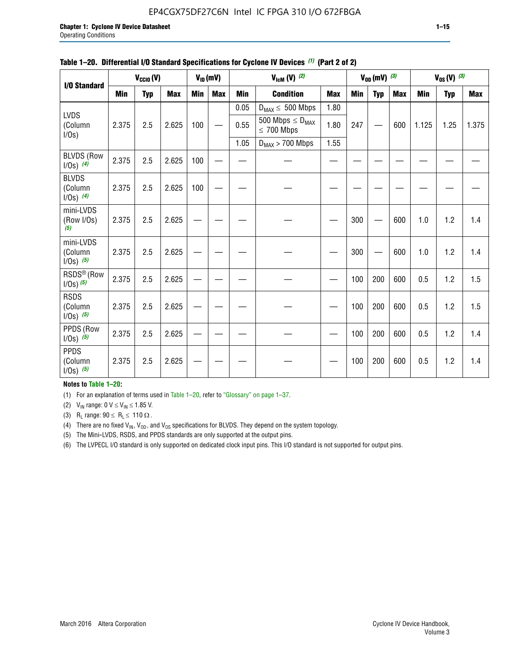## EP4CGX75DF27C6N Intel IC FPGA 310 I/O 672FBGA

|                                         |       | $V_{CClO}(V)$ |            |     | $V_{ID}(mV)$ |            | $V_{\text{lcm}}(V)^{(2)}$                  |            |     | $V_{OD}$ (mV) $(3)$ |            | $V_{0S} (V)$ (3) |            |            |
|-----------------------------------------|-------|---------------|------------|-----|--------------|------------|--------------------------------------------|------------|-----|---------------------|------------|------------------|------------|------------|
| I/O Standard                            | Min   | <b>Typ</b>    | <b>Max</b> | Min | <b>Max</b>   | <b>Min</b> | <b>Condition</b>                           | <b>Max</b> | Min | Typ                 | <b>Max</b> | Min              | <b>Typ</b> | <b>Max</b> |
|                                         |       |               |            |     |              | 0.05       | $D_{MAX} \leq 500$ Mbps                    | 1.80       |     |                     |            |                  |            |            |
| <b>LVDS</b><br>(Column<br>$I/Os$ )      | 2.375 | 2.5           | 2.625      | 100 |              | 0.55       | 500 Mbps $\leq D_{MAX}$<br>$\leq 700$ Mbps | 1.80       | 247 |                     | 600        | 1.125            | 1.25       | 1.375      |
|                                         |       |               |            |     |              | 1.05       | $D_{MAX}$ > 700 Mbps                       | 1.55       |     |                     |            |                  |            |            |
| <b>BLVDS (Row</b><br>$1/0s)$ (4)        | 2.375 | 2.5           | 2.625      | 100 |              |            |                                            |            |     |                     |            |                  |            |            |
| <b>BLVDS</b><br>(Column<br>$1/0s)$ (4)  | 2.375 | 2.5           | 2.625      | 100 |              |            |                                            |            |     |                     |            |                  |            |            |
| mini-LVDS<br>(Row I/Os)<br>(5)          | 2.375 | 2.5           | 2.625      |     |              |            |                                            |            | 300 |                     | 600        | 1.0              | 1.2        | 1.4        |
| mini-LVDS<br>(Column<br>$1/0s)$ (5)     | 2.375 | 2.5           | 2.625      |     |              |            |                                            |            | 300 |                     | 600        | 1.0              | 1.2        | 1.4        |
| RSDS <sup>®</sup> (Row<br>$1/0s)$ $(5)$ | 2.375 | 2.5           | 2.625      |     |              |            |                                            |            | 100 | 200                 | 600        | 0.5              | 1.2        | 1.5        |
| <b>RSDS</b><br>(Column<br>$1/Os)$ (5)   | 2.375 | 2.5           | 2.625      |     |              |            |                                            |            | 100 | 200                 | 600        | 0.5              | 1.2        | 1.5        |
| PPDS (Row<br>$1/Os)$ (5)                | 2.375 | 2.5           | 2.625      |     |              |            |                                            |            | 100 | 200                 | 600        | 0.5              | 1.2        | 1.4        |
| <b>PPDS</b><br>(Column<br>$1/0s)$ (5)   | 2.375 | 2.5           | 2.625      |     |              |            |                                            |            | 100 | 200                 | 600        | 0.5              | 1.2        | 1.4        |

### **Table 1–20. Differential I/O Standard Specifications for Cyclone IV Devices** *(1)* **(Part 2 of 2)**

## **Notes to Table 1–20:**

(1) For an explanation of terms used in Table 1–20, refer to "Glossary" on page 1–37.

(2)  $V_{IN}$  range: 0  $V \le V_{IN} \le 1.85$  V.

(3) R<sub>L</sub> range:  $90 \le R_L \le 110 \Omega$ .

(4) There are no fixed  $V_{IN}$ ,  $V_{OD}$ , and  $V_{OS}$  specifications for BLVDS. They depend on the system topology.

(5) The Mini-LVDS, RSDS, and PPDS standards are only supported at the output pins.

(6) The LVPECL I/O standard is only supported on dedicated clock input pins. This I/O standard is not supported for output pins.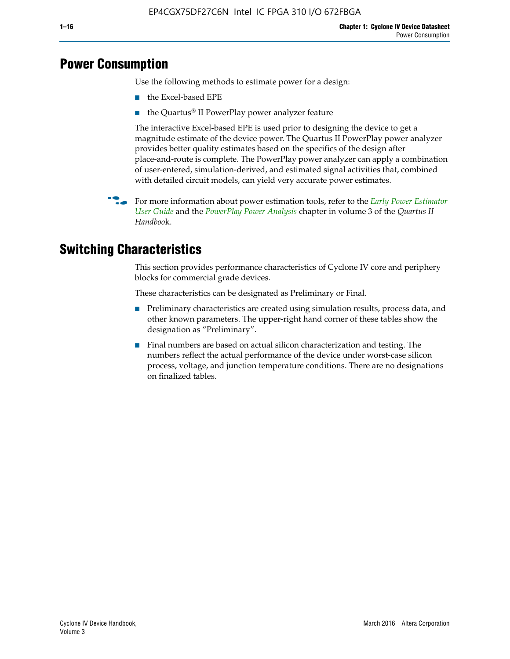## **Power Consumption**

Use the following methods to estimate power for a design:

- the Excel-based EPE
- the Quartus® II PowerPlay power analyzer feature

The interactive Excel-based EPE is used prior to designing the device to get a magnitude estimate of the device power. The Quartus II PowerPlay power analyzer provides better quality estimates based on the specifics of the design after place-and-route is complete. The PowerPlay power analyzer can apply a combination of user-entered, simulation-derived, and estimated signal activities that, combined with detailed circuit models, can yield very accurate power estimates.

f For more information about power estimation tools, refer to the *[Early Power Estimator](http://www.altera.com/literature/ug/ug_epe.pdf
)  [User Guide](http://www.altera.com/literature/ug/ug_epe.pdf
)* and the *[PowerPlay Power Analysis](http://www.altera.com/literature/hb/qts/qts_qii53013.pdf)* chapter in volume 3 of the *Quartus II Handboo*k.

## **Switching Characteristics**

This section provides performance characteristics of Cyclone IV core and periphery blocks for commercial grade devices.

These characteristics can be designated as Preliminary or Final.

- Preliminary characteristics are created using simulation results, process data, and other known parameters. The upper-right hand corner of these tables show the designation as "Preliminary".
- Final numbers are based on actual silicon characterization and testing. The numbers reflect the actual performance of the device under worst-case silicon process, voltage, and junction temperature conditions. There are no designations on finalized tables.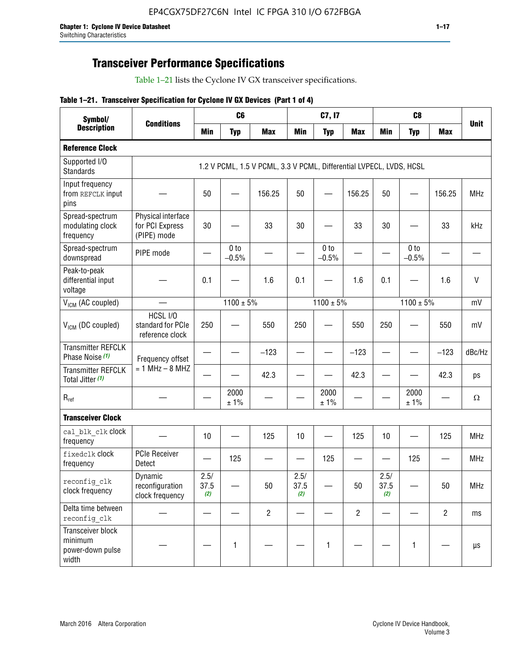## **Transceiver Performance Specifications**

Table 1–21 lists the Cyclone IV GX transceiver specifications.

|  |  |  |  | Table 1-21. Transceiver Specification for Cyclone IV GX Devices (Part 1 of 4) |  |
|--|--|--|--|-------------------------------------------------------------------------------|--|
|--|--|--|--|-------------------------------------------------------------------------------|--|

| Symbol/                                                   |                                                      |                     | C <sub>6</sub>             |                                                                     |                     | C7, I7                     |                |                     | C <sub>8</sub>             |                |             |
|-----------------------------------------------------------|------------------------------------------------------|---------------------|----------------------------|---------------------------------------------------------------------|---------------------|----------------------------|----------------|---------------------|----------------------------|----------------|-------------|
| <b>Description</b>                                        | <b>Conditions</b>                                    | <b>Min</b>          | <b>Typ</b>                 | <b>Max</b>                                                          | <b>Min</b>          | <b>Typ</b>                 | <b>Max</b>     | <b>Min</b>          | <b>Typ</b>                 | <b>Max</b>     | <b>Unit</b> |
| <b>Reference Clock</b>                                    |                                                      |                     |                            |                                                                     |                     |                            |                |                     |                            |                |             |
| Supported I/O<br><b>Standards</b>                         |                                                      |                     |                            | 1.2 V PCML, 1.5 V PCML, 3.3 V PCML, Differential LVPECL, LVDS, HCSL |                     |                            |                |                     |                            |                |             |
| Input frequency<br>from REFCLK input<br>pins              |                                                      | 50                  |                            | 156.25                                                              | 50                  |                            | 156.25         | 50                  | $\overline{\phantom{0}}$   | 156.25         | <b>MHz</b>  |
| Spread-spectrum<br>modulating clock<br>frequency          | Physical interface<br>for PCI Express<br>(PIPE) mode | 30                  |                            | 33                                                                  | 30                  |                            | 33             | 30                  |                            | 33             | kHz         |
| Spread-spectrum<br>downspread                             | PIPE mode                                            |                     | 0 <sub>to</sub><br>$-0.5%$ |                                                                     |                     | 0 <sub>to</sub><br>$-0.5%$ |                |                     | 0 <sub>to</sub><br>$-0.5%$ |                |             |
| Peak-to-peak<br>differential input<br>voltage             |                                                      | 0.1                 |                            | 1.6                                                                 | 0.1                 |                            | 1.6            | 0.1                 |                            | 1.6            | $\vee$      |
| V <sub>ICM</sub> (AC coupled)                             |                                                      |                     | $1100 \pm 5\%$             |                                                                     |                     | $1100 \pm 5\%$             |                |                     | $1100 \pm 5\%$             |                | mV          |
| $V_{ICM}$ (DC coupled)                                    | HCSL I/O<br>standard for PCIe<br>reference clock     | 250                 |                            | 550                                                                 | 250                 |                            | 550            | 250                 |                            | 550            | mV          |
| <b>Transmitter REFCLK</b><br>Phase Noise (1)              | Frequency offset                                     |                     |                            | $-123$                                                              |                     |                            | $-123$         |                     |                            | $-123$         | dBc/Hz      |
| <b>Transmitter REFCLK</b><br>Total Jitter (1)             | $= 1$ MHz $- 8$ MHZ                                  |                     |                            | 42.3                                                                |                     |                            | 42.3           |                     |                            | 42.3           | ps          |
| $\mathsf{R}_{\mathsf{ref}}$                               |                                                      |                     | 2000<br>± 1%               |                                                                     |                     | 2000<br>± 1%               |                |                     | 2000<br>± 1%               |                | Ω           |
| <b>Transceiver Clock</b>                                  |                                                      |                     |                            |                                                                     |                     |                            |                |                     |                            |                |             |
| cal blk clk clock<br>frequency                            |                                                      | 10                  |                            | 125                                                                 | 10                  |                            | 125            | 10                  |                            | 125            | <b>MHz</b>  |
| fixedclk Clock<br>frequency                               | <b>PCIe Receiver</b><br>Detect                       |                     | 125                        |                                                                     |                     | 125                        | —              |                     | 125                        |                | <b>MHz</b>  |
| reconfig clk<br>clock frequency                           | Dynamic<br>reconfiguration<br>clock frequency        | 2.5/<br>37.5<br>(2) |                            | 50                                                                  | 2.5/<br>37.5<br>(2) |                            | 50             | 2.5/<br>37.5<br>(2) |                            | 50             | <b>MHz</b>  |
| Delta time between<br>reconfig clk                        |                                                      |                     |                            | $\overline{2}$                                                      |                     |                            | $\overline{2}$ |                     |                            | $\overline{2}$ | ms          |
| Transceiver block<br>minimum<br>power-down pulse<br>width |                                                      |                     | $\mathbf{1}$               |                                                                     |                     | 1                          |                |                     | $\mathbf{1}$               |                | $\mu s$     |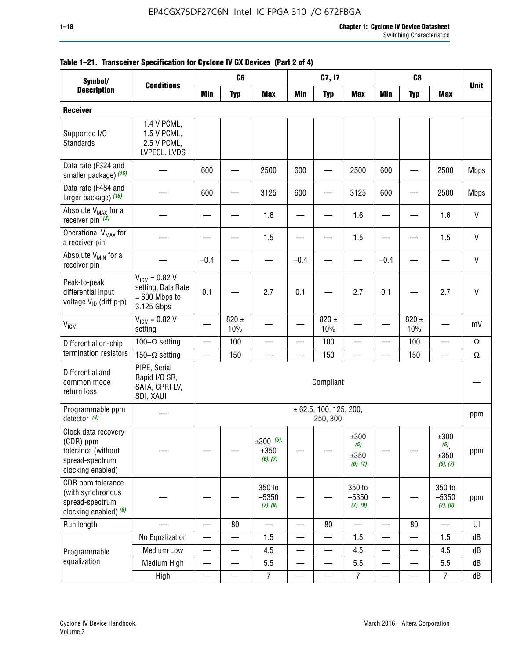| Symbol/                                                                                        |                                                                           | C <sub>6</sub><br>C7, I7<br>C <sub>8</sub> |                          |                                 |                          |                                        |                                     |                          |                          |                                                |              |
|------------------------------------------------------------------------------------------------|---------------------------------------------------------------------------|--------------------------------------------|--------------------------|---------------------------------|--------------------------|----------------------------------------|-------------------------------------|--------------------------|--------------------------|------------------------------------------------|--------------|
| <b>Description</b>                                                                             | <b>Conditions</b>                                                         | Min                                        | <b>Typ</b>               | <b>Max</b>                      | <b>Min</b>               | <b>Typ</b>                             | <b>Max</b>                          | <b>Min</b>               | <b>Typ</b>               | <b>Max</b>                                     | <b>Unit</b>  |
| <b>Receiver</b>                                                                                |                                                                           |                                            |                          |                                 |                          |                                        |                                     |                          |                          |                                                |              |
| Supported I/O<br>Standards                                                                     | 1.4 V PCML,<br>1.5 V PCML,<br>2.5 V PCML,<br>LVPECL, LVDS                 |                                            |                          |                                 |                          |                                        |                                     |                          |                          |                                                |              |
| Data rate (F324 and<br>smaller package) (15)                                                   |                                                                           | 600                                        |                          | 2500                            | 600                      |                                        | 2500                                | 600                      |                          | 2500                                           | <b>Mbps</b>  |
| Data rate (F484 and<br>larger package) (15)                                                    |                                                                           | 600                                        |                          | 3125                            | 600                      |                                        | 3125                                | 600                      |                          | 2500                                           | <b>Mbps</b>  |
| Absolute V <sub>MAX</sub> for a<br>receiver pin $(3)$                                          |                                                                           |                                            |                          | 1.6                             |                          |                                        | 1.6                                 |                          |                          | 1.6                                            | V            |
| Operational V <sub>MAX</sub> for<br>a receiver pin                                             |                                                                           |                                            |                          | 1.5                             |                          |                                        | 1.5                                 |                          |                          | 1.5                                            | V            |
| Absolute V <sub>MIN</sub> for a<br>receiver pin                                                |                                                                           | $-0.4$                                     |                          |                                 | $-0.4$                   |                                        |                                     | $-0.4$                   |                          |                                                | V            |
| Peak-to-peak<br>differential input<br>voltage V <sub>ID</sub> (diff p-p)                       | $V_{ICM} = 0.82 V$<br>setting, Data Rate<br>$= 600$ Mbps to<br>3.125 Gbps | 0.1                                        |                          | 2.7                             | 0.1                      |                                        | 2.7                                 | 0.1                      |                          | 2.7                                            | $\mathsf{V}$ |
| $V_{ICM}$                                                                                      | $V_{IGM} = 0.82 V$<br>setting                                             |                                            | $820 \pm$<br>10%         |                                 |                          | 820 $\pm$<br>10%                       |                                     |                          | $820 \pm$<br>10%         |                                                | mV           |
| Differential on-chip                                                                           | 100 $-\Omega$ setting                                                     | —                                          | 100                      |                                 |                          | 100                                    |                                     | <u>—</u>                 | 100                      |                                                | $\Omega$     |
| termination resistors                                                                          | 150 $-\Omega$ setting                                                     |                                            | 150                      |                                 |                          | 150                                    |                                     |                          | 150                      |                                                | $\Omega$     |
| Differential and<br>common mode<br>return loss                                                 | PIPE, Serial<br>Rapid I/O SR,<br>SATA, CPRI LV,<br>SDI, XAUI              |                                            |                          |                                 |                          | Compliant                              |                                     |                          |                          |                                                |              |
| Programmable ppm<br>detector $(4)$                                                             |                                                                           |                                            |                          |                                 |                          | $\pm$ 62.5, 100, 125, 200,<br>250, 300 |                                     |                          |                          |                                                | ppm          |
| Clock data recovery<br>(CDR) ppm<br>tolerance (without<br>spread-spectrum<br>clocking enabled) |                                                                           |                                            |                          | $±300$ (5),<br>±350<br>(6), (7) |                          |                                        | ±300<br>$(5)$ ,<br>±350<br>(6), (7) |                          |                          | ±300<br>$(5)$ <sub>,</sub><br>±350<br>(6), (7) | ppm          |
| CDR ppm tolerance<br>(with synchronous<br>spread-spectrum<br>clocking enabled) (8)             |                                                                           |                                            |                          | 350 to<br>$-5350$<br>(7), (9)   |                          |                                        | 350 to<br>$-5350$<br>(7), (9)       |                          |                          | 350 to<br>$-5350$<br>(7), (9)                  | ppm          |
| Run length                                                                                     |                                                                           |                                            | 80                       |                                 |                          | 80                                     | $\overline{\phantom{0}}$            | $\overline{\phantom{0}}$ | 80                       | $\overline{\phantom{0}}$                       | U            |
|                                                                                                | No Equalization                                                           | $\overline{\phantom{0}}$                   |                          | 1.5                             |                          | —                                      | 1.5                                 | $\overline{\phantom{0}}$ | $\overline{\phantom{0}}$ | 1.5                                            | dB           |
| Programmable                                                                                   | Medium Low                                                                | —                                          | $\overline{\phantom{0}}$ | 4.5                             |                          | —                                      | 4.5                                 | —                        | $\overline{\phantom{0}}$ | 4.5                                            | dB           |
| equalization                                                                                   | Medium High                                                               | $\overbrace{\phantom{aaaaa}}$              | $\overline{\phantom{0}}$ | 5.5                             | $\overline{\phantom{0}}$ | $\overline{\phantom{0}}$               | 5.5                                 | $\overline{\phantom{0}}$ | $\overline{\phantom{0}}$ | 5.5                                            | dB           |
|                                                                                                | High                                                                      |                                            | —                        | $\overline{7}$                  | $\qquad \qquad \qquad$   | $\overline{\phantom{0}}$               | $\overline{7}$                      | —                        | $\equiv$                 | $\overline{7}$                                 | dB           |

### **Table 1–21. Transceiver Specification for Cyclone IV GX Devices (Part 2 of 4)**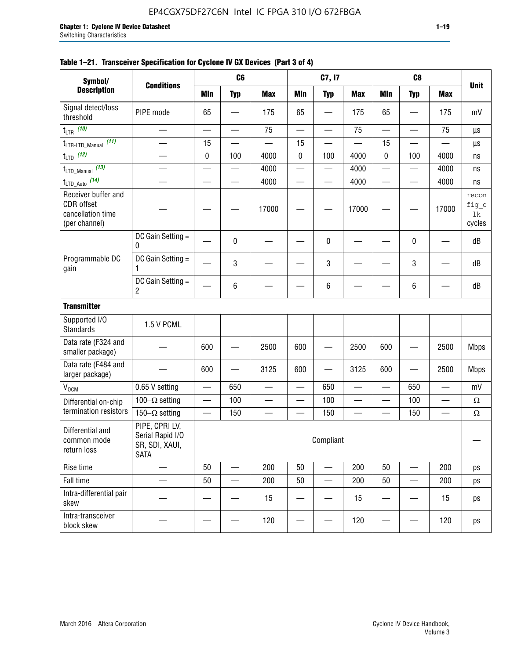## **Table 1–21. Transceiver Specification for Cyclone IV GX Devices (Part 3 of 4)**

| Symbol/                                                                 |                                                                     |                          | C <sub>6</sub>           |                          |                          | C7, I7                        |                          |                          | C <sub>8</sub>                 |                          |                                |
|-------------------------------------------------------------------------|---------------------------------------------------------------------|--------------------------|--------------------------|--------------------------|--------------------------|-------------------------------|--------------------------|--------------------------|--------------------------------|--------------------------|--------------------------------|
| <b>Description</b>                                                      | <b>Conditions</b>                                                   | <b>Min</b>               | <b>Typ</b>               | <b>Max</b>               | <b>Min</b>               | <b>Typ</b>                    | <b>Max</b>               | <b>Min</b>               | <b>Typ</b>                     | <b>Max</b>               | <b>Unit</b>                    |
| Signal detect/loss<br>threshold                                         | PIPE mode                                                           | 65                       |                          | 175                      | 65                       |                               | 175                      | 65                       | $\overline{\phantom{0}}$       | 175                      | mV                             |
| $t_{LTR}$ (10)                                                          | $\overline{\phantom{0}}$                                            | $\overline{\phantom{0}}$ | $\overline{\phantom{0}}$ | 75                       | $\overline{\phantom{0}}$ |                               | 75                       | $\overline{\phantom{0}}$ | $\qquad \qquad$                | 75                       | μs                             |
| (11)<br>$t_{\text{LTR-LTD\_Manual}}$                                    |                                                                     | 15                       |                          |                          | 15                       |                               |                          | 15                       | $\overline{\phantom{0}}$       |                          | μs                             |
| $t_{LTD}$ (12)                                                          |                                                                     | 0                        | 100                      | 4000                     | $\mathbf 0$              | 100                           | 4000                     | 0                        | 100                            | 4000                     | ns                             |
| $t_{\text{LTD\_Manual}}$ (13)                                           | $\overline{\phantom{0}}$                                            | $\overline{\phantom{0}}$ | $\overline{\phantom{0}}$ | 4000                     | $\overline{\phantom{0}}$ |                               | 4000                     | $\overline{\phantom{0}}$ | $\overline{\phantom{0}}$       | 4000                     | ns                             |
| $t_{\text{LTD\_Auto}}$ (14)                                             |                                                                     |                          |                          | 4000                     |                          |                               | 4000                     | $\overline{\phantom{0}}$ | $\overline{\phantom{0}}$       | 4000                     | ns                             |
| Receiver buffer and<br>CDR offset<br>cancellation time<br>(per channel) |                                                                     |                          |                          | 17000                    |                          |                               | 17000                    |                          |                                | 17000                    | recon<br>fig_c<br>lk<br>cycles |
|                                                                         | DC Gain Setting =<br>0                                              |                          | 0                        |                          |                          | 0                             |                          |                          | 0                              |                          | dB                             |
| Programmable DC<br>gain                                                 | DC Gain Setting =<br>1                                              |                          | 3                        |                          |                          | 3                             |                          |                          | $\mathbf 3$                    |                          | dB                             |
|                                                                         | DC Gain Setting =<br>$\overline{2}$                                 |                          | $\,6\,$                  |                          |                          | 6                             |                          |                          | 6                              |                          | dB                             |
| <b>Transmitter</b>                                                      |                                                                     |                          |                          |                          |                          |                               |                          |                          |                                |                          |                                |
| Supported I/O<br><b>Standards</b>                                       | 1.5 V PCML                                                          |                          |                          |                          |                          |                               |                          |                          |                                |                          |                                |
| Data rate (F324 and<br>smaller package)                                 |                                                                     | 600                      |                          | 2500                     | 600                      |                               | 2500                     | 600                      | $\overline{\phantom{0}}$       | 2500                     | <b>Mbps</b>                    |
| Data rate (F484 and<br>larger package)                                  |                                                                     | 600                      | —                        | 3125                     | 600                      | —                             | 3125                     | 600                      | —                              | 2500                     | <b>Mbps</b>                    |
| $\rm V_{\rm OCM}$                                                       | 0.65 V setting                                                      |                          | 650                      | $\overline{\phantom{0}}$ | $\overline{\phantom{0}}$ | 650                           | $\overline{\phantom{0}}$ | $\overline{\phantom{0}}$ | 650                            | $\overline{\phantom{0}}$ | mV                             |
| Differential on-chip                                                    | 100 $-\Omega$ setting                                               |                          | 100                      | $\overline{\phantom{0}}$ | $\overline{\phantom{0}}$ | 100                           | $\overline{\phantom{0}}$ | $\overline{\phantom{0}}$ | 100                            | $\overline{\phantom{0}}$ | $\Omega$                       |
| termination resistors                                                   | 150 $-\Omega$ setting                                               | $\qquad \qquad -$        | 150                      | $\overline{\phantom{0}}$ | —                        | 150                           | $\overline{\phantom{0}}$ | $\qquad \qquad$          | 150                            |                          | $\Omega$                       |
| Differential and<br>common mode<br>return loss                          | PIPE, CPRI LV,<br>Serial Rapid I/O<br>SR, SDI, XAUI,<br><b>SATA</b> |                          |                          |                          |                          | Compliant                     |                          |                          |                                |                          |                                |
| Rise time                                                               | $\qquad \qquad$                                                     | 50                       | $\overline{\phantom{0}}$ | 200                      | 50                       | $\overline{\phantom{0}}$      | 200                      | 50                       | $\overline{\phantom{0}}$       | 200                      | ps                             |
| Fall time                                                               | $\overline{\phantom{0}}$                                            | 50                       |                          | 200                      | 50                       | $\overbrace{\phantom{aaaaa}}$ | 200                      | 50                       | $\overline{\phantom{0}}$       | 200                      | ps                             |
| Intra-differential pair<br>skew                                         |                                                                     |                          |                          | 15                       |                          |                               | 15                       | —                        | $\qquad \qquad \longleftarrow$ | 15                       | ps                             |
| Intra-transceiver<br>block skew                                         |                                                                     |                          |                          | 120                      |                          |                               | 120                      |                          | —                              | 120                      | ps                             |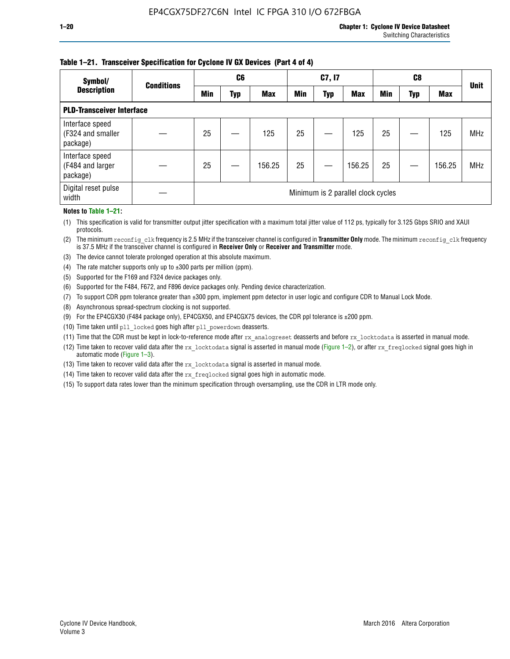### **Table 1–21. Transceiver Specification for Cyclone IV GX Devices (Part 4 of 4)**

| Symbol/                                          | <b>Conditions</b> | C <sub>6</sub>                     |     |            | C7, I7     |            |            |            |     | <b>Unit</b> |            |
|--------------------------------------------------|-------------------|------------------------------------|-----|------------|------------|------------|------------|------------|-----|-------------|------------|
| <b>Description</b>                               |                   | Min                                | Typ | <b>Max</b> | <b>Min</b> | <b>Typ</b> | <b>Max</b> | <b>Min</b> | Typ | <b>Max</b>  |            |
| <b>PLD-Transceiver Interface</b>                 |                   |                                    |     |            |            |            |            |            |     |             |            |
| Interface speed<br>(F324 and smaller<br>package) |                   | 25                                 |     | 125        | 25         |            | 125        | 25         |     | 125         | <b>MHz</b> |
| Interface speed<br>(F484 and larger<br>package)  |                   | 25                                 |     | 156.25     | 25         |            | 156.25     | 25         |     | 156.25      | <b>MHz</b> |
| Digital reset pulse<br>width                     |                   | Minimum is 2 parallel clock cycles |     |            |            |            |            |            |     |             |            |

#### **Notes to Table 1–21:**

(1) This specification is valid for transmitter output jitter specification with a maximum total jitter value of 112 ps, typically for 3.125 Gbps SRIO and XAUI protocols.

(2) The minimum reconfig\_clk frequency is 2.5 MHz if the transceiver channel is configured in **Transmitter Only** mode. The minimum reconfig\_clk frequency is 37.5 MHz if the transceiver channel is configured in **Receiver Only** or **Receiver and Transmitter** mode.

(3) The device cannot tolerate prolonged operation at this absolute maximum.

- (4) The rate matcher supports only up to  $\pm 300$  parts per million (ppm).
- (5) Supported for the F169 and F324 device packages only.
- (6) Supported for the F484, F672, and F896 device packages only. Pending device characterization.
- (7) To support CDR ppm tolerance greater than ±300 ppm, implement ppm detector in user logic and configure CDR to Manual Lock Mode.
- (8) Asynchronous spread-spectrum clocking is not supported.
- (9) For the EP4CGX30 (F484 package only), EP4CGX50, and EP4CGX75 devices, the CDR ppl tolerance is ±200 ppm.
- (10) Time taken until pll\_locked goes high after pll\_powerdown deasserts.
- (11) Time that the CDR must be kept in lock-to-reference mode after rx analogreset deasserts and before rx locktodata is asserted in manual mode.

(12) Time taken to recover valid data after the rx locktodata signal is asserted in manual mode (Figure 1–2), or after rx freqlocked signal goes high in automatic mode (Figure 1–3).

(13) Time taken to recover valid data after the rx locktodata signal is asserted in manual mode.

- (14) Time taken to recover valid data after the rx freqlocked signal goes high in automatic mode.
- (15) To support data rates lower than the minimum specification through oversampling, use the CDR in LTR mode only.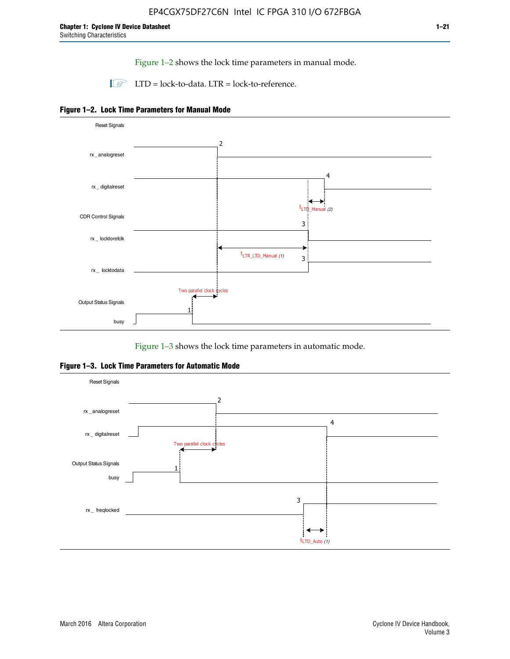Figure 1–2 shows the lock time parameters in manual mode.

 $\Box$  LTD = lock-to-data. LTR = lock-to-reference.





Figure 1–3 shows the lock time parameters in automatic mode.

**Figure 1–3. Lock Time Parameters for Automatic Mode**

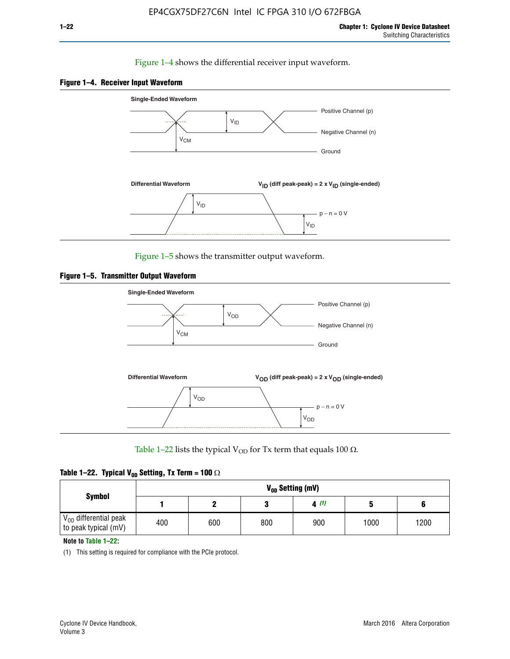### Figure 1–4 shows the differential receiver input waveform.





Figure 1–5 shows the transmitter output waveform.





Table 1–22 lists the typical V<sub>OD</sub> for Tx term that equals 100  $\Omega$ .

| Table 1–22. Typical V <sub>0D</sub> Setting, Tx Term = 100 $\Omega$ |  |  |  |  |  |  |  |
|---------------------------------------------------------------------|--|--|--|--|--|--|--|
|---------------------------------------------------------------------|--|--|--|--|--|--|--|

|                                                        |     |     |     | V <sub>on</sub> Setting (mV) |      |      |
|--------------------------------------------------------|-----|-----|-----|------------------------------|------|------|
| <b>Symbol</b>                                          |     |     |     | 4(1)                         |      |      |
| $\rm V_{OD}$ differential peak<br>to peak typical (mV) | 400 | 600 | 800 | 900                          | 1000 | 1200 |

**Note to Table 1–22:**

(1) This setting is required for compliance with the PCIe protocol.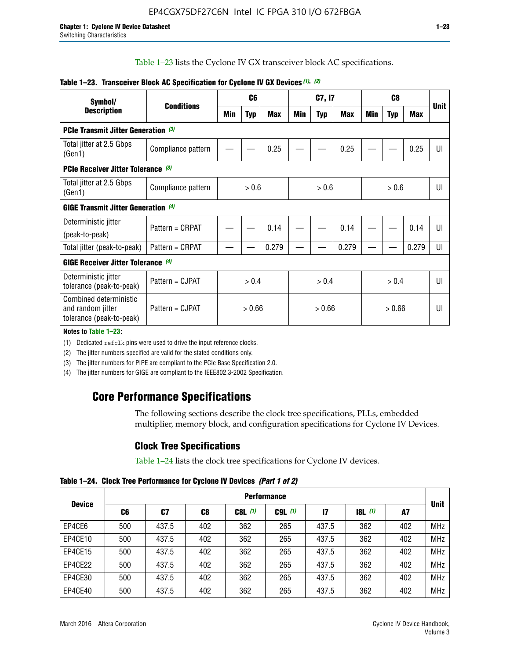Table 1–23 lists the Cyclone IV GX transceiver block AC specifications.

| Symbol/                                                                 | <b>Conditions</b>  | C <sub>6</sub> |        | C7, I7     |        |            | C <sub>8</sub> |     |            | <b>Unit</b> |    |
|-------------------------------------------------------------------------|--------------------|----------------|--------|------------|--------|------------|----------------|-----|------------|-------------|----|
| <b>Description</b>                                                      |                    | Min            | Typ    | <b>Max</b> | Min    | <b>Typ</b> | <b>Max</b>     | Min | <b>Typ</b> | Max         |    |
| PCIe Transmit Jitter Generation (3)                                     |                    |                |        |            |        |            |                |     |            |             |    |
| Total jitter at 2.5 Gbps<br>(Gen1)                                      | Compliance pattern |                |        | 0.25       |        |            | 0.25           |     |            | 0.25        | UI |
| <b>PCIe Receiver Jitter Tolerance</b> (3)                               |                    |                |        |            |        |            |                |     |            |             |    |
| Total jitter at 2.5 Gbps<br>(Gen1)                                      | Compliance pattern | > 0.6          |        | > 0.6      |        | > 0.6      |                | UI  |            |             |    |
| <b>GIGE Transmit Jitter Generation (4)</b>                              |                    |                |        |            |        |            |                |     |            |             |    |
| Deterministic jitter                                                    | Pattern = CRPAT    |                |        | 0.14       |        |            | 0.14           |     |            | 0.14        | UI |
| (peak-to-peak)                                                          |                    |                |        |            |        |            |                |     |            |             |    |
| Total jitter (peak-to-peak)                                             | Pattern = CRPAT    |                |        | 0.279      |        |            | 0.279          |     |            | 0.279       | UI |
| <b>GIGE Receiver Jitter Tolerance (4)</b>                               |                    |                |        |            |        |            |                |     |            |             |    |
| Deterministic jitter<br>tolerance (peak-to-peak)                        | Pattern = CJPAT    | > 0.4          |        | > 0.4      |        |            | > 0.4          |     | UI         |             |    |
| Combined deterministic<br>and random jitter<br>tolerance (peak-to-peak) | Pattern = CJPAT    |                | > 0.66 |            | > 0.66 |            | > 0.66         |     | UI         |             |    |

## **Table 1–23. Transceiver Block AC Specification for Cyclone IV GX Devices** *(1)***,** *(2)*

**Notes to Table 1–23:**

(1) Dedicated refclk pins were used to drive the input reference clocks.

(2) The jitter numbers specified are valid for the stated conditions only.

(3) The jitter numbers for PIPE are compliant to the PCIe Base Specification 2.0.

(4) The jitter numbers for GIGE are compliant to the IEEE802.3-2002 Specification.

## **Core Performance Specifications**

The following sections describe the clock tree specifications, PLLs, embedded multiplier, memory block, and configuration specifications for Cyclone IV Devices.

## **Clock Tree Specifications**

Table 1–24 lists the clock tree specifications for Cyclone IV devices.

**Table 1–24. Clock Tree Performance for Cyclone IV Devices** *(Part 1 of 2)*

|               | <b>Performance</b> |       |     |           |             |               |                  |     |             |
|---------------|--------------------|-------|-----|-----------|-------------|---------------|------------------|-----|-------------|
| <b>Device</b> | C6                 | C7    | C8  | $C8L$ (1) | $C9L$ $(1)$ | $\mathsf{I}7$ | <b>18L</b> $(1)$ | A7  | <b>Unit</b> |
| EP4CE6        | 500                | 437.5 | 402 | 362       | 265         | 437.5         | 362              | 402 | <b>MHz</b>  |
| EP4CE10       | 500                | 437.5 | 402 | 362       | 265         | 437.5         | 362              | 402 | <b>MHz</b>  |
| EP4CE15       | 500                | 437.5 | 402 | 362       | 265         | 437.5         | 362              | 402 | <b>MHz</b>  |
| EP4CE22       | 500                | 437.5 | 402 | 362       | 265         | 437.5         | 362              | 402 | <b>MHz</b>  |
| EP4CE30       | 500                | 437.5 | 402 | 362       | 265         | 437.5         | 362              | 402 | <b>MHz</b>  |
| EP4CE40       | 500                | 437.5 | 402 | 362       | 265         | 437.5         | 362              | 402 | <b>MHz</b>  |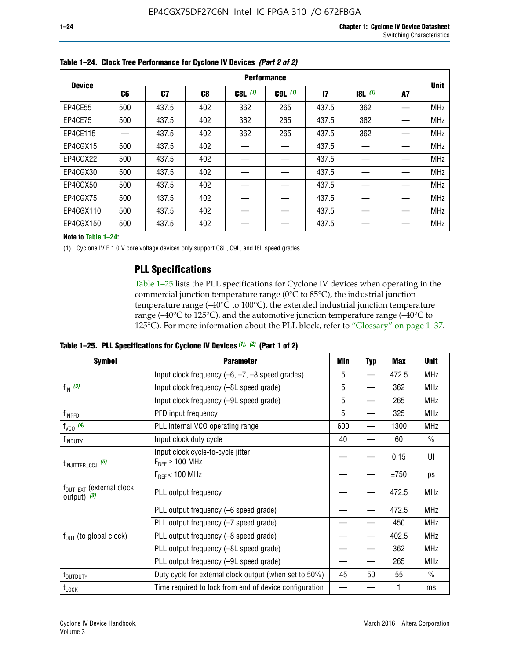|               | <b>Performance</b> |       |                |           |           |       |       |    |             |  |  |
|---------------|--------------------|-------|----------------|-----------|-----------|-------|-------|----|-------------|--|--|
| <b>Device</b> | C6                 | C7    | C <sub>8</sub> | $C8L$ (1) | $C9L$ (1) | 17    | 8L(1) | A7 | <b>Unit</b> |  |  |
| EP4CE55       | 500                | 437.5 | 402            | 362       | 265       | 437.5 | 362   |    | <b>MHz</b>  |  |  |
| EP4CE75       | 500                | 437.5 | 402            | 362       | 265       | 437.5 | 362   |    | <b>MHz</b>  |  |  |
| EP4CE115      |                    | 437.5 | 402            | 362       | 265       | 437.5 | 362   |    | <b>MHz</b>  |  |  |
| EP4CGX15      | 500                | 437.5 | 402            |           |           | 437.5 |       |    | <b>MHz</b>  |  |  |
| EP4CGX22      | 500                | 437.5 | 402            |           |           | 437.5 |       |    | <b>MHz</b>  |  |  |
| EP4CGX30      | 500                | 437.5 | 402            |           |           | 437.5 |       |    | <b>MHz</b>  |  |  |
| EP4CGX50      | 500                | 437.5 | 402            |           |           | 437.5 |       |    | <b>MHz</b>  |  |  |
| EP4CGX75      | 500                | 437.5 | 402            |           |           | 437.5 |       |    | <b>MHz</b>  |  |  |
| EP4CGX110     | 500                | 437.5 | 402            |           |           | 437.5 |       |    | <b>MHz</b>  |  |  |
| EP4CGX150     | 500                | 437.5 | 402            |           |           | 437.5 |       |    | <b>MHz</b>  |  |  |

**Table 1–24. Clock Tree Performance for Cyclone IV Devices** *(Part 2 of 2)*

**Note to Table 1–24:**

(1) Cyclone IV E 1.0 V core voltage devices only support C8L, C9L, and I8L speed grades.

## **PLL Specifications**

Table 1–25 lists the PLL specifications for Cyclone IV devices when operating in the commercial junction temperature range (0°C to 85°C), the industrial junction temperature range (–40°C to 100°C), the extended industrial junction temperature range (–40°C to 125°C), and the automotive junction temperature range (–40°C to 125°C). For more information about the PLL block, refer to "Glossary" on page 1–37.

|  |  | Table 1–25. PLL Specifications for Cyclone IV Devices $(1)$ , $(2)$ (Part 1 of 2) |  |
|--|--|-----------------------------------------------------------------------------------|--|
|--|--|-----------------------------------------------------------------------------------|--|

| <b>Symbol</b>                                          | <b>Parameter</b>                                            | Min | <b>Typ</b>               | Max   | <b>Unit</b>   |
|--------------------------------------------------------|-------------------------------------------------------------|-----|--------------------------|-------|---------------|
|                                                        | Input clock frequency $(-6, -7, -8)$ speed grades)          |     | —                        | 472.5 | <b>MHz</b>    |
| $f_{\text{IN}}$ (3)                                    | Input clock frequency (-8L speed grade)                     | 5   |                          | 362   | <b>MHz</b>    |
|                                                        | Input clock frequency (-9L speed grade)                     | 5   |                          | 265   | <b>MHz</b>    |
| f <sub>INPFD</sub>                                     | PFD input frequency                                         | 5   |                          | 325   | <b>MHz</b>    |
| $f_{VCO}$ (4)                                          | PLL internal VCO operating range                            | 600 | $\overline{\phantom{0}}$ | 1300  | <b>MHz</b>    |
| f <sub>INDUTY</sub>                                    | Input clock duty cycle                                      | 40  |                          | 60    | $\frac{0}{0}$ |
| $t_{\text{INJITTER\_CCJ}}$ (5)                         | Input clock cycle-to-cycle jitter<br>$F_{REF} \geq 100$ MHz |     |                          | 0.15  | UI            |
|                                                        | $F_{RFF}$ < 100 MHz                                         |     |                          | ±750  | ps            |
| $f_{\text{OUT\_EXT}}$ (external clock<br>output) $(3)$ | PLL output frequency                                        |     |                          | 472.5 | <b>MHz</b>    |
|                                                        | PLL output frequency (-6 speed grade)                       |     |                          | 472.5 | <b>MHz</b>    |
|                                                        | PLL output frequency (-7 speed grade)                       |     |                          | 450   | <b>MHz</b>    |
| $f_{OUT}$ (to global clock)                            | PLL output frequency (-8 speed grade)                       |     |                          | 402.5 | <b>MHz</b>    |
|                                                        | PLL output frequency (-8L speed grade)                      |     |                          | 362   | <b>MHz</b>    |
|                                                        | PLL output frequency (-9L speed grade)                      |     |                          | 265   | <b>MHz</b>    |
| t <sub>outputy</sub>                                   | Duty cycle for external clock output (when set to 50%)      | 45  | 50                       | 55    | $\frac{0}{0}$ |
| $t_{\text{LOCK}}$                                      | Time required to lock from end of device configuration      |     |                          |       | ms            |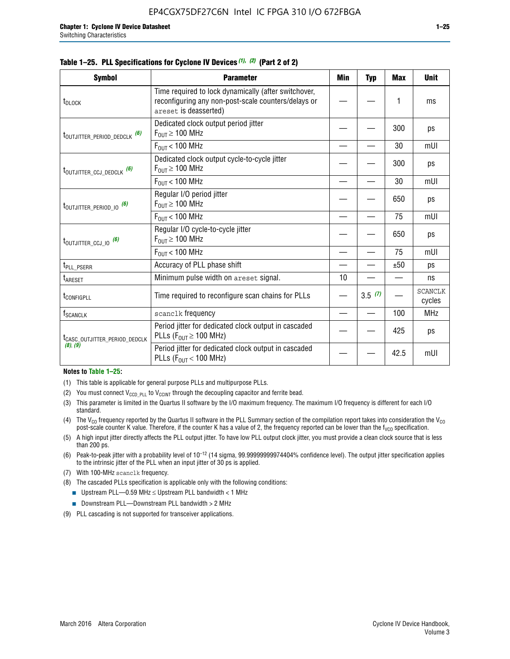|  |  | Table 1–25. PLL Specifications for Cyclone IV Devices (1), (2) (Part 2 of 2) |  |
|--|--|------------------------------------------------------------------------------|--|
|--|--|------------------------------------------------------------------------------|--|

| <b>Symbol</b>                             | <b>Parameter</b>                                                                                                                     | Min | <b>Typ</b> | <b>Max</b> | <b>Unit</b>              |
|-------------------------------------------|--------------------------------------------------------------------------------------------------------------------------------------|-----|------------|------------|--------------------------|
| t <sub>DLOCK</sub>                        | Time required to lock dynamically (after switchover,<br>reconfiguring any non-post-scale counters/delays or<br>areset is deasserted) |     |            | 1          | ms                       |
| t <sub>outjitter_period_dedclk</sub> (6)  | Dedicated clock output period jitter<br>$F_{OIII} \geq 100$ MHz                                                                      |     |            | 300        | ps                       |
|                                           | $F_{OUT}$ < 100 MHz                                                                                                                  |     |            | 30         | mUI                      |
| t <sub>outjitter_ccj_dedclk</sub> (6)     | Dedicated clock output cycle-to-cycle jitter<br>$F_{OUT} \geq 100$ MHz                                                               |     |            | 300        | ps                       |
|                                           | $F_{OUT}$ < 100 MHz                                                                                                                  |     |            | 30         | mUI                      |
| t <sub>outjitter_period_io</sub> (6)      | Regular I/O period jitter<br>$F_{OUT} \geq 100$ MHz                                                                                  |     |            | 650        | ps                       |
|                                           | $F_{OUT}$ < 100 MHz                                                                                                                  |     |            | 75         | mUI                      |
| t <sub>outjitter_ccj_io</sub> (6)         | Regular I/O cycle-to-cycle jitter<br>$F_{OUT} \geq 100$ MHz                                                                          |     |            | 650        | ps                       |
|                                           | $F_{OIII}$ < 100 MHz                                                                                                                 |     |            | 75         | mUI                      |
| t <sub>PLL_PSERR</sub>                    | Accuracy of PLL phase shift                                                                                                          |     |            | ±50        | ps                       |
| t <sub>ARESET</sub>                       | Minimum pulse width on areset signal.                                                                                                | 10  |            |            | ns                       |
| t <sub>configpll</sub>                    | Time required to reconfigure scan chains for PLLs                                                                                    |     | 3.5(7)     |            | <b>SCANCLK</b><br>cycles |
| f <sub>SCANCLK</sub>                      | scanclk frequency                                                                                                                    |     |            | 100        | <b>MHz</b>               |
| t <sub>CASC_OUTJITTER_PERIOD_DEDCLK</sub> | Period jitter for dedicated clock output in cascaded<br>PLLs ( $F_{OUT} \ge 100$ MHz)                                                |     |            | 425        | ps                       |
| (8), (9)                                  | Period jitter for dedicated clock output in cascaded<br>PLLs ( $F_{OUT}$ < 100 MHz)                                                  |     |            | 42.5       | mUI                      |

#### **Notes to Table 1–25:**

- (1) This table is applicable for general purpose PLLs and multipurpose PLLs.
- (2) You must connect  $V_{CCD-PLL}$  to  $V_{CCINT}$  through the decoupling capacitor and ferrite bead.
- (3) This parameter is limited in the Quartus II software by the I/O maximum frequency. The maximum I/O frequency is different for each I/O standard.
- (4) The  $V_{CO}$  frequency reported by the Quartus II software in the PLL Summary section of the compilation report takes into consideration the  $V_{CO}$ post-scale counter K value. Therefore, if the counter K has a value of 2, the frequency reported can be lower than the f<sub>VCO</sub> specification.
- (5) A high input jitter directly affects the PLL output jitter. To have low PLL output clock jitter, you must provide a clean clock source that is less than 200 ps.
- (6) Peak-to-peak jitter with a probability level of 10–12 (14 sigma, 99.99999999974404% confidence level). The output jitter specification applies to the intrinsic jitter of the PLL when an input jitter of 30 ps is applied.
- (7) With 100-MHz scanclk frequency.
- (8) The cascaded PLLs specification is applicable only with the following conditions:
	- **■** Upstream PLL—0.59 MHz  $\leq$  Upstream PLL bandwidth  $<$  1 MHz
	- Downstream PLL—Downstream PLL bandwidth > 2 MHz
- (9) PLL cascading is not supported for transceiver applications.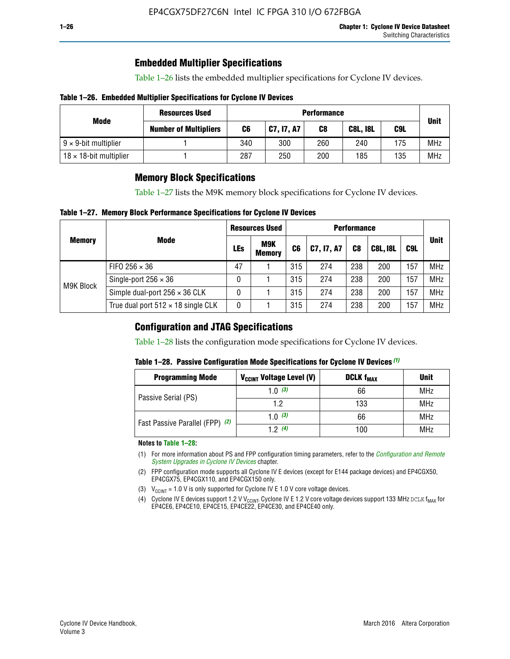## **Embedded Multiplier Specifications**

Table 1–26 lists the embedded multiplier specifications for Cyclone IV devices.

### **Table 1–26. Embedded Multiplier Specifications for Cyclone IV Devices**

|                                | <b>Resources Used</b>        | <b>Performance</b> |            |     |                 |     |             |
|--------------------------------|------------------------------|--------------------|------------|-----|-----------------|-----|-------------|
| Mode                           | <b>Number of Multipliers</b> | C6                 | C7, I7, A7 | C8  | <b>C8L, I8L</b> | C9L | <b>Unit</b> |
| $9 \times 9$ -bit multiplier   |                              | 340                | 300        | 260 | 240             | 175 | <b>MHz</b>  |
| $18 \times 18$ -bit multiplier |                              | 287                | 250        | 200 | 185             | 135 | <b>MHz</b>  |

## **Memory Block Specifications**

Table 1–27 lists the M9K memory block specifications for Cyclone IV devices.

### **Table 1–27. Memory Block Performance Specifications for Cyclone IV Devices**

|               |                                           | <b>Resources Used</b> |                             | <b>Performance</b> |            |                |                 |     |             |
|---------------|-------------------------------------------|-----------------------|-----------------------------|--------------------|------------|----------------|-----------------|-----|-------------|
| <b>Memory</b> | <b>Mode</b>                               | LEs                   | <b>M9K</b><br><b>Memory</b> | C <sub>6</sub>     | C7, I7, A7 | C <sub>8</sub> | <b>C8L, I8L</b> | C9L | <b>Unit</b> |
| M9K Block     | FIFO 256 $\times$ 36                      | 47                    |                             | 315                | 274        | 238            | 200             | 157 | <b>MHz</b>  |
|               | Single-port $256 \times 36$               | 0                     |                             | 315                | 274        | 238            | 200             | 157 | <b>MHz</b>  |
|               | Simple dual-port $256 \times 36$ CLK      | 0                     |                             | 315                | 274        | 238            | 200             | 157 | <b>MHz</b>  |
|               | True dual port $512 \times 18$ single CLK | 0                     |                             | 315                | 274        | 238            | 200             | 157 | <b>MHz</b>  |

## **Configuration and JTAG Specifications**

Table 1–28 lists the configuration mode specifications for Cyclone IV devices.

### **Table 1–28. Passive Configuration Mode Specifications for Cyclone IV Devices** *(1)*

| <b>Programming Mode</b>         | V <sub>CCINT</sub> Voltage Level (V)          | <b>DCLK f<sub>MAX</sub></b> | <b>Unit</b> |
|---------------------------------|-----------------------------------------------|-----------------------------|-------------|
| Passive Serial (PS)             | 1.0 $(3)$                                     | 66                          | MHz         |
|                                 | 133<br>1.2<br>1.0 $(3)$<br>66<br>12(4)<br>100 | MHz                         |             |
| Fast Passive Parallel (FPP) (2) |                                               |                             | MHz         |
|                                 |                                               |                             | <b>MHz</b>  |

#### **Notes to Table 1–28:**

- (1) For more information about PS and FPP configuration timing parameters, refer to the *[Configuration and Remote](http://www.altera.com/literature/hb/cyclone-iv/cyiv-51008.pdf)  [System Upgrades in Cyclone IV Devices](http://www.altera.com/literature/hb/cyclone-iv/cyiv-51008.pdf)* chapter.
- (2) FPP configuration mode supports all Cyclone IV E devices (except for E144 package devices) and EP4CGX50, EP4CGX75, EP4CGX110, and EP4CGX150 only.
- (3)  $V_{CCMT}$  = 1.0 V is only supported for Cyclone IV E 1.0 V core voltage devices.
- (4) Cyclone IV E devices support 1.2 V V<sub>CCINT</sub>. Cyclone IV E 1.2 V core voltage devices support 133 MHz DCLK f<sub>MAX</sub> for EP4CE6, EP4CE10, EP4CE15, EP4CE22, EP4CE30, and EP4CE40 only.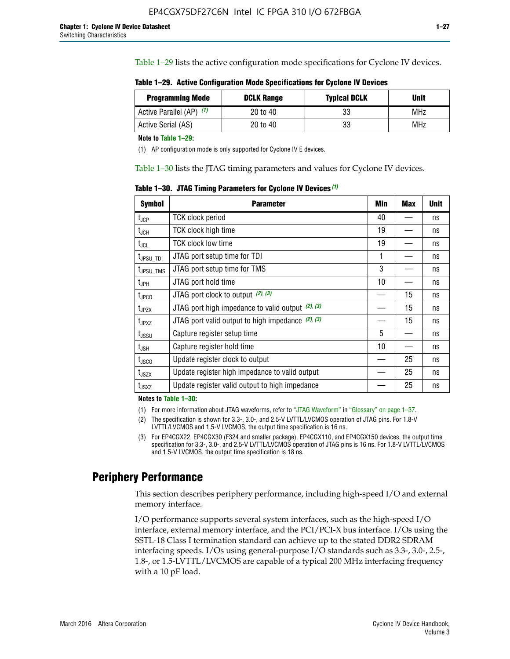Table 1–29 lists the active configuration mode specifications for Cyclone IV devices.

**Table 1–29. Active Configuration Mode Specifications for Cyclone IV Devices**

| <b>Programming Mode</b>  | <b>DCLK Range</b> | <b>Typical DCLK</b> | Unit |
|--------------------------|-------------------|---------------------|------|
| Active Parallel (AP) (1) | 20 to 40          | 33                  | MHz  |
| Active Serial (AS)       | 20 to 40          | 33                  | MHz  |

**Note to Table 1–29:**

(1) AP configuration mode is only supported for Cyclone IV E devices.

Table 1–30 lists the JTAG timing parameters and values for Cyclone IV devices.

**Table 1–30. JTAG Timing Parameters for Cyclone IV Devices** *(1)*

| Symbol                       | <b>Parameter</b>                                       | <b>Min</b> | <b>Max</b> | <b>Unit</b> |
|------------------------------|--------------------------------------------------------|------------|------------|-------------|
| t <sub>JCP</sub>             | <b>TCK clock period</b>                                | 40         |            | ns          |
| t <sub>JCH</sub>             | <b>TCK clock high time</b>                             | 19         |            | ns          |
| $t_{JCL}$                    | TCK clock low time                                     | 19         |            | ns          |
| t <sub>JPSU_TDI</sub>        | JTAG port setup time for TDI                           | 1          |            | ns          |
| t <sub>JPSU_TMS</sub>        | JTAG port setup time for TMS                           | 3          |            | ns          |
| t <sub>JPH</sub>             | JTAG port hold time                                    | 10         |            | ns          |
| t <sub>JPCO</sub>            | JTAG port clock to output $(2)$ , $(3)$                |            | 15         | ns          |
| t <sub>JPZX</sub>            | JTAG port high impedance to valid output $(2)$ , $(3)$ |            | 15         | ns          |
| t <sub>JPXZ</sub>            | JTAG port valid output to high impedance $(2)$ , $(3)$ |            | 15         | ns          |
| ${\rm t}_{\rm JSSU}$         | Capture register setup time                            | 5          |            | ns          |
| $\mathsf{t}_{\mathsf{JSH}}$  | Capture register hold time                             | 10         |            | ns          |
| $t_{\rm JSCO}$               | Update register clock to output                        |            | 25         | ns          |
| $t_{\footnotesize \rm JSZX}$ | Update register high impedance to valid output         |            | 25         | ns          |
| t <sub>JSXZ</sub>            | Update register valid output to high impedance         |            | 25         | ns          |

**Notes to Table 1–30:**

(1) For more information about JTAG waveforms, refer to "JTAG Waveform" in "Glossary" on page 1–37.

(2) The specification is shown for 3.3-, 3.0-, and 2.5-V LVTTL/LVCMOS operation of JTAG pins. For 1.8-V LVTTL/LVCMOS and 1.5-V LVCMOS, the output time specification is 16 ns.

(3) For EP4CGX22, EP4CGX30 (F324 and smaller package), EP4CGX110, and EP4CGX150 devices, the output time specification for 3.3-, 3.0-, and 2.5-V LVTTL/LVCMOS operation of JTAG pins is 16 ns. For 1.8-V LVTTL/LVCMOS and 1.5-V LVCMOS, the output time specification is 18 ns.

## **Periphery Performance**

This section describes periphery performance, including high-speed I/O and external memory interface.

I/O performance supports several system interfaces, such as the high-speed I/O interface, external memory interface, and the PCI/PCI-X bus interface. I/Os using the SSTL-18 Class I termination standard can achieve up to the stated DDR2 SDRAM interfacing speeds. I/Os using general-purpose I/O standards such as 3.3-, 3.0-, 2.5-, 1.8-, or 1.5-LVTTL/LVCMOS are capable of a typical 200 MHz interfacing frequency with a 10 pF load.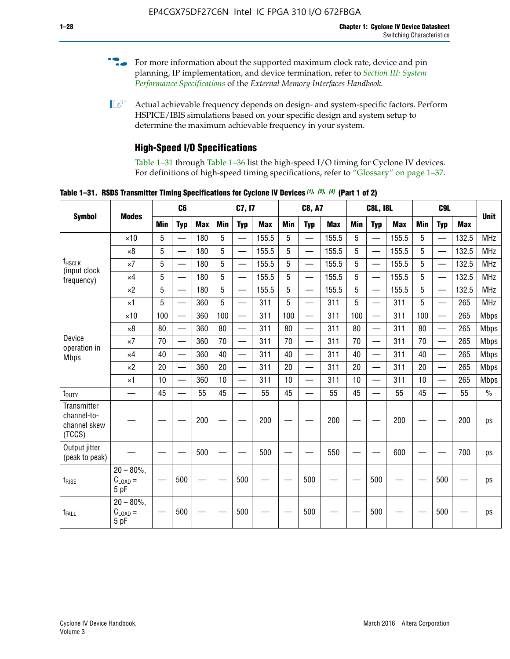- For more information about the supported maximum clock rate, device and pin planning, IP implementation, and device termination, refer to *[Section III: System](http://www.altera.com/literature/hb/external-memory/emi_intro_specs.pdf)  [Performance Specifications](http://www.altera.com/literature/hb/external-memory/emi_intro_specs.pdf)* of the *External Memory Interfaces Handbook*.
- **1 Actual achievable frequency depends on design- and system-specific factors. Perform** HSPICE/IBIS simulations based on your specific design and system setup to determine the maximum achievable frequency in your system.

## **High-Speed I/O Specifications**

Table 1–31 through Table 1–36 list the high-speed I/O timing for Cyclone IV devices. For definitions of high-speed timing specifications, refer to "Glossary" on page 1–37.

**Table 1–31. RSDS Transmitter Timing Specifications for Cyclone IV Devices** *(1)***,** *(2)***,** *(4)* **(Part 1 of 2)**

|                                                      |                                                     |                 | C6         |            |            | C7, I7                   |            |            | <b>C8, A7</b>            |            |            | <b>C8L, I8L</b>          |            |            | C <sub>9</sub> L         |            |               |
|------------------------------------------------------|-----------------------------------------------------|-----------------|------------|------------|------------|--------------------------|------------|------------|--------------------------|------------|------------|--------------------------|------------|------------|--------------------------|------------|---------------|
| <b>Symbol</b>                                        | <b>Modes</b>                                        | Min             | <b>Typ</b> | <b>Max</b> | <b>Min</b> | <b>Typ</b>               | <b>Max</b> | <b>Min</b> | <b>Typ</b>               | <b>Max</b> | <b>Min</b> | <b>Typ</b>               | <b>Max</b> | <b>Min</b> | <b>Typ</b>               | <b>Max</b> | <b>Unit</b>   |
|                                                      | $\times$ 10                                         | 5               | —          | 180        | 5          | ÷,                       | 155.5      | 5          | $\overline{\phantom{0}}$ | 155.5      | 5          |                          | 155.5      | 5          |                          | 132.5      | <b>MHz</b>    |
|                                                      | $\times 8$                                          | 5               |            | 180        | 5          |                          | 155.5      | 5          | $\overline{\phantom{0}}$ | 155.5      | 5          |                          | 155.5      | 5          |                          | 132.5      | <b>MHz</b>    |
| f <sub>HSCLK</sub><br>(input clock                   | $\times 7$                                          | 5               |            | 180        | 5          |                          | 155.5      | 5          | $\overline{\phantom{0}}$ | 155.5      | 5          |                          | 155.5      | 5          |                          | 132.5      | <b>MHz</b>    |
| frequency)                                           | $\times$ 4                                          | 5               |            | 180        | 5          | $\overline{\phantom{0}}$ | 155.5      | 5          | $\qquad \qquad$          | 155.5      | 5          |                          | 155.5      | 5          | $\overline{\phantom{0}}$ | 132.5      | <b>MHz</b>    |
|                                                      | $\times 2$                                          | 5               |            | 180        | 5          |                          | 155.5      | 5          | $\equiv$                 | 155.5      | 5          | $\overline{\phantom{0}}$ | 155.5      | 5          | $\overline{\phantom{0}}$ | 132.5      | <b>MHz</b>    |
|                                                      | $\times$ 1                                          | 5               |            | 360        | 5          |                          | 311        | 5          | $\overline{\phantom{0}}$ | 311        | 5          | $\equiv$                 | 311        | 5          | $\equiv$                 | 265        | <b>MHz</b>    |
|                                                      | $\times$ 10                                         | 100             |            | 360        | 100        |                          | 311        | 100        | $\equiv$                 | 311        | 100        |                          | 311        | 100        | $\equiv$                 | 265        | <b>Mbps</b>   |
|                                                      | $\times 8$                                          | 80              |            | 360        | 80         |                          | 311        | 80         | $\overline{\phantom{0}}$ | 311        | 80         |                          | 311        | 80         | $\overline{\phantom{0}}$ | 265        | <b>Mbps</b>   |
| Device<br>operation in                               | $\times 7$                                          | 70              |            | 360        | 70         | $\overline{\phantom{0}}$ | 311        | 70         | $\overline{\phantom{0}}$ | 311        | 70         |                          | 311        | 70         | $\equiv$                 | 265        | <b>Mbps</b>   |
| <b>Mbps</b>                                          | $\times$ 4                                          | 40              |            | 360        | 40         |                          | 311        | 40         | $\overline{\phantom{0}}$ | 311        | 40         |                          | 311        | 40         | $\overline{\phantom{0}}$ | 265        | <b>Mbps</b>   |
|                                                      | $\times 2$                                          | 20              |            | 360        | 20         | $\overline{\phantom{0}}$ | 311        | 20         | $\overline{\phantom{0}}$ | 311        | 20         | $\qquad \qquad$          | 311        | 20         |                          | 265        | <b>Mbps</b>   |
|                                                      | $\times$ 1                                          | 10              |            | 360        | 10         |                          | 311        | 10         | $\overline{\phantom{0}}$ | 311        | 10         | $\overline{\phantom{0}}$ | 311        | 10         | $\overline{\phantom{0}}$ | 265        | <b>Mbps</b>   |
| t <sub>DUTY</sub>                                    | —                                                   | 45              |            | 55         | 45         |                          | 55         | 45         | $\overline{\phantom{0}}$ | 55         | 45         |                          | 55         | 45         |                          | 55         | $\frac{0}{0}$ |
| Transmitter<br>channel-to-<br>channel skew<br>(TCCS) |                                                     |                 |            | 200        |            |                          | 200        |            |                          | 200        |            |                          | 200        |            |                          | 200        | ps            |
| Output jitter<br>(peak to peak)                      |                                                     |                 |            | 500        |            |                          | 500        |            |                          | 550        |            |                          | 600        |            |                          | 700        | ps            |
| t <sub>rise</sub>                                    | $20 - 80\%$<br>$\mathrm{C}_{\text{LOAD}}$ =<br>5 pF | $\qquad \qquad$ | 500        |            |            | 500                      |            |            | 500                      |            |            | 500                      |            |            | 500                      |            | ps            |
| t <sub>FALL</sub>                                    | $20 - 80\%$<br>$C_{LOAD} =$<br>5 pF                 |                 | 500        |            |            | 500                      |            |            | 500                      |            |            | 500                      |            |            | 500                      |            | ps            |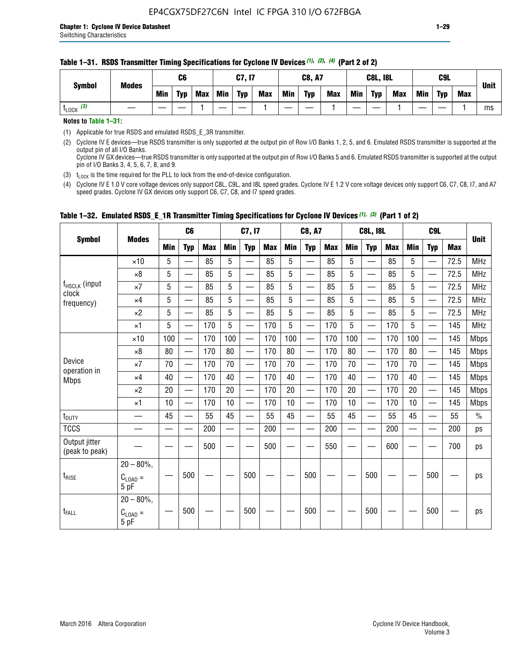| <b>Symbol</b>         | <b>Modes</b> |     | C6         |            |            | <b>C7, I7</b> |            |            | <b>C8, A7</b> |            |            | <b>C8L, I8L</b> |            |     | C9L        |     | <b>Unit</b> |
|-----------------------|--------------|-----|------------|------------|------------|---------------|------------|------------|---------------|------------|------------|-----------------|------------|-----|------------|-----|-------------|
|                       |              | Min | <b>Typ</b> | <b>Max</b> | <b>Min</b> | <b>Typ</b>    | <b>Max</b> | <b>Min</b> | <b>Typ</b>    | <b>Max</b> | <b>Min</b> | <b>Typ</b>      | <b>Max</b> | Min | <b>Typ</b> | Max |             |
| $t_{\text{LOCK}}$ (3) |              |     |            |            |            |               |            |            |               |            |            |                 |            |     |            |     | ms          |

#### **Table 1–31. RSDS Transmitter Timing Specifications for Cyclone IV Devices** *(1)***,** *(2)***,** *(4)* **(Part 2 of 2)**

**Notes to Table 1–31:**

(1) Applicable for true RSDS and emulated RSDS\_E\_3R transmitter.

(2) Cyclone IV E devices—true RSDS transmitter is only supported at the output pin of Row I/O Banks 1, 2, 5, and 6. Emulated RSDS transmitter is supported at the output pin of all I/O Banks. Cyclone IV GX devices—true RSDS transmitter is only supported at the output pin of Row I/O Banks 5 and 6. Emulated RSDS transmitter is supported at the output

pin of I/O Banks 3, 4, 5, 6, 7, 8, and 9. (3)  $t_{\text{LOCK}}$  is the time required for the PLL to lock from the end-of-device configuration.

(4) Cyclone IV E 1.0 V core voltage devices only support C8L, C9L, and I8L speed grades. Cyclone IV E 1.2 V core voltage devices only support C6, C7, C8, I7, and A7 speed grades. Cyclone IV GX devices only support C6, C7, C8, and I7 speed grades.

|                                 |                               |     | C <sub>6</sub>           |            |            | C7, I7                   |            |                          | C8, A7                   |            |            | <b>C8L, I8L</b>          |            |     | C <sub>9</sub> L                 |            |               |
|---------------------------------|-------------------------------|-----|--------------------------|------------|------------|--------------------------|------------|--------------------------|--------------------------|------------|------------|--------------------------|------------|-----|----------------------------------|------------|---------------|
| <b>Symbol</b>                   | <b>Modes</b>                  | Min | <b>Typ</b>               | <b>Max</b> | <b>Min</b> | <b>Typ</b>               | <b>Max</b> | Min                      | <b>Typ</b>               | <b>Max</b> | <b>Min</b> | <b>Typ</b>               | <b>Max</b> | Min | <b>Typ</b>                       | <b>Max</b> | <b>Unit</b>   |
|                                 | $\times$ 10                   | 5   |                          | 85         | 5          |                          | 85         | 5                        |                          | 85         | 5          |                          | 85         | 5   |                                  | 72.5       | <b>MHz</b>    |
|                                 | $\times 8$                    | 5   | —                        | 85         | 5          | —                        | 85         | 5                        | $\overline{\phantom{0}}$ | 85         | 5          | $\overline{\phantom{0}}$ | 85         | 5   |                                  | 72.5       | <b>MHz</b>    |
| f <sub>HSCLK</sub> (input       | $\times 7$                    | 5   | —                        | 85         | 5          |                          | 85         | 5                        | —                        | 85         | 5          | —                        | 85         | 5   | $\overline{\phantom{0}}$         | 72.5       | <b>MHz</b>    |
| clock<br>frequency)             | $\times$ 4                    | 5   | $\overline{\phantom{0}}$ | 85         | 5          | $\overline{\phantom{a}}$ | 85         | 5                        | $\overline{\phantom{0}}$ | 85         | 5          | —                        | 85         | 5   | $\overline{\phantom{0}}$         | 72.5       | <b>MHz</b>    |
|                                 | $\times 2$                    | 5   | $\hspace{0.05cm}$        | 85         | 5          |                          | 85         | 5                        | —                        | 85         | 5          | $\overline{\phantom{0}}$ | 85         | 5   | $\qquad \qquad \overbrace{ }^{}$ | 72.5       | <b>MHz</b>    |
|                                 | $\times$ 1                    | 5   |                          | 170        | 5          | $\overline{\phantom{0}}$ | 170        | 5                        | $\overline{\phantom{0}}$ | 170        | 5          |                          | 170        | 5   |                                  | 145        | <b>MHz</b>    |
|                                 | $\times$ 10                   | 100 |                          | 170        | 100        | —                        | 170        | 100                      | $\overline{\phantom{0}}$ | 170        | 100        |                          | 170        | 100 |                                  | 145        | <b>Mbps</b>   |
|                                 | $\times 8$                    | 80  | $\qquad \qquad -$        | 170        | 80         | —                        | 170        | 80                       | —                        | 170        | 80         |                          | 170        | 80  | $\qquad \qquad$                  | 145        | <b>Mbps</b>   |
| Device                          | $\times 7$                    | 70  | $\overline{\phantom{0}}$ | 170        | 70         | —                        | 170        | 70                       | $\overline{\phantom{0}}$ | 170        | 70         |                          | 170        | 70  |                                  | 145        | <b>Mbps</b>   |
| operation in<br><b>Mbps</b>     | $\times$ 4                    | 40  | $\qquad \qquad -$        | 170        | 40         | $\overline{\phantom{0}}$ | 170        | 40                       | $\qquad \qquad$          | 170        | 40         |                          | 170        | 40  |                                  | 145        | <b>Mbps</b>   |
|                                 | $\times 2$                    | 20  | $\overline{\phantom{0}}$ | 170        | 20         | $\overline{\phantom{0}}$ | 170        | 20                       | $\overline{\phantom{0}}$ | 170        | 20         |                          | 170        | 20  |                                  | 145        | <b>Mbps</b>   |
|                                 | $\times$ 1                    | 10  | $\overline{\phantom{0}}$ | 170        | 10         | $\overline{\phantom{0}}$ | 170        | 10                       | $\overline{\phantom{0}}$ | 170        | 10         | $\overline{\phantom{0}}$ | 170        | 10  |                                  | 145        | <b>Mbps</b>   |
| t <sub>DUTY</sub>               |                               | 45  | $\equiv$                 | 55         | 45         | $\equiv$                 | 55         | 45                       | $\overline{\phantom{0}}$ | 55         | 45         | $\equiv$                 | 55         | 45  |                                  | 55         | $\frac{0}{0}$ |
| <b>TCCS</b>                     |                               |     |                          | 200        |            |                          | 200        | $\overline{\phantom{0}}$ |                          | 200        |            | —                        | 200        |     |                                  | 200        | ps            |
| Output jitter<br>(peak to peak) |                               |     | —                        | 500        |            |                          | 500        |                          |                          | 550        |            |                          | 600        |     |                                  | 700        | ps            |
| $t_{\sf RISE}$                  | $20 - 80\%$ ,<br>$C_{LOAD} =$ |     | 500                      |            |            | 500                      |            |                          | 500                      |            |            | 500                      |            |     | 500                              |            | ps            |
| t <sub>FALL</sub>               | 5 pF<br>$20 - 80\%$ ,         |     | 500                      |            |            | 500                      |            |                          | 500                      |            |            | 500                      |            |     | 500                              |            | ps            |
|                                 | $C_{\text{LOAD}} =$<br>5 pF   |     |                          |            |            |                          |            |                          |                          |            |            |                          |            |     |                                  |            |               |

### **Table 1–32. Emulated RSDS\_E\_1R Transmitter Timing Specifications for Cyclone IV Devices** *(1), (3)* **(Part 1 of 2)**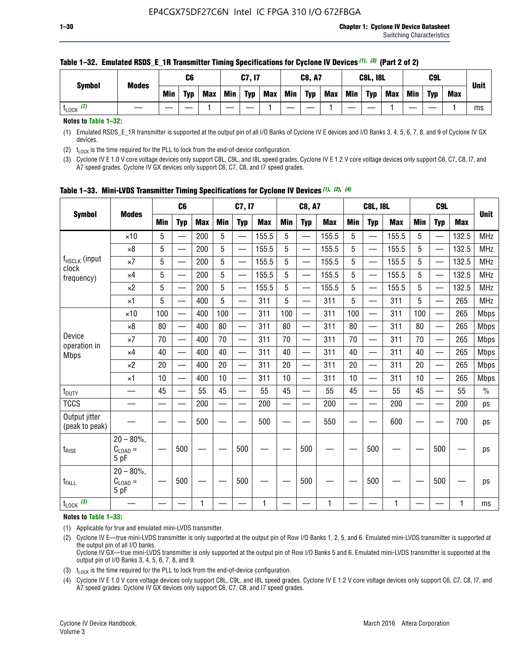|                       | <b>Modes</b> |            | C <sub>6</sub> |     |     | C7, I7     |            |            | <b>C8, A7</b> |            |            | <b>C8L, I8L</b> |            |     | C <sub>9</sub> L |            | <b>Unit</b> |
|-----------------------|--------------|------------|----------------|-----|-----|------------|------------|------------|---------------|------------|------------|-----------------|------------|-----|------------------|------------|-------------|
| <b>Symbol</b>         |              | <b>Min</b> | <b>Typ</b>     | Max | Min | <b>Typ</b> | <b>Max</b> | <b>Min</b> | <b>Typ</b>    | <b>Max</b> | <b>Min</b> | <b>Typ</b>      | <b>Max</b> | Min | <b>Typ</b>       | <b>Max</b> |             |
| $t_{\text{LOCK}}$ (2) |              |            |                |     |     |            |            |            |               |            |            |                 |            |     |                  |            | ms          |

### **Table 1–32. Emulated RSDS\_E\_1R Transmitter Timing Specifications for Cyclone IV Devices** *(1), (3)* **(Part 2 of 2)**

**Notes to Table 1–32:**

(1) Emulated RSDS\_E\_1R transmitter is supported at the output pin of all I/O Banks of Cyclone IV E devices and I/O Banks 3, 4, 5, 6, 7, 8, and 9 of Cyclone IV GX devices.

(2)  $t_{\text{LOCK}}$  is the time required for the PLL to lock from the end-of-device configuration.

(3) Cyclone IV E 1.0 V core voltage devices only support C8L, C9L, and I8L speed grades. Cyclone IV E 1.2 V core voltage devices only support C6, C7, C8, I7, and A7 speed grades. Cyclone IV GX devices only support C6, C7, C8, and I7 speed grades.

|                                 |                                             |            | C <sub>6</sub>           |            |                          | C7, I7                   |            |            | <b>C8, A7</b>            |              |            | <b>C8L, I8L</b>          |            |            | C <sub>9</sub> L         |            | <b>Unit</b> |
|---------------------------------|---------------------------------------------|------------|--------------------------|------------|--------------------------|--------------------------|------------|------------|--------------------------|--------------|------------|--------------------------|------------|------------|--------------------------|------------|-------------|
| <b>Symbol</b>                   | <b>Modes</b>                                | <b>Min</b> | <b>Typ</b>               | <b>Max</b> | <b>Min</b>               | <b>Typ</b>               | <b>Max</b> | <b>Min</b> | <b>Typ</b>               | <b>Max</b>   | <b>Min</b> | <b>Typ</b>               | <b>Max</b> | <b>Min</b> | <b>Typ</b>               | <b>Max</b> |             |
|                                 | $\times$ 10                                 | 5          |                          | 200        | 5                        | —                        | 155.5      | 5          | $\overline{\phantom{0}}$ | 155.5        | 5          | $\overline{\phantom{0}}$ | 155.5      | 5          | $\overline{\phantom{0}}$ | 132.5      | <b>MHz</b>  |
|                                 | $\times 8$                                  | 5          |                          | 200        | 5                        | $\overline{\phantom{0}}$ | 155.5      | 5          | —                        | 155.5        | 5          |                          | 155.5      | 5          |                          | 132.5      | <b>MHz</b>  |
| f <sub>HSCLK</sub> (input       | $\times 7$                                  | 5          |                          | 200        | 5                        | ÷,                       | 155.5      | 5          | —                        | 155.5        | 5          |                          | 155.5      | 5          |                          | 132.5      | <b>MHz</b>  |
| clock<br>frequency)             | $\times$ 4                                  | 5          | $\overline{\phantom{0}}$ | 200        | 5                        | —                        | 155.5      | 5          | $\overline{\phantom{0}}$ | 155.5        | 5          |                          | 155.5      | 5          | $\overline{\phantom{0}}$ | 132.5      | <b>MHz</b>  |
|                                 | $\times 2$                                  | 5          | $\overline{\phantom{0}}$ | 200        | 5                        | $\overline{\phantom{0}}$ | 155.5      | 5          | $\overline{\phantom{0}}$ | 155.5        | 5          | $\overline{\phantom{0}}$ | 155.5      | 5          |                          | 132.5      | <b>MHz</b>  |
|                                 | $\times$ 1                                  | 5          | $\overline{\phantom{0}}$ | 400        | 5                        |                          | 311        | 5          | —                        | 311          | 5          | $\overline{\phantom{0}}$ | 311        | 5          |                          | 265        | <b>MHz</b>  |
|                                 | $\times$ 10                                 | 100        |                          | 400        | 100                      | $\overline{\phantom{0}}$ | 311        | 100        | $\overline{\phantom{0}}$ | 311          | 100        | $\overline{\phantom{0}}$ | 311        | 100        |                          | 265        | <b>Mbps</b> |
|                                 | $\times 8$                                  | 80         | $\overline{\phantom{0}}$ | 400        | 80                       | $\overline{\phantom{0}}$ | 311        | 80         | $\overline{\phantom{0}}$ | 311          | 80         | $\overline{\phantom{0}}$ | 311        | 80         |                          | 265        | <b>Mbps</b> |
| Device                          | $\times 7$                                  | 70         |                          | 400        | 70                       |                          | 311        | 70         | $\overline{\phantom{0}}$ | 311          | 70         |                          | 311        | 70         |                          | 265        | <b>Mbps</b> |
| operation in<br><b>Mbps</b>     | $\times 4$                                  | 40         | $\overline{\phantom{0}}$ | 400        | 40                       |                          | 311        | 40         | $\overline{\phantom{0}}$ | 311          | 40         | —                        | 311        | 40         |                          | 265        | <b>Mbps</b> |
|                                 | $\times 2$                                  | 20         |                          | 400        | 20                       | —                        | 311        | 20         | $\overline{\phantom{0}}$ | 311          | 20         | $\overline{\phantom{0}}$ | 311        | 20         |                          | 265        | <b>Mbps</b> |
|                                 | ×1                                          | 10         | $\overline{\phantom{0}}$ | 400        | 10                       |                          | 311        | 10         | $\overline{\phantom{0}}$ | 311          | 10         | —                        | 311        | 10         |                          | 265        | <b>Mbps</b> |
| t <sub>DUTY</sub>               |                                             | 45         |                          | 55         | 45                       | $\overline{\phantom{0}}$ | 55         | 45         | $\overline{\phantom{0}}$ | 55           | 45         | $\overline{\phantom{0}}$ | 55         | 45         |                          | 55         | $\%$        |
| <b>TCCS</b>                     |                                             |            |                          | 200        | $\overline{\phantom{0}}$ |                          | 200        |            |                          | 200          | —          |                          | 200        |            |                          | 200        | ps          |
| Output jitter<br>(peak to peak) |                                             |            |                          | 500        |                          |                          | 500        |            |                          | 550          |            |                          | 600        |            |                          | 700        | ps          |
| $t_{\sf RISE}$                  | $20 - 80\%$ ,<br>$C_{LOAD} =$<br>5 pF       |            | 500                      |            |                          | 500                      |            |            | 500                      |              |            | 500                      |            |            | 500                      |            | ps          |
| t <sub>FALL</sub>               | $20 - 80\%$<br>$\rm C_{\rm LOAD} =$<br>5 pF |            | 500                      |            |                          | 500                      |            |            | 500                      |              |            | 500                      |            |            | 500                      |            | ps          |
| $t_{\text{LOCK}}$ (3)           |                                             |            |                          | 1          |                          |                          | 1          |            |                          | $\mathbf{1}$ |            |                          | 1          |            |                          | 1          | ms          |

**Table 1–33. Mini-LVDS Transmitter Timing Specifications for Cyclone IV Devices** *(1)***,** *(2)***,** *(4)*

**Notes to Table 1–33:**

(1) Applicable for true and emulated mini-LVDS transmitter.

(2) Cyclone IV E—true mini-LVDS transmitter is only supported at the output pin of Row I/O Banks 1, 2, 5, and 6. Emulated mini-LVDS transmitter is supported at the output pin of all I/O banks.

Cyclone IV GX—true mini-LVDS transmitter is only supported at the output pin of Row I/O Banks 5 and 6. Emulated mini-LVDS transmitter is supported at the output pin of I/O Banks 3, 4, 5, 6, 7, 8, and 9.

(3)  $t_{\text{LOCK}}$  is the time required for the PLL to lock from the end-of-device configuration.

(4) Cyclone IV E 1.0 V core voltage devices only support C8L, C9L, and I8L speed grades. Cyclone IV E 1.2 V core voltage devices only support C6, C7, C8, I7, and A7 speed grades. Cyclone IV GX devices only support C6, C7, C8, and I7 speed grades.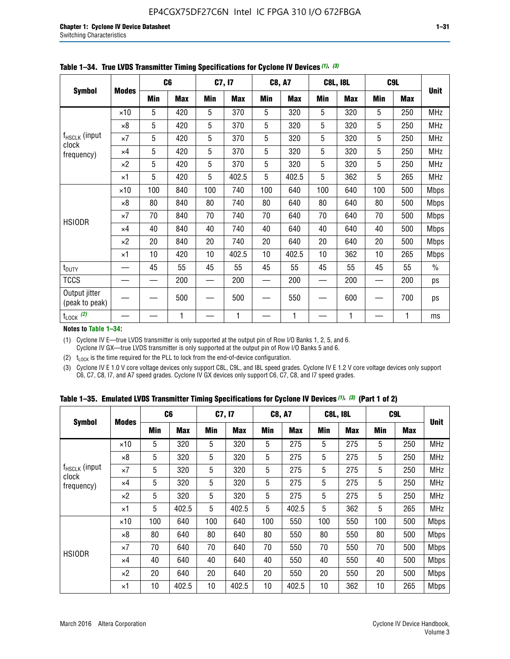|                                    |              |     | C <sub>6</sub> |     | C7, I7     |            | <b>C8, A7</b> |     | <b>C8L, I8L</b> |            | C <sub>9</sub> L | <b>Unit</b>   |
|------------------------------------|--------------|-----|----------------|-----|------------|------------|---------------|-----|-----------------|------------|------------------|---------------|
| <b>Symbol</b>                      | <b>Modes</b> | Min | <b>Max</b>     | Min | <b>Max</b> | <b>Min</b> | <b>Max</b>    | Min | <b>Max</b>      | <b>Min</b> | <b>Max</b>       |               |
|                                    | $\times$ 10  | 5   | 420            | 5   | 370        | 5          | 320           | 5   | 320             | 5          | 250              | <b>MHz</b>    |
|                                    | $\times 8$   | 5   | 420            | 5   | 370        | 5          | 320           | 5   | 320             | 5          | 250              | <b>MHz</b>    |
| f <sub>HSCLK</sub> (input<br>clock | $\times 7$   | 5   | 420            | 5   | 370        | 5          | 320           | 5   | 320             | 5          | 250              | MHz           |
| frequency)                         | $\times 4$   | 5   | 420            | 5   | 370        | 5          | 320           | 5   | 320             | 5          | 250              | <b>MHz</b>    |
|                                    | $\times 2$   | 5   | 420            | 5   | 370        | 5          | 320           | 5   | 320             | 5          | 250              | <b>MHz</b>    |
|                                    | $\times$ 1   | 5   | 420            | 5   | 402.5      | 5          | 402.5         | 5   | 362             | 5          | 265              | <b>MHz</b>    |
|                                    | $\times$ 10  | 100 | 840            | 100 | 740        | 100        | 640           | 100 | 640             | 100        | 500              | <b>Mbps</b>   |
|                                    | $\times 8$   | 80  | 840            | 80  | 740        | 80         | 640           | 80  | 640             | 80         | 500              | <b>Mbps</b>   |
| <b>HSIODR</b>                      | $\times 7$   | 70  | 840            | 70  | 740        | 70         | 640           | 70  | 640             | 70         | 500              | <b>Mbps</b>   |
|                                    | $\times$ 4   | 40  | 840            | 40  | 740        | 40         | 640           | 40  | 640             | 40         | 500              | <b>Mbps</b>   |
|                                    | $\times 2$   | 20  | 840            | 20  | 740        | 20         | 640           | 20  | 640             | 20         | 500              | <b>Mbps</b>   |
|                                    | $\times$ 1   | 10  | 420            | 10  | 402.5      | 10         | 402.5         | 10  | 362             | 10         | 265              | <b>Mbps</b>   |
| t <sub>DUTY</sub>                  |              | 45  | 55             | 45  | 55         | 45         | 55            | 45  | 55              | 45         | 55               | $\frac{0}{0}$ |
| <b>TCCS</b>                        |              |     | 200            |     | 200        |            | 200           |     | 200             |            | 200              | ps            |
| Output jitter<br>(peak to peak)    |              |     | 500            |     | 500        |            | 550           |     | 600             |            | 700              | ps            |
| $t_{\text{LOCK}}$ (2)              |              |     | 1              |     | 1          |            | 1             |     | 1               |            | 1                | ms            |

**Table 1–34. True LVDS Transmitter Timing Specifications for Cyclone IV Devices** *(1)***,** *(3)*

**Notes to Table 1–34:**

(1) Cyclone IV E—true LVDS transmitter is only supported at the output pin of Row I/O Banks 1, 2, 5, and 6. Cyclone IV GX—true LVDS transmitter is only supported at the output pin of Row I/O Banks 5 and 6.

(2)  $t_{\text{LOCK}}$  is the time required for the PLL to lock from the end-of-device configuration.

(3) Cyclone IV E 1.0 V core voltage devices only support C8L, C9L, and I8L speed grades. Cyclone IV E 1.2 V core voltage devices only support C6, C7, C8, I7, and A7 speed grades. Cyclone IV GX devices only support C6, C7, C8, and I7 speed grades.

|  |  |  |  |  |  | Table 1–35. Emulated LVDS Transmitter Timing Specifications for Cyclone IV Devices <sup>(1),</sup> <sup>(3)</sup> (Part 1 of 2) |  |  |
|--|--|--|--|--|--|---------------------------------------------------------------------------------------------------------------------------------|--|--|
|--|--|--|--|--|--|---------------------------------------------------------------------------------------------------------------------------------|--|--|

|                             |              | C <sub>6</sub> |            | C7, I7     |            | <b>C8, A7</b> |            | <b>C8L, I8L</b> |            | C <sub>9L</sub> |            |             |
|-----------------------------|--------------|----------------|------------|------------|------------|---------------|------------|-----------------|------------|-----------------|------------|-------------|
| <b>Symbol</b>               | <b>Modes</b> | Min            | <b>Max</b> | <b>Min</b> | <b>Max</b> | <b>Min</b>    | <b>Max</b> | <b>Min</b>      | <b>Max</b> | <b>Min</b>      | <b>Max</b> | <b>Unit</b> |
|                             | $\times$ 10  | 5              | 320        | 5          | 320        | 5             | 275        | 5               | 275        | 5               | 250        | <b>MHz</b>  |
|                             | $\times 8$   | 5              | 320        | 5          | 320        | 5             | 275        | 5               | 275        | 5               | 250        | <b>MHz</b>  |
| $f_{HSCLK}$ (input<br>clock | $\times 7$   | 5              | 320        | 5          | 320        | 5             | 275        | 5               | 275        | 5               | 250        | <b>MHz</b>  |
| frequency)                  | $\times$ 4   | 5              | 320        | 5          | 320        | 5             | 275        | 5               | 275        | 5               | 250        | <b>MHz</b>  |
|                             | $\times 2$   | 5              | 320        | 5          | 320        | 5             | 275        | 5               | 275        | 5               | 250        | <b>MHz</b>  |
|                             | $\times$ 1   | 5              | 402.5      | 5          | 402.5      | 5             | 402.5      | 5               | 362        | 5               | 265        | <b>MHz</b>  |
|                             | $\times$ 10  | 100            | 640        | 100        | 640        | 100           | 550        | 100             | 550        | 100             | 500        | <b>Mbps</b> |
|                             | $\times 8$   | 80             | 640        | 80         | 640        | 80            | 550        | 80              | 550        | 80              | 500        | <b>Mbps</b> |
| <b>HSIODR</b>               | $\times 7$   | 70             | 640        | 70         | 640        | 70            | 550        | 70              | 550        | 70              | 500        | <b>Mbps</b> |
|                             | $\times$ 4   | 40             | 640        | 40         | 640        | 40            | 550        | 40              | 550        | 40              | 500        | <b>Mbps</b> |
|                             | $\times 2$   | 20             | 640        | 20         | 640        | 20            | 550        | 20              | 550        | 20              | 500        | <b>Mbps</b> |
|                             | ×1           | 10             | 402.5      | 10         | 402.5      | 10            | 402.5      | 10              | 362        | 10              | 265        | <b>Mbps</b> |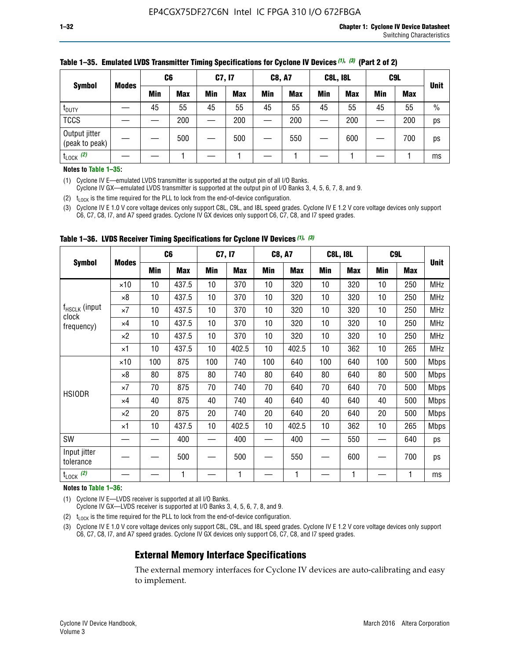|                                 |              | C <sub>6</sub> |            | C7, I7     |            | <b>C8, A7</b> |            | <b>C8L, I8L</b> |            |         | C <sub>9</sub> L |               |
|---------------------------------|--------------|----------------|------------|------------|------------|---------------|------------|-----------------|------------|---------|------------------|---------------|
| <b>Symbol</b>                   | <b>Modes</b> | Min            | <b>Max</b> | <b>Min</b> | <b>Max</b> | <b>Min</b>    | <b>Max</b> | Min             | <b>Max</b> | Min     | <b>Max</b>       | <b>Unit</b>   |
| t <sub>DUTY</sub>               |              | 45             | 55         | 45         | 55         | 45            | 55         | 45              | 55         | 45      | 55               | $\frac{0}{0}$ |
| <b>TCCS</b>                     |              |                | 200        |            | 200        |               | 200        |                 | 200        | —<br>—— | 200              | ps            |
| Output jitter<br>(peak to peak) |              |                | 500        |            | 500        |               | 550        |                 | 600        |         | 700              | ps            |
| $t_{\text{LOCK}}$ (2)           |              |                |            |            |            |               |            |                 |            |         |                  | ms            |

#### **Table 1–35. Emulated LVDS Transmitter Timing Specifications for Cyclone IV Devices** *(1)***,** *(3)* **(Part 2 of 2)**

#### **Notes to Table 1–35:**

(1) Cyclone IV E—emulated LVDS transmitter is supported at the output pin of all I/O Banks.

Cyclone IV GX—emulated LVDS transmitter is supported at the output pin of I/O Banks 3, 4, 5, 6, 7, 8, and 9.

(2)  $t_{\text{LOCK}}$  is the time required for the PLL to lock from the end-of-device configuration.

(3) Cyclone IV E 1.0 V core voltage devices only support C8L, C9L, and I8L speed grades. Cyclone IV E 1.2 V core voltage devices only support C6, C7, C8, I7, and A7 speed grades. Cyclone IV GX devices only support C6, C7, C8, and I7 speed grades.

|                                    |              |     | C <sub>6</sub> | C7, I7 |       | <b>C8, A7</b> |            |     | <b>C8L, I8L</b> | C <sub>9</sub> L |     |             |
|------------------------------------|--------------|-----|----------------|--------|-------|---------------|------------|-----|-----------------|------------------|-----|-------------|
| <b>Symbol</b>                      | <b>Modes</b> | Min | <b>Max</b>     | Min    | Max   | Min           | <b>Max</b> | Min | <b>Max</b>      | Min              | Max | <b>Unit</b> |
|                                    | $\times$ 10  | 10  | 437.5          | 10     | 370   | 10            | 320        | 10  | 320             | 10               | 250 | MHz         |
|                                    | ×8           | 10  | 437.5          | 10     | 370   | 10            | 320        | 10  | 320             | 10               | 250 | <b>MHz</b>  |
| f <sub>HSCLK</sub> (input<br>clock | ×7           | 10  | 437.5          | 10     | 370   | 10            | 320        | 10  | 320             | 10               | 250 | <b>MHz</b>  |
| frequency)                         | $\times 4$   | 10  | 437.5          | 10     | 370   | 10            | 320        | 10  | 320             | 10               | 250 | <b>MHz</b>  |
|                                    | $\times 2$   | 10  | 437.5          | 10     | 370   | 10            | 320        | 10  | 320             | 10               | 250 | <b>MHz</b>  |
|                                    | ×1           | 10  | 437.5          | 10     | 402.5 | 10            | 402.5      | 10  | 362             | 10               | 265 | <b>MHz</b>  |
|                                    | $\times$ 10  | 100 | 875            | 100    | 740   | 100           | 640        | 100 | 640             | 100              | 500 | <b>Mbps</b> |
|                                    | $\times 8$   | 80  | 875            | 80     | 740   | 80            | 640        | 80  | 640             | 80               | 500 | <b>Mbps</b> |
| <b>HSIODR</b>                      | ×7           | 70  | 875            | 70     | 740   | 70            | 640        | 70  | 640             | 70               | 500 | <b>Mbps</b> |
|                                    | $\times 4$   | 40  | 875            | 40     | 740   | 40            | 640        | 40  | 640             | 40               | 500 | <b>Mbps</b> |
|                                    | $\times 2$   | 20  | 875            | 20     | 740   | 20            | 640        | 20  | 640             | 20               | 500 | <b>Mbps</b> |
|                                    | ×1           | 10  | 437.5          | 10     | 402.5 | 10            | 402.5      | 10  | 362             | 10               | 265 | <b>Mbps</b> |
| SW                                 |              |     | 400            |        | 400   |               | 400        |     | 550             |                  | 640 | ps          |
| Input jitter<br>tolerance          |              |     | 500            |        | 500   |               | 550        |     | 600             |                  | 700 | ps          |
| $t_{\text{LOCK}}$ (2)              |              |     | 1              |        | 1     |               | 1          |     | 1               |                  | 1   | ms          |

**Table 1–36. LVDS Receiver Timing Specifications for Cyclone IV Devices** *(1)***,** *(3)*

#### **Notes to Table 1–36:**

(1) Cyclone IV E—LVDS receiver is supported at all I/O Banks.

Cyclone IV GX—LVDS receiver is supported at I/O Banks 3, 4, 5, 6, 7, 8, and 9.

(2)  $t_{\text{LOCK}}$  is the time required for the PLL to lock from the end-of-device configuration.

(3) Cyclone IV E 1.0 V core voltage devices only support C8L, C9L, and I8L speed grades. Cyclone IV E 1.2 V core voltage devices only support C6, C7, C8, I7, and A7 speed grades. Cyclone IV GX devices only support C6, C7, C8, and I7 speed grades.

## **External Memory Interface Specifications**

The external memory interfaces for Cyclone IV devices are auto-calibrating and easy to implement.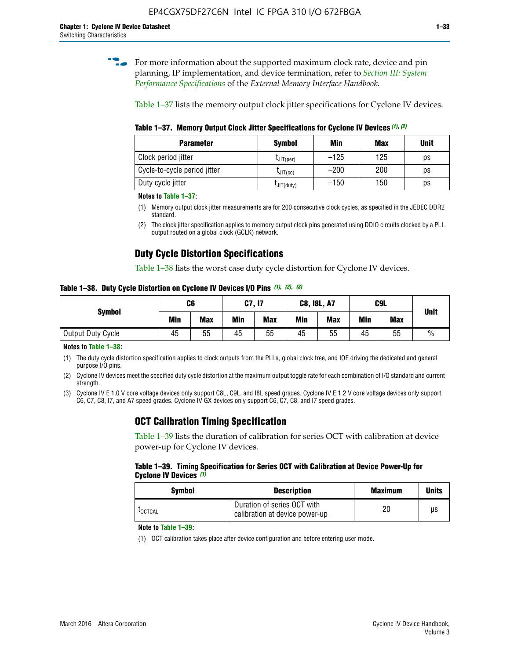**for more information about the supported maximum clock rate, device and pin** planning, IP implementation, and device termination, refer to *[Section III: System](http://www.altera.com/literature/hb/external-memory/emi_intro_specs.pdf)  [Performance Specifications](http://www.altera.com/literature/hb/external-memory/emi_intro_specs.pdf)* of the *External Memory Interface Handbook*.

Table 1–37 lists the memory output clock jitter specifications for Cyclone IV devices.

**Table 1–37. Memory Output Clock Jitter Specifications for Cyclone IV Devices** *(1)***,** *(2)*

| <b>Parameter</b>             | <b>Symbol</b>  | Min    | Max | <b>Unit</b> |
|------------------------------|----------------|--------|-----|-------------|
| Clock period jitter          | $L$ JIT(per)   | $-125$ | 125 | ps          |
| Cycle-to-cycle period jitter | $L$ JIT $(cc)$ | $-200$ | 200 | ps          |
| Duty cycle jitter            | LJIT(duty)     | $-150$ | 150 | рs          |

**Notes to Table 1–37:**

- (1) Memory output clock jitter measurements are for 200 consecutive clock cycles, as specified in the JEDEC DDR2 standard.
- (2) The clock jitter specification applies to memory output clock pins generated using DDIO circuits clocked by a PLL output routed on a global clock (GCLK) network.

## **Duty Cycle Distortion Specifications**

Table 1–38 lists the worst case duty cycle distortion for Cyclone IV devices.

**Table 1–38. Duty Cycle Distortion on Cyclone IV Devices I/O Pins** *(1)***,** *(2), (3)*

| <b>Symbol</b>     | C <sub>6</sub> |            | C7, I7     |            | <b>C8, I8L, A7</b> |            |            | C9L        | <b>Unit</b>   |
|-------------------|----------------|------------|------------|------------|--------------------|------------|------------|------------|---------------|
|                   | Min            | <b>Max</b> | <b>Min</b> | <b>Max</b> | Min                | <b>Max</b> | <b>Min</b> | <b>Max</b> |               |
| Output Duty Cycle | 45             | 55         | 45         | 55         | 45                 | 55         | 45         | 55         | $\frac{0}{0}$ |

**Notes to Table 1–38:**

(1) The duty cycle distortion specification applies to clock outputs from the PLLs, global clock tree, and IOE driving the dedicated and general purpose I/O pins.

(2) Cyclone IV devices meet the specified duty cycle distortion at the maximum output toggle rate for each combination of I/O standard and current strength.

(3) Cyclone IV E 1.0 V core voltage devices only support C8L, C9L, and I8L speed grades. Cyclone IV E 1.2 V core voltage devices only support C6, C7, C8, I7, and A7 speed grades. Cyclone IV GX devices only support C6, C7, C8, and I7 speed grades.

## **OCT Calibration Timing Specification**

Table 1–39 lists the duration of calibration for series OCT with calibration at device power-up for Cyclone IV devices.

#### **Table 1–39. Timing Specification for Series OCT with Calibration at Device Power-Up for Cyclone IV Devices** *(1)*

| Symbol  | <b>Description</b>                                            | <b>Maximum</b> | <b>Units</b> |
|---------|---------------------------------------------------------------|----------------|--------------|
| LOCTCAL | Duration of series OCT with<br>calibration at device power-up | 20             | μs           |

#### **Note to Table 1–39***:*

(1) OCT calibration takes place after device configuration and before entering user mode.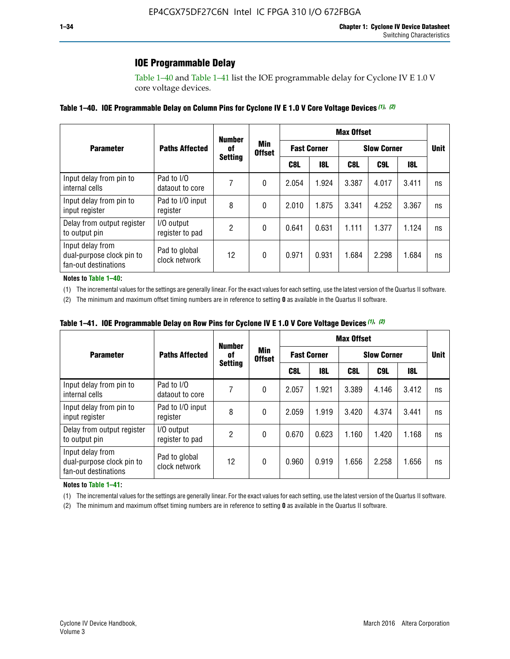## **IOE Programmable Delay**

Table 1–40 and Table 1–41 list the IOE programmable delay for Cyclone IV E 1.0 V core voltage devices.

### **Table 1–40. IOE Programmable Delay on Column Pins for Cyclone IV E 1.0 V Core Voltage Devices** *(1)***,** *(2)*

|                                                                       |                                | <b>Number</b><br>0f | Min<br><b>Offset</b> | <b>Max Offset</b>  |            |                    |             |            |    |  |
|-----------------------------------------------------------------------|--------------------------------|---------------------|----------------------|--------------------|------------|--------------------|-------------|------------|----|--|
| <b>Parameter</b>                                                      | <b>Paths Affected</b>          |                     |                      | <b>Fast Corner</b> |            | <b>Slow Corner</b> | <b>Unit</b> |            |    |  |
|                                                                       |                                | <b>Setting</b>      |                      | C8L                | <b>18L</b> | C8L                | C9L         | <b>18L</b> |    |  |
| Input delay from pin to<br>internal cells                             | Pad to I/O<br>dataout to core  |                     | 0                    | 2.054              | 1.924      | 3.387              | 4.017       | 3.411      | ns |  |
| Input delay from pin to<br>input register                             | Pad to I/O input<br>register   | 8                   | 0                    | 2.010              | 1.875      | 3.341              | 4.252       | 3.367      | ns |  |
| Delay from output register<br>to output pin                           | I/O output<br>register to pad  | 2                   | 0                    | 0.641              | 0.631      | 1.111              | 1.377       | 1.124      | ns |  |
| Input delay from<br>dual-purpose clock pin to<br>fan-out destinations | Pad to global<br>clock network | 12                  | 0                    | 0.971              | 0.931      | 1.684              | 2.298       | 1.684      | ns |  |

#### **Notes to Table 1–40:**

(1) The incremental values for the settings are generally linear. For the exact values for each setting, use the latest version of the Quartus II software.

(2) The minimum and maximum offset timing numbers are in reference to setting **0** as available in the Quartus II software.

| Table 1–41. IOE Programmable Delay on Row Pins for Cyclone IV E 1.0 V Core Voltage Devices (1), (2) |  |  |
|-----------------------------------------------------------------------------------------------------|--|--|
|-----------------------------------------------------------------------------------------------------|--|--|

|                                                                       |                                | <b>Number</b>  | Min<br><b>Offset</b> | <b>Max Offset</b> |                    |                    |             |       |    |  |
|-----------------------------------------------------------------------|--------------------------------|----------------|----------------------|-------------------|--------------------|--------------------|-------------|-------|----|--|
| <b>Parameter</b>                                                      | <b>Paths Affected</b>          | 0f             |                      |                   | <b>Fast Corner</b> | <b>Slow Corner</b> | <b>Unit</b> |       |    |  |
|                                                                       |                                | <b>Setting</b> |                      | C8L               | <b>18L</b>         | C8L                | C9L         | 18L   |    |  |
| Input delay from pin to<br>internal cells                             | Pad to I/O<br>dataout to core  |                | 0                    | 2.057             | 1.921              | 3.389              | 4.146       | 3.412 | ns |  |
| Input delay from pin to<br>input register                             | Pad to I/O input<br>register   | 8              | 0                    | 2.059             | 1.919              | 3.420              | 4.374       | 3.441 | ns |  |
| Delay from output register<br>to output pin                           | I/O output<br>register to pad  | 2              | 0                    | 0.670             | 0.623              | 1.160              | 1.420       | 1.168 | ns |  |
| Input delay from<br>dual-purpose clock pin to<br>fan-out destinations | Pad to global<br>clock network | 12             | 0                    | 0.960             | 0.919              | 1.656              | 2.258       | 1.656 | ns |  |

#### **Notes to Table 1–41:**

(1) The incremental values for the settings are generally linear. For the exact values for each setting, use the latest version of the Quartus II software.

(2) The minimum and maximum offset timing numbers are in reference to setting **0** as available in the Quartus II software.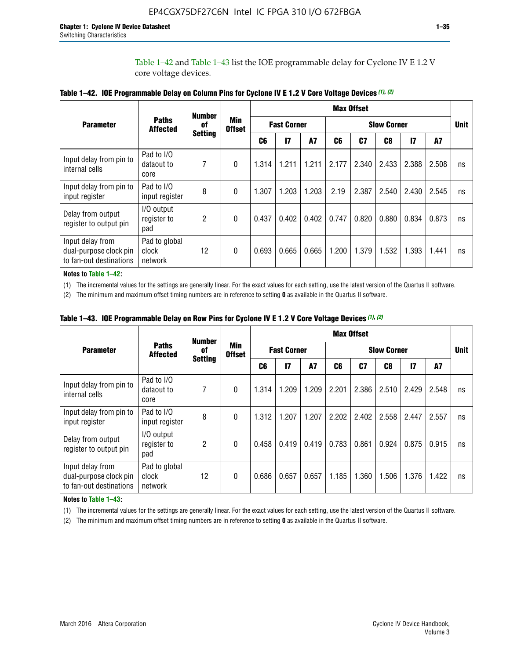Table 1–42 and Table 1–43 list the IOE programmable delay for Cyclone IV E 1.2 V core voltage devices.

|                                                                       |                                   | <b>Number</b>        | <b>Min</b><br><b>Offset</b> | <b>Max Offset</b> |                    |           |                    |       |       |               |       |             |
|-----------------------------------------------------------------------|-----------------------------------|----------------------|-----------------------------|-------------------|--------------------|-----------|--------------------|-------|-------|---------------|-------|-------------|
| <b>Parameter</b>                                                      | <b>Paths</b><br><b>Affected</b>   | of<br><b>Setting</b> |                             |                   | <b>Fast Corner</b> |           | <b>Slow Corner</b> |       |       |               |       | <b>Unit</b> |
|                                                                       |                                   |                      |                             | C <sub>6</sub>    | $\mathbf{I}$       | <b>A7</b> | C6                 | C7    | C8    | $\mathsf{I}7$ | A7    |             |
| Input delay from pin to<br>internal cells                             | Pad to I/O<br>dataout to<br>core  | 7                    | 0                           | 1.314             | 1.211              | 1.211     | 2.177              | 2.340 | 2.433 | 2.388         | 2.508 | ns          |
| Input delay from pin to<br>input register                             | Pad to I/O<br>input register      | 8                    | $\Omega$                    | 1.307             | 1.203              | 1.203     | 2.19               | 2.387 | 2.540 | 2.430         | 2.545 | ns          |
| Delay from output<br>register to output pin                           | I/O output<br>register to<br>pad  | 2                    | 0                           | 0.437             | 0.402              | 0.402     | 0.747              | 0.820 | 0.880 | 0.834         | 0.873 | ns          |
| Input delay from<br>dual-purpose clock pin<br>to fan-out destinations | Pad to global<br>clock<br>network | 12                   | 0                           | 0.693             | 0.665              | 0.665     | 1.200              | 1.379 | 1.532 | 1.393         | 1.441 | ns          |

**Table 1–42. IOE Programmable Delay on Column Pins for Cyclone IV E 1.2 V Core Voltage Devices** *(1)***,** *(2)*

**Notes to Table 1–42:**

(1) The incremental values for the settings are generally linear. For the exact values for each setting, use the latest version of the Quartus II software.

(2) The minimum and maximum offset timing numbers are in reference to setting **0** as available in the Quartus II software.

|                                                                       |                                   | <b>Number</b>        |                             | <b>Max Offset</b> |                    |           |                    |       |       |               |       |             |
|-----------------------------------------------------------------------|-----------------------------------|----------------------|-----------------------------|-------------------|--------------------|-----------|--------------------|-------|-------|---------------|-------|-------------|
| <b>Parameter</b>                                                      | <b>Paths</b><br><b>Affected</b>   | 0f<br><b>Setting</b> | <b>Min</b><br><b>Offset</b> |                   | <b>Fast Corner</b> |           | <b>Slow Corner</b> |       |       |               |       | <b>Unit</b> |
|                                                                       |                                   |                      |                             | C6                | $\mathbf{I}$       | <b>A7</b> | C6                 | C7    | C8    | $\mathsf{I}7$ | A7    |             |
| Input delay from pin to<br>internal cells                             | Pad to I/O<br>dataout to<br>core  | 7                    | $\Omega$                    | 1.314             | 1.209              | 1.209     | 2.201              | 2.386 | 2.510 | 2.429         | 2.548 | ns          |
| Input delay from pin to<br>input register                             | Pad to I/O<br>input register      | 8                    | $\Omega$                    | 1.312             | 1.207              | 1.207     | 2.202              | 2.402 | 2.558 | 2.447         | 2.557 | ns          |
| Delay from output<br>register to output pin                           | I/O output<br>register to<br>pad  | 2                    | $\Omega$                    | 0.458             | 0.419              | 0.419     | 0.783              | 0.861 | 0.924 | 0.875         | 0.915 | ns          |
| Input delay from<br>dual-purpose clock pin<br>to fan-out destinations | Pad to global<br>clock<br>network | 12                   | $\Omega$                    | 0.686             | 0.657              | 0.657     | 1.185              | 1.360 | 1.506 | 1.376         | 1.422 | ns          |

**Table 1–43. IOE Programmable Delay on Row Pins for Cyclone IV E 1.2 V Core Voltage Devices** *(1)***,** *(2)*

#### **Notes to Table 1–43:**

(1) The incremental values for the settings are generally linear. For the exact values for each setting, use the latest version of the Quartus II software.

(2) The minimum and maximum offset timing numbers are in reference to setting **0** as available in the Quartus II software.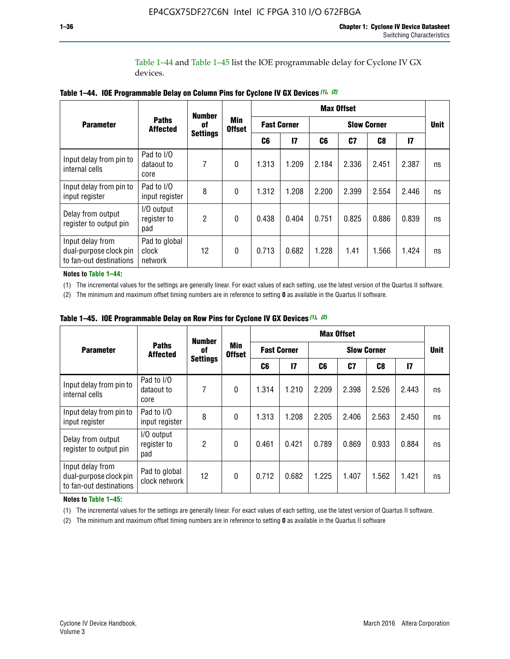Table 1–44 and Table 1–45 list the IOE programmable delay for Cyclone IV GX devices.

|                                                                       |                                   | <b>Number</b>         |                             | <b>Max Offset</b>  |              |                    |       |       |               |             |
|-----------------------------------------------------------------------|-----------------------------------|-----------------------|-----------------------------|--------------------|--------------|--------------------|-------|-------|---------------|-------------|
| <b>Parameter</b>                                                      | <b>Paths</b><br><b>Affected</b>   | 0f<br><b>Settings</b> | <b>Min</b><br><b>Offset</b> | <b>Fast Corner</b> |              | <b>Slow Corner</b> |       |       |               | <b>Unit</b> |
|                                                                       |                                   |                       |                             | C6                 | $\mathbf{I}$ | C6                 | C7    | C8    | $\mathsf{I}7$ |             |
| Input delay from pin to<br>internal cells                             | Pad to I/O<br>dataout to<br>core  | 7                     | $\mathbf{0}$                | 1.313              | 1.209        | 2.184              | 2.336 | 2.451 | 2.387         | ns          |
| Input delay from pin to<br>input register                             | Pad to I/O<br>input register      | 8                     | $\theta$                    | 1.312              | 1.208        | 2.200              | 2.399 | 2.554 | 2.446         | ns          |
| Delay from output<br>register to output pin                           | I/O output<br>register to<br>pad  | 2                     | $\mathbf 0$                 | 0.438              | 0.404        | 0.751              | 0.825 | 0.886 | 0.839         | ns          |
| Input delay from<br>dual-purpose clock pin<br>to fan-out destinations | Pad to global<br>clock<br>network | 12                    | 0                           | 0.713              | 0.682        | 1.228              | 1.41  | 1.566 | 1.424         | ns          |

**Table 1–44. IOE Programmable Delay on Column Pins for Cyclone IV GX Devices** *(1)***,** *(2)*

**Notes to Table 1–44:**

(1) The incremental values for the settings are generally linear. For exact values of each setting, use the latest version of the Quartus II software.

(2) The minimum and maximum offset timing numbers are in reference to setting **0** as available in the Quartus II software.

|                                                                       |                                  | <b>Number</b>         | Min<br><b>Offset</b> | <b>Max Offset</b> |                    |                    |       |       |              |             |
|-----------------------------------------------------------------------|----------------------------------|-----------------------|----------------------|-------------------|--------------------|--------------------|-------|-------|--------------|-------------|
| <b>Parameter</b>                                                      | <b>Paths</b><br><b>Affected</b>  | 0f<br><b>Settings</b> |                      |                   | <b>Fast Corner</b> | <b>Slow Corner</b> |       |       |              | <b>Unit</b> |
|                                                                       |                                  |                       |                      | C6                | 17                 | C6                 | C7    | C8    | $\mathbf{I}$ |             |
| Input delay from pin to<br>internal cells                             | Pad to I/O<br>dataout to<br>core | 7                     | $\mathbf{0}$         | 1.314             | 1.210              | 2.209              | 2.398 | 2.526 | 2.443        | ns          |
| Input delay from pin to<br>input register                             | Pad to I/O<br>input register     | 8                     | $\mathbf{0}$         | 1.313             | 1.208              | 2.205              | 2.406 | 2.563 | 2.450        | ns          |
| Delay from output<br>register to output pin                           | I/O output<br>register to<br>pad | $\overline{2}$        | $\mathbf{0}$         | 0.461             | 0.421              | 0.789              | 0.869 | 0.933 | 0.884        | ns          |
| Input delay from<br>dual-purpose clock pin<br>to fan-out destinations | Pad to global<br>clock network   | 12                    | 0                    | 0.712             | 0.682              | 1.225              | 1.407 | 1.562 | 1.421        | ns          |

**Table 1–45. IOE Programmable Delay on Row Pins for Cyclone IV GX Devices** *(1)***,** *(2)*

#### **Notes to Table 1–45:**

(1) The incremental values for the settings are generally linear. For exact values of each setting, use the latest version of Quartus II software.

(2) The minimum and maximum offset timing numbers are in reference to setting **0** as available in the Quartus II software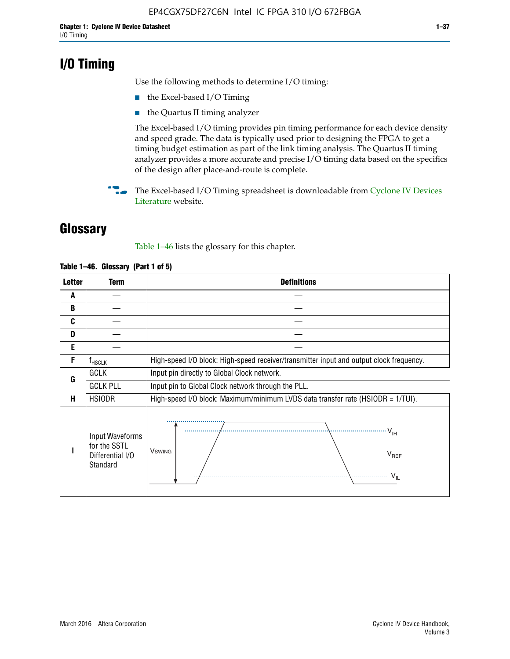## **I/O Timing**

Use the following methods to determine I/O timing:

- the Excel-based I/O Timing
- the Quartus II timing analyzer

The Excel-based I/O timing provides pin timing performance for each device density and speed grade. The data is typically used prior to designing the FPGA to get a timing budget estimation as part of the link timing analysis. The Quartus II timing analyzer provides a more accurate and precise I/O timing data based on the specifics of the design after place-and-route is complete.

**For The Excel-based I/O Timing spreadsheet is downloadable from Cyclone IV Devices** [Literature](http://www.altera.com/literature/lit-cyclone-iv.jsp) website.

## **Glossary**

Table 1–46 lists the glossary for this chapter.

| <b>Letter</b> | <b>Term</b>                                                     | <b>Definitions</b>                                                                                                                                                                                                                                                                                                                                                                                                                                  |  |  |  |  |  |  |
|---------------|-----------------------------------------------------------------|-----------------------------------------------------------------------------------------------------------------------------------------------------------------------------------------------------------------------------------------------------------------------------------------------------------------------------------------------------------------------------------------------------------------------------------------------------|--|--|--|--|--|--|
| A             |                                                                 |                                                                                                                                                                                                                                                                                                                                                                                                                                                     |  |  |  |  |  |  |
| B             |                                                                 |                                                                                                                                                                                                                                                                                                                                                                                                                                                     |  |  |  |  |  |  |
| C             |                                                                 |                                                                                                                                                                                                                                                                                                                                                                                                                                                     |  |  |  |  |  |  |
| D             |                                                                 |                                                                                                                                                                                                                                                                                                                                                                                                                                                     |  |  |  |  |  |  |
| E             |                                                                 |                                                                                                                                                                                                                                                                                                                                                                                                                                                     |  |  |  |  |  |  |
| F             | $\mathsf{f}_{\mathsf{HSCLK}}$                                   | High-speed I/O block: High-speed receiver/transmitter input and output clock frequency.                                                                                                                                                                                                                                                                                                                                                             |  |  |  |  |  |  |
| G             | <b>GCLK</b>                                                     | Input pin directly to Global Clock network.                                                                                                                                                                                                                                                                                                                                                                                                         |  |  |  |  |  |  |
|               | <b>GCLK PLL</b>                                                 | Input pin to Global Clock network through the PLL.                                                                                                                                                                                                                                                                                                                                                                                                  |  |  |  |  |  |  |
| Н             | <b>HSIODR</b>                                                   | High-speed I/O block: Maximum/minimum LVDS data transfer rate (HSIODR = 1/TUI).                                                                                                                                                                                                                                                                                                                                                                     |  |  |  |  |  |  |
|               | Input Waveforms<br>for the SSTL<br>Differential I/O<br>Standard | $\frac{1}{1+\frac{1}{1+\frac{1}{1+\frac{1}{1+\frac{1}{1+\frac{1}{1+\frac{1}{1+\frac{1}{1+\frac{1}{1+\frac{1}{1+\frac{1}{1+\frac{1}{1+\frac{1}{1+\frac{1}{1+\frac{1}{1+\frac{1}{1+\frac{1}{1+\frac{1}{1+\frac{1}{1+\frac{1}{1+\frac{1}{1+\frac{1}{1+\frac{1}{1+\frac{1}{1+\frac{1}{1+\frac{1}{1+\frac{1}{1+\frac{1}{1+\frac{1}{1+\frac{1}{1+\frac{1}{1+\frac{1}{1+\frac{1}{1+\frac{1}{1+\frac{1}{1+\frac{1}{1+\frac{1$<br><b>V</b> swing<br>$V_{IL}$ |  |  |  |  |  |  |

#### **Table 1–46. Glossary (Part 1 of 5)**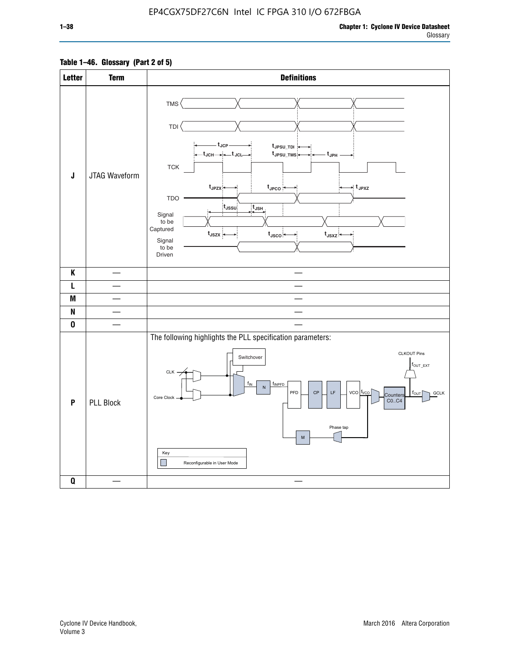## **Table 1–46. Glossary (Part 2 of 5)**

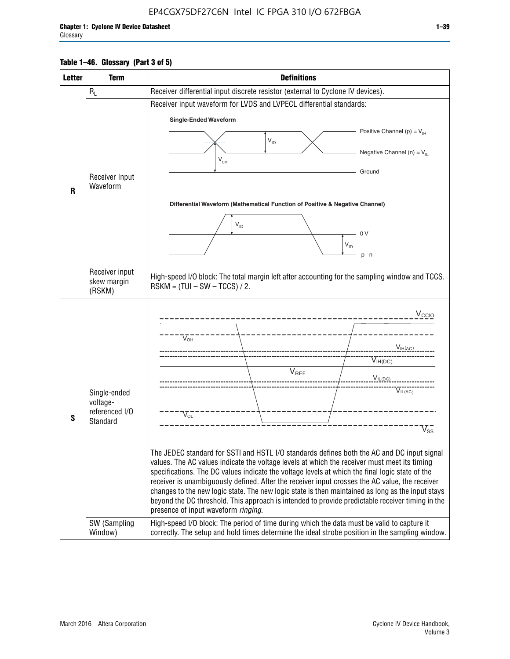## **Table 1–46. Glossary (Part 3 of 5)**

| <b>Letter</b> | <b>Term</b>                | <b>Definitions</b>                                                                                                                                                                                |  |  |  |  |  |  |  |  |
|---------------|----------------------------|---------------------------------------------------------------------------------------------------------------------------------------------------------------------------------------------------|--|--|--|--|--|--|--|--|
|               | $R_L$                      | Receiver differential input discrete resistor (external to Cyclone IV devices).                                                                                                                   |  |  |  |  |  |  |  |  |
|               |                            | Receiver input waveform for LVDS and LVPECL differential standards:                                                                                                                               |  |  |  |  |  |  |  |  |
|               |                            | <b>Single-Ended Waveform</b>                                                                                                                                                                      |  |  |  |  |  |  |  |  |
|               |                            | Positive Channel (p) = $V_{\text{H}}$                                                                                                                                                             |  |  |  |  |  |  |  |  |
|               |                            | $V_{ID}$                                                                                                                                                                                          |  |  |  |  |  |  |  |  |
|               | Receiver Input             | Negative Channel (n) = $V_{\parallel}$<br>$V_{CM}$                                                                                                                                                |  |  |  |  |  |  |  |  |
|               |                            | Ground                                                                                                                                                                                            |  |  |  |  |  |  |  |  |
| $\mathsf{R}$  | Waveform                   |                                                                                                                                                                                                   |  |  |  |  |  |  |  |  |
|               |                            | Differential Waveform (Mathematical Function of Positive & Negative Channel)                                                                                                                      |  |  |  |  |  |  |  |  |
|               |                            |                                                                                                                                                                                                   |  |  |  |  |  |  |  |  |
|               |                            | $V_{ID}$                                                                                                                                                                                          |  |  |  |  |  |  |  |  |
|               |                            | 0 <sup>V</sup><br>$V_{ID}$                                                                                                                                                                        |  |  |  |  |  |  |  |  |
|               |                            | $p - n$                                                                                                                                                                                           |  |  |  |  |  |  |  |  |
|               | Receiver input             |                                                                                                                                                                                                   |  |  |  |  |  |  |  |  |
|               | skew margin                | High-speed I/O block: The total margin left after accounting for the sampling window and TCCS.<br>$RSKM = (TUI - SW - TCCS) / 2.$                                                                 |  |  |  |  |  |  |  |  |
|               | (RSKM)                     |                                                                                                                                                                                                   |  |  |  |  |  |  |  |  |
|               |                            | $V_{CCIO}$                                                                                                                                                                                        |  |  |  |  |  |  |  |  |
|               |                            |                                                                                                                                                                                                   |  |  |  |  |  |  |  |  |
|               |                            | $V_{\text{\tiny OH}}^-$                                                                                                                                                                           |  |  |  |  |  |  |  |  |
|               |                            | V <sub>IH</sub> (AC)                                                                                                                                                                              |  |  |  |  |  |  |  |  |
|               |                            | $V_{IH(DC)}$<br>V <sub>REF</sub>                                                                                                                                                                  |  |  |  |  |  |  |  |  |
|               |                            | $V_{I L (DC)}$                                                                                                                                                                                    |  |  |  |  |  |  |  |  |
|               | Single-ended               | $\overline{V_{IL(AC)}}$                                                                                                                                                                           |  |  |  |  |  |  |  |  |
|               | voltage-<br>referenced I/O |                                                                                                                                                                                                   |  |  |  |  |  |  |  |  |
| S             | Standard                   | $V_{OL}$                                                                                                                                                                                          |  |  |  |  |  |  |  |  |
|               |                            | $V_{ss}$                                                                                                                                                                                          |  |  |  |  |  |  |  |  |
|               |                            | The JEDEC standard for SSTI and HSTL I/O standards defines both the AC and DC input signal                                                                                                        |  |  |  |  |  |  |  |  |
|               |                            | values. The AC values indicate the voltage levels at which the receiver must meet its timing                                                                                                      |  |  |  |  |  |  |  |  |
|               |                            | specifications. The DC values indicate the voltage levels at which the final logic state of the<br>receiver is unambiguously defined. After the receiver input crosses the AC value, the receiver |  |  |  |  |  |  |  |  |
|               |                            | changes to the new logic state. The new logic state is then maintained as long as the input stays                                                                                                 |  |  |  |  |  |  |  |  |
|               |                            | beyond the DC threshold. This approach is intended to provide predictable receiver timing in the                                                                                                  |  |  |  |  |  |  |  |  |
|               | SW (Sampling               | presence of input waveform ringing.                                                                                                                                                               |  |  |  |  |  |  |  |  |
|               | Window)                    | High-speed I/O block: The period of time during which the data must be valid to capture it<br>correctly. The setup and hold times determine the ideal strobe position in the sampling window.     |  |  |  |  |  |  |  |  |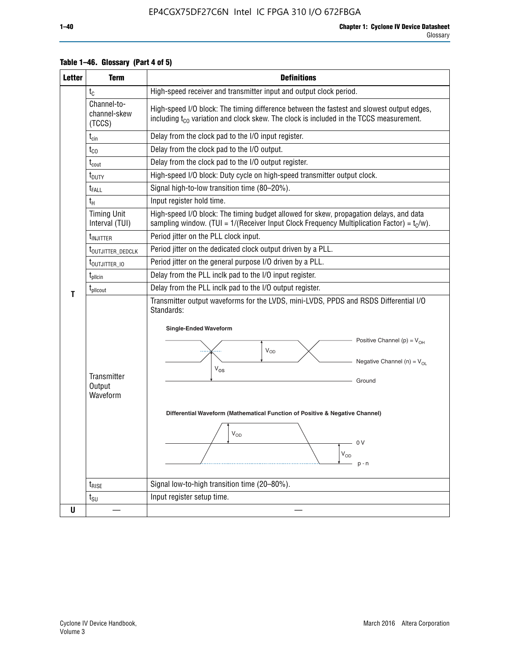| <b>Letter</b> | <b>Term</b>                                                                    | <b>Definitions</b>                                                                                                                                                                                                                                                                                                                                                |  |  |  |  |  |  |  |
|---------------|--------------------------------------------------------------------------------|-------------------------------------------------------------------------------------------------------------------------------------------------------------------------------------------------------------------------------------------------------------------------------------------------------------------------------------------------------------------|--|--|--|--|--|--|--|
|               | $t_{\rm C}$                                                                    | High-speed receiver and transmitter input and output clock period.                                                                                                                                                                                                                                                                                                |  |  |  |  |  |  |  |
|               | Channel-to-<br>channel-skew<br>(TCCS)                                          | High-speed I/O block: The timing difference between the fastest and slowest output edges,<br>including t <sub>co</sub> variation and clock skew. The clock is included in the TCCS measurement.                                                                                                                                                                   |  |  |  |  |  |  |  |
|               | $t_{\text{cin}}$                                                               | Delay from the clock pad to the I/O input register.                                                                                                                                                                                                                                                                                                               |  |  |  |  |  |  |  |
|               | $t_{CO}$                                                                       | Delay from the clock pad to the I/O output.                                                                                                                                                                                                                                                                                                                       |  |  |  |  |  |  |  |
|               | $t_{\text{cout}}$                                                              | Delay from the clock pad to the I/O output register.                                                                                                                                                                                                                                                                                                              |  |  |  |  |  |  |  |
|               | t <sub>DUTY</sub>                                                              | High-speed I/O block: Duty cycle on high-speed transmitter output clock.                                                                                                                                                                                                                                                                                          |  |  |  |  |  |  |  |
|               | t <sub>FALL</sub>                                                              | Signal high-to-low transition time (80-20%).                                                                                                                                                                                                                                                                                                                      |  |  |  |  |  |  |  |
|               | $t_{H}$                                                                        | Input register hold time.                                                                                                                                                                                                                                                                                                                                         |  |  |  |  |  |  |  |
|               | <b>Timing Unit</b><br>Interval (TUI)                                           | High-speed I/O block: The timing budget allowed for skew, propagation delays, and data<br>sampling window. (TUI = $1/($ Receiver Input Clock Frequency Multiplication Factor) = $tC/w$ ).                                                                                                                                                                         |  |  |  |  |  |  |  |
|               | t <sub>INJITTER</sub>                                                          | Period jitter on the PLL clock input.                                                                                                                                                                                                                                                                                                                             |  |  |  |  |  |  |  |
|               | t <sub>outjitter_dedclk</sub>                                                  | Period jitter on the dedicated clock output driven by a PLL.                                                                                                                                                                                                                                                                                                      |  |  |  |  |  |  |  |
|               | t <sub>outjitter_io</sub>                                                      | Period jitter on the general purpose I/O driven by a PLL.                                                                                                                                                                                                                                                                                                         |  |  |  |  |  |  |  |
|               | Delay from the PLL inclk pad to the I/O input register.<br>$t_{\text{pllcin}}$ |                                                                                                                                                                                                                                                                                                                                                                   |  |  |  |  |  |  |  |
| т             | $t_{\text{pll}\text{cout}}$                                                    | Delay from the PLL inclk pad to the I/O output register.                                                                                                                                                                                                                                                                                                          |  |  |  |  |  |  |  |
|               | Transmitter<br>Output<br>Waveform                                              | Transmitter output waveforms for the LVDS, mini-LVDS, PPDS and RSDS Differential I/O<br>Standards:<br><b>Single-Ended Waveform</b><br>Positive Channel (p) = $V_{OH}$<br>VOD<br>Negative Channel (n) = $V_{OL}$<br>$V_{OS}$<br>Ground<br>Differential Waveform (Mathematical Function of Positive & Negative Channel)<br>$V_{OD}$<br>- 0 V<br>$V_{OD}$<br>$p - n$ |  |  |  |  |  |  |  |
|               | $t_{\text{RISE}}$                                                              | Signal low-to-high transition time (20-80%).                                                                                                                                                                                                                                                                                                                      |  |  |  |  |  |  |  |
|               | $t_{\scriptstyle\text{SU}}$                                                    | Input register setup time.                                                                                                                                                                                                                                                                                                                                        |  |  |  |  |  |  |  |
| U             |                                                                                |                                                                                                                                                                                                                                                                                                                                                                   |  |  |  |  |  |  |  |

## **Table 1–46. Glossary (Part 4 of 5)**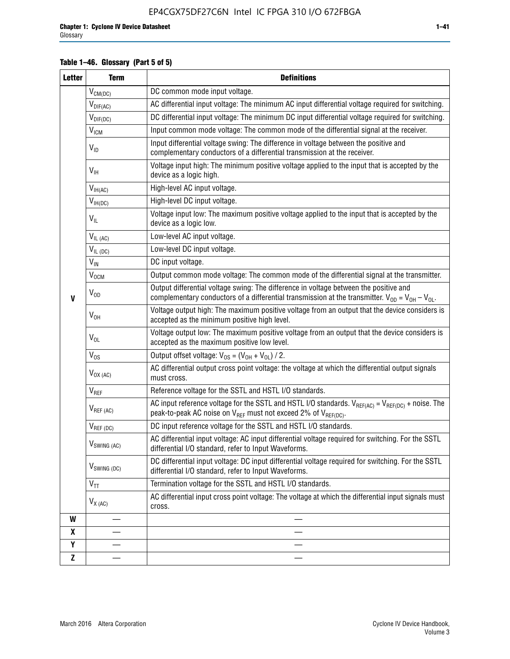## **Table 1–46. Glossary (Part 5 of 5)**

| <b>Letter</b>    | <b>Term</b>             | <b>Definitions</b>                                                                                                                                                                                |  |  |  |  |  |  |  |  |  |
|------------------|-------------------------|---------------------------------------------------------------------------------------------------------------------------------------------------------------------------------------------------|--|--|--|--|--|--|--|--|--|
|                  | $V_{CM(DC)}$            | DC common mode input voltage.                                                                                                                                                                     |  |  |  |  |  |  |  |  |  |
|                  | $V_{DIF(AC)}$           | AC differential input voltage: The minimum AC input differential voltage required for switching.                                                                                                  |  |  |  |  |  |  |  |  |  |
|                  | $V_{DIF(DC)}$           | DC differential input voltage: The minimum DC input differential voltage required for switching.                                                                                                  |  |  |  |  |  |  |  |  |  |
|                  | V <sub>ICM</sub>        | Input common mode voltage: The common mode of the differential signal at the receiver.                                                                                                            |  |  |  |  |  |  |  |  |  |
|                  | $V_{ID}$                | Input differential voltage swing: The difference in voltage between the positive and<br>complementary conductors of a differential transmission at the receiver.                                  |  |  |  |  |  |  |  |  |  |
|                  | $V_{\text{IH}}$         | Voltage input high: The minimum positive voltage applied to the input that is accepted by the<br>device as a logic high.                                                                          |  |  |  |  |  |  |  |  |  |
|                  | $V_{IH(AC)}$            | High-level AC input voltage.                                                                                                                                                                      |  |  |  |  |  |  |  |  |  |
|                  | $V_{IH(DC)}$            | High-level DC input voltage.                                                                                                                                                                      |  |  |  |  |  |  |  |  |  |
|                  | $V_{IL}$                | Voltage input low: The maximum positive voltage applied to the input that is accepted by the<br>device as a logic low.                                                                            |  |  |  |  |  |  |  |  |  |
|                  | $V_{IL(AC)}$            | Low-level AC input voltage.                                                                                                                                                                       |  |  |  |  |  |  |  |  |  |
|                  | $V_{IL(DC)}$            | Low-level DC input voltage.                                                                                                                                                                       |  |  |  |  |  |  |  |  |  |
|                  | $V_{\text{IN}}$         | DC input voltage.                                                                                                                                                                                 |  |  |  |  |  |  |  |  |  |
|                  | <b>V<sub>OCM</sub></b>  | Output common mode voltage: The common mode of the differential signal at the transmitter.                                                                                                        |  |  |  |  |  |  |  |  |  |
| $\mathbf{V}$     | $V_{OD}$                | Output differential voltage swing: The difference in voltage between the positive and<br>complementary conductors of a differential transmission at the transmitter. $V_{OD} = V_{OH} - V_{OL}$ . |  |  |  |  |  |  |  |  |  |
|                  | $V_{OH}$                | Voltage output high: The maximum positive voltage from an output that the device considers is<br>accepted as the minimum positive high level.                                                     |  |  |  |  |  |  |  |  |  |
|                  | $V_{OL}$                | Voltage output low: The maximum positive voltage from an output that the device considers is<br>accepted as the maximum positive low level.                                                       |  |  |  |  |  |  |  |  |  |
|                  | $V_{OS}$                | Output offset voltage: $V_{OS} = (V_{OH} + V_{OL}) / 2$ .                                                                                                                                         |  |  |  |  |  |  |  |  |  |
|                  | $V_{OX (AC)}$           | AC differential output cross point voltage: the voltage at which the differential output signals<br>must cross.                                                                                   |  |  |  |  |  |  |  |  |  |
|                  | V <sub>REF</sub>        | Reference voltage for the SSTL and HSTL I/O standards.                                                                                                                                            |  |  |  |  |  |  |  |  |  |
|                  | $V_{REF\,(AC)}$         | AC input reference voltage for the SSTL and HSTL I/O standards. $V_{REF(AC)} = V_{REF(DC)} + noise$ . The<br>peak-to-peak AC noise on $V_{REF}$ must not exceed 2% of $V_{REF(DC)}$ .             |  |  |  |  |  |  |  |  |  |
|                  | $V_{REF(DC)}$           | DC input reference voltage for the SSTL and HSTL I/O standards.                                                                                                                                   |  |  |  |  |  |  |  |  |  |
|                  | $V_{\text{SWING (AC)}}$ | AC differential input voltage: AC input differential voltage required for switching. For the SSTL<br>differential I/O standard, refer to Input Waveforms.                                         |  |  |  |  |  |  |  |  |  |
|                  | $V_{SWING(DC)}$         | DC differential input voltage: DC input differential voltage required for switching. For the SSTL<br>differential I/O standard, refer to Input Waveforms.                                         |  |  |  |  |  |  |  |  |  |
|                  | $V_{TT}$                | Termination voltage for the SSTL and HSTL I/O standards.                                                                                                                                          |  |  |  |  |  |  |  |  |  |
|                  | $V_{X(AC)}$             | AC differential input cross point voltage: The voltage at which the differential input signals must<br>cross.                                                                                     |  |  |  |  |  |  |  |  |  |
| W                |                         |                                                                                                                                                                                                   |  |  |  |  |  |  |  |  |  |
| $\boldsymbol{x}$ |                         |                                                                                                                                                                                                   |  |  |  |  |  |  |  |  |  |
| Y                |                         |                                                                                                                                                                                                   |  |  |  |  |  |  |  |  |  |
| $\mathbf{Z}$     |                         |                                                                                                                                                                                                   |  |  |  |  |  |  |  |  |  |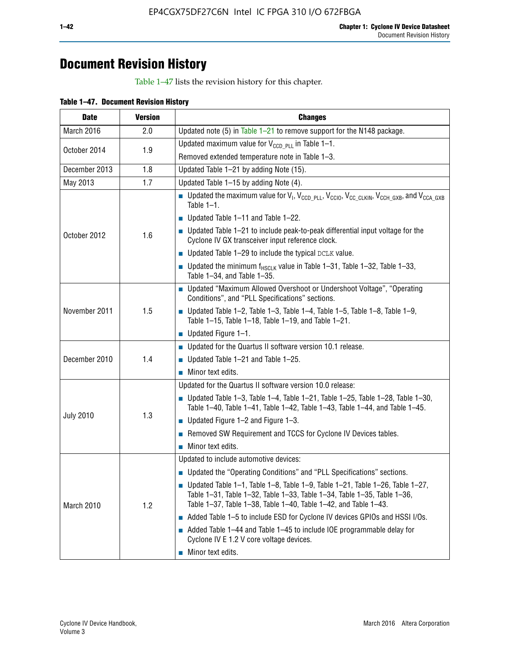## **Document Revision History**

Table 1–47 lists the revision history for this chapter.

| Table 1-47. Document Revision History |  |  |
|---------------------------------------|--|--|
|                                       |  |  |

| <b>Date</b>      | <b>Version</b> | <b>Changes</b>                                                                                                                                                                                                                            |  |
|------------------|----------------|-------------------------------------------------------------------------------------------------------------------------------------------------------------------------------------------------------------------------------------------|--|
| March 2016       | 2.0            | Updated note (5) in Table $1-21$ to remove support for the N148 package.                                                                                                                                                                  |  |
| October 2014     |                | Updated maximum value for $V_{CCD, PL}$ in Table 1-1.                                                                                                                                                                                     |  |
|                  | 1.9            | Removed extended temperature note in Table 1-3.                                                                                                                                                                                           |  |
| December 2013    | 1.8            | Updated Table 1-21 by adding Note (15).                                                                                                                                                                                                   |  |
| May 2013         | 1.7            | Updated Table 1-15 by adding Note (4).                                                                                                                                                                                                    |  |
|                  | 1.6            | Dpdated the maximum value for $V_1$ , $V_{CCD\_PLL}$ , $V_{CC10}$ , $V_{CC\_CLKIN}$ , $V_{CCH\_GXB}$ , and $V_{CCA\_GXB}$<br>Table $1-1$ .                                                                                                |  |
|                  |                | $\blacksquare$ Updated Table 1-11 and Table 1-22.                                                                                                                                                                                         |  |
| October 2012     |                | $\blacksquare$ Updated Table 1-21 to include peak-to-peak differential input voltage for the<br>Cyclone IV GX transceiver input reference clock.                                                                                          |  |
|                  |                | $\blacksquare$ Updated Table 1-29 to include the typical DCLK value.                                                                                                                                                                      |  |
|                  |                | <b>Updated the minimum f<sub>HSCLK</sub></b> value in Table 1-31, Table 1-32, Table 1-33,<br>Table 1-34, and Table 1-35.                                                                                                                  |  |
| November 2011    | 1.5            | • Updated "Maximum Allowed Overshoot or Undershoot Voltage", "Operating<br>Conditions", and "PLL Specifications" sections.                                                                                                                |  |
|                  |                | Updated Table 1-2, Table 1-3, Table 1-4, Table 1-5, Table 1-8, Table 1-9,<br>Table 1-15, Table 1-18, Table 1-19, and Table 1-21.                                                                                                          |  |
|                  |                | ■ Updated Figure $1-1$ .                                                                                                                                                                                                                  |  |
| December 2010    | 1.4            | • Updated for the Quartus II software version 10.1 release.                                                                                                                                                                               |  |
|                  |                | $\blacksquare$ Updated Table 1-21 and Table 1-25.                                                                                                                                                                                         |  |
|                  |                | $\blacksquare$ Minor text edits.                                                                                                                                                                                                          |  |
|                  | 1.3            | Updated for the Quartus II software version 10.0 release:                                                                                                                                                                                 |  |
|                  |                | Updated Table 1-3, Table 1-4, Table 1-21, Table 1-25, Table 1-28, Table 1-30,<br>Table 1-40, Table 1-41, Table 1-42, Table 1-43, Table 1-44, and Table 1-45.                                                                              |  |
| <b>July 2010</b> |                | ■ Updated Figure $1-2$ and Figure $1-3$ .                                                                                                                                                                                                 |  |
|                  |                | Removed SW Requirement and TCCS for Cyclone IV Devices tables.                                                                                                                                                                            |  |
|                  |                | $\blacksquare$ Minor text edits.                                                                                                                                                                                                          |  |
|                  | 1.2            | Updated to include automotive devices:                                                                                                                                                                                                    |  |
| March 2010       |                | • Updated the "Operating Conditions" and "PLL Specifications" sections.                                                                                                                                                                   |  |
|                  |                | $\blacksquare$ Updated Table 1-1, Table 1-8, Table 1-9, Table 1-21, Table 1-26, Table 1-27,<br>Table 1-31, Table 1-32, Table 1-33, Table 1-34, Table 1-35, Table 1-36,<br>Table 1-37, Table 1-38, Table 1-40, Table 1-42, and Table 1-43. |  |
|                  |                | Added Table 1-5 to include ESD for Cyclone IV devices GPIOs and HSSI I/Os.                                                                                                                                                                |  |
|                  |                | Added Table 1-44 and Table 1-45 to include IOE programmable delay for<br>Cyclone IV E 1.2 V core voltage devices.                                                                                                                         |  |
|                  |                | Minor text edits.                                                                                                                                                                                                                         |  |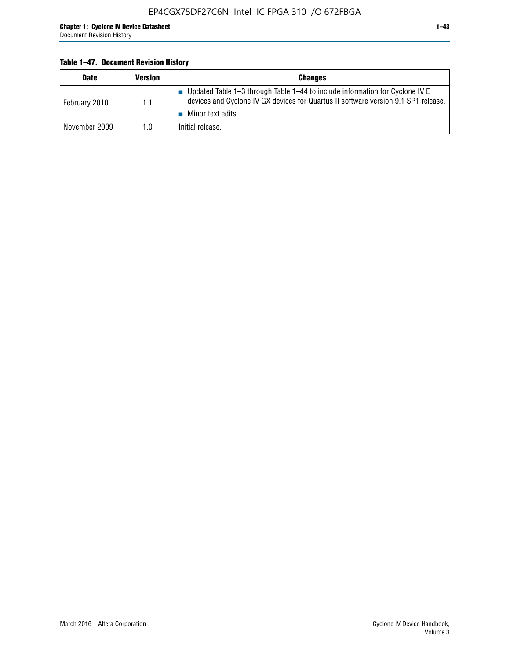## **Table 1–47. Document Revision History**

| <b>Date</b>   | <b>Version</b> | <b>Changes</b>                                                                                                                                                       |
|---------------|----------------|----------------------------------------------------------------------------------------------------------------------------------------------------------------------|
| February 2010 | 1.1            | ■ Updated Table 1–3 through Table 1–44 to include information for Cyclone IV E<br>devices and Cyclone IV GX devices for Quartus II software version 9.1 SP1 release. |
|               |                | Minor text edits.                                                                                                                                                    |
| November 2009 | 1.0            | Initial release.                                                                                                                                                     |